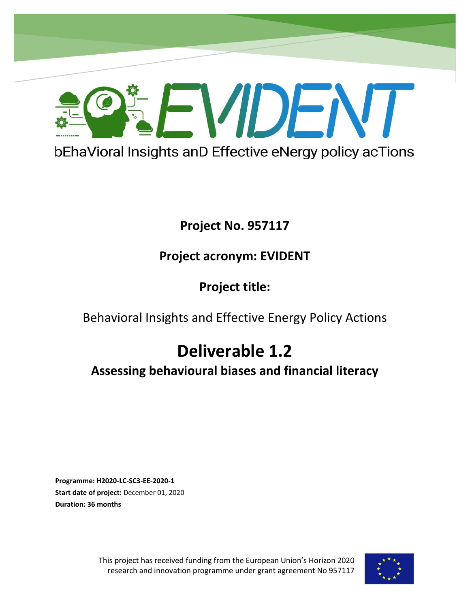

D1.2 - Assessing behavioural biases and financial literacy

# **Project No. 957117**

# **Project acronym: EVIDENT**

**Project title:**

Behavioral Insights and Effective Energy Policy Actions

# **Deliverable 1.2**

**Assessing behavioural biases and financial literacy**

**Programme: H2020-LC-SC3-EE-2020-1 Start date of project:** December 01, 2020 **Duration: 36 months** 

**Project No. 957406**

This project has received funding from the European Union's Horizon 2020 research and innovation programme under grant agreement No 957117

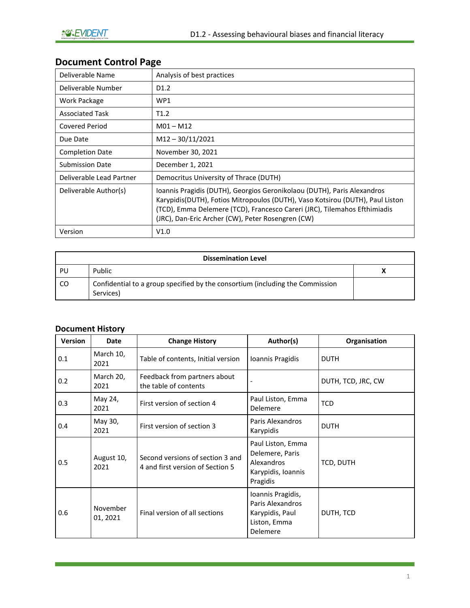# **Document Control Page**

| Deliverable Name         | Analysis of best practices                                                                                                                                                                                                                                                                 |
|--------------------------|--------------------------------------------------------------------------------------------------------------------------------------------------------------------------------------------------------------------------------------------------------------------------------------------|
| Deliverable Number       | D <sub>1.2</sub>                                                                                                                                                                                                                                                                           |
| Work Package             | WP1                                                                                                                                                                                                                                                                                        |
| <b>Associated Task</b>   | T1.2                                                                                                                                                                                                                                                                                       |
| <b>Covered Period</b>    | $M01 - M12$                                                                                                                                                                                                                                                                                |
| Due Date                 | $M12 - 30/11/2021$                                                                                                                                                                                                                                                                         |
| <b>Completion Date</b>   | November 30, 2021                                                                                                                                                                                                                                                                          |
| <b>Submission Date</b>   | December 1, 2021                                                                                                                                                                                                                                                                           |
| Deliverable Lead Partner | Democritus University of Thrace (DUTH)                                                                                                                                                                                                                                                     |
| Deliverable Author(s)    | Ioannis Pragidis (DUTH), Georgios Geronikolaou (DUTH), Paris Alexandros<br>Karypidis(DUTH), Fotios Mitropoulos (DUTH), Vaso Kotsirou (DUTH), Paul Liston<br>(TCD), Emma Delemere (TCD), Francesco Careri (JRC), Tilemahos Efthimiadis<br>(JRC), Dan-Eric Archer (CW), Peter Rosengren (CW) |
| Version                  | V1.0                                                                                                                                                                                                                                                                                       |

| <b>Dissemination Level</b> |                                                                                            |   |  |
|----------------------------|--------------------------------------------------------------------------------------------|---|--|
| PU                         | Public                                                                                     | ~ |  |
| CO.                        | Confidential to a group specified by the consortium (including the Commission<br>Services) |   |  |

#### **Document History**

| <b>Version</b> | Date                 | <b>Change History</b>                                                | Author(s)                                                                            | Organisation       |
|----------------|----------------------|----------------------------------------------------------------------|--------------------------------------------------------------------------------------|--------------------|
| 0.1            | March 10,<br>2021    | Table of contents, Initial version                                   | Ioannis Pragidis                                                                     | <b>DUTH</b>        |
| 0.2            | March 20,<br>2021    | Feedback from partners about<br>the table of contents                |                                                                                      | DUTH, TCD, JRC, CW |
| 0.3            | May 24,<br>2021      | First version of section 4                                           | Paul Liston, Emma<br><b>Delemere</b>                                                 | <b>TCD</b>         |
| 0.4            | May 30,<br>2021      | First version of section 3                                           | Paris Alexandros<br>Karypidis                                                        | <b>DUTH</b>        |
| 0.5            | August 10,<br>2021   | Second versions of section 3 and<br>4 and first version of Section 5 | Paul Liston, Emma<br>Delemere, Paris<br>Alexandros<br>Karypidis, Ioannis<br>Pragidis | TCD, DUTH          |
| 0.6            | November<br>01, 2021 | Final version of all sections                                        | Ioannis Pragidis,<br>Paris Alexandros<br>Karypidis, Paul<br>Liston, Emma<br>Delemere | DUTH, TCD          |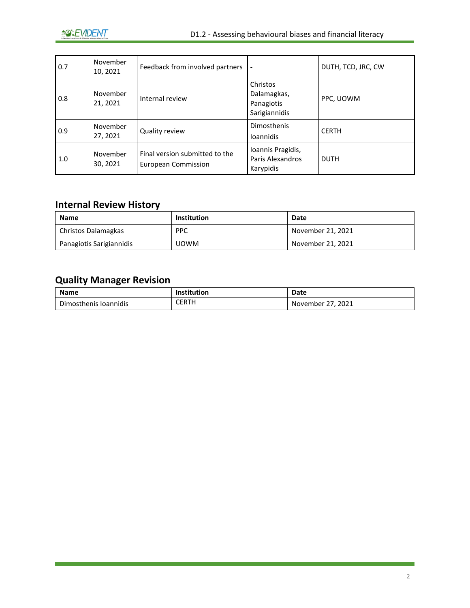| 0.7 | November<br>10, 2021 | Feedback from involved partners                              |                                                        | DUTH, TCD, JRC, CW |
|-----|----------------------|--------------------------------------------------------------|--------------------------------------------------------|--------------------|
| 0.8 | November<br>21, 2021 | Internal review                                              | Christos<br>Dalamagkas,<br>Panagiotis<br>Sarigiannidis | PPC, UOWM          |
| 0.9 | November<br>27, 2021 | Quality review                                               | <b>Dimosthenis</b><br><b>Ioannidis</b>                 | <b>CERTH</b>       |
| 1.0 | November<br>30, 2021 | Final version submitted to the<br><b>European Commission</b> | Ioannis Pragidis,<br>Paris Alexandros<br>Karypidis     | <b>DUTH</b>        |

### **Internal Review History**

| <b>Name</b>              | <b>Institution</b> | Date              |
|--------------------------|--------------------|-------------------|
| Christos Dalamagkas      | <b>PPC</b>         | November 21, 2021 |
| Panagiotis Sarigiannidis | <b>UOWM</b>        | November 21, 2021 |

## **Quality Manager Revision**

| <b>Name</b>           | Institution | Date              |
|-----------------------|-------------|-------------------|
| Dimosthenis Ioannidis | CERTH       | November 27, 2021 |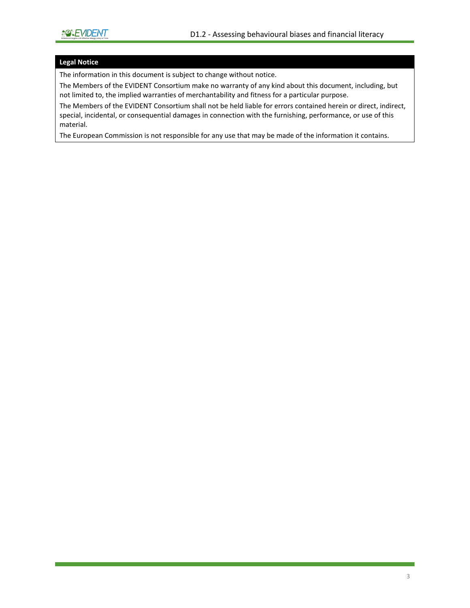#### **Legal Notice**

The information in this document is subject to change without notice.

The Members of the EVIDENT Consortium make no warranty of any kind about this document, including, but not limited to, the implied warranties of merchantability and fitness for a particular purpose.

The Members of the EVIDENT Consortium shall not be held liable for errors contained herein or direct, indirect, special, incidental, or consequential damages in connection with the furnishing, performance, or use of this material.

The European Commission is not responsible for any use that may be made of the information it contains.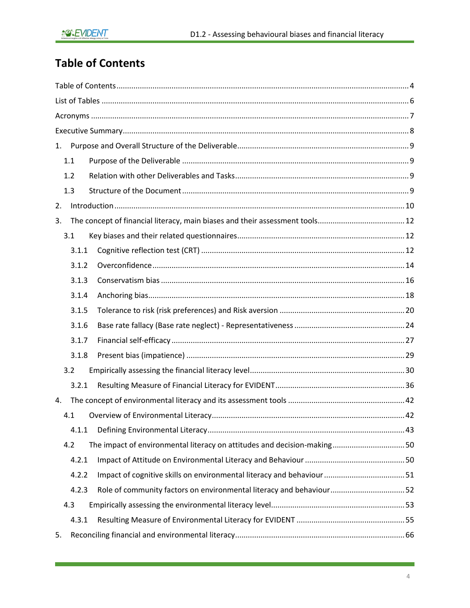# <span id="page-4-0"></span>**Table of Contents**

| 1.    |                                                                         |
|-------|-------------------------------------------------------------------------|
| 1.1   |                                                                         |
| 1.2   |                                                                         |
| 1.3   |                                                                         |
| 2.    |                                                                         |
| 3.    |                                                                         |
| 3.1   |                                                                         |
| 3.1.1 |                                                                         |
| 3.1.2 |                                                                         |
| 3.1.3 |                                                                         |
| 3.1.4 |                                                                         |
| 3.1.5 |                                                                         |
| 3.1.6 |                                                                         |
| 3.1.7 |                                                                         |
| 3.1.8 |                                                                         |
| 3.2   |                                                                         |
| 3.2.1 |                                                                         |
| 4.    |                                                                         |
| 4.1   |                                                                         |
| 4.1.1 |                                                                         |
| 4.2   | The impact of environmental literacy on attitudes and decision-making50 |
| 4.2.1 |                                                                         |
| 4.2.2 |                                                                         |
| 4.2.3 | Role of community factors on environmental literacy and behaviour52     |
| 4.3   |                                                                         |
| 4.3.1 |                                                                         |
| 5.    |                                                                         |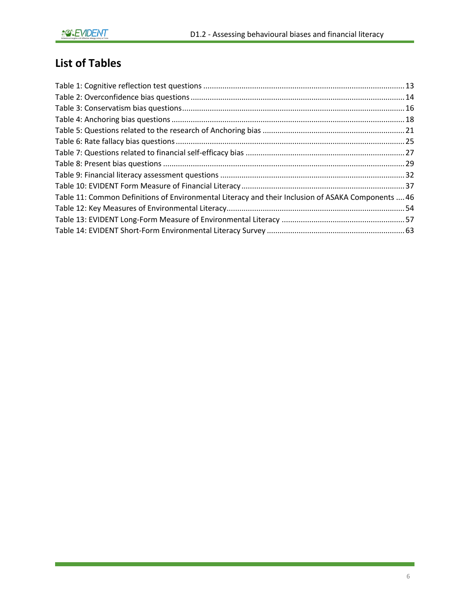# <span id="page-6-0"></span>**List of Tables**

| Table 11: Common Definitions of Environmental Literacy and their Inclusion of ASAKA Components  46 |  |
|----------------------------------------------------------------------------------------------------|--|
|                                                                                                    |  |
|                                                                                                    |  |
|                                                                                                    |  |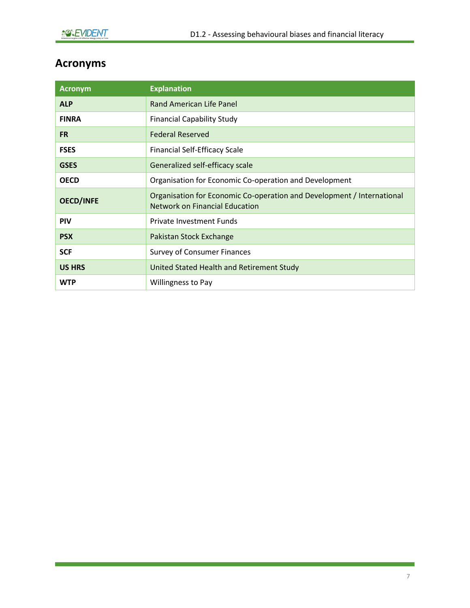# <span id="page-7-0"></span>**Acronyms**

| <b>Acronym</b>   | <b>Explanation</b>                                                                                              |
|------------------|-----------------------------------------------------------------------------------------------------------------|
| <b>ALP</b>       | Rand American Life Panel                                                                                        |
| <b>FINRA</b>     | <b>Financial Capability Study</b>                                                                               |
| <b>FR</b>        | <b>Federal Reserved</b>                                                                                         |
| <b>FSES</b>      | <b>Financial Self-Efficacy Scale</b>                                                                            |
| <b>GSES</b>      | Generalized self-efficacy scale                                                                                 |
| <b>OECD</b>      | Organisation for Economic Co-operation and Development                                                          |
| <b>OECD/INFE</b> | Organisation for Economic Co-operation and Development / International<br><b>Network on Financial Education</b> |
| <b>PIV</b>       | <b>Private Investment Funds</b>                                                                                 |
| <b>PSX</b>       | Pakistan Stock Exchange                                                                                         |
| <b>SCF</b>       | <b>Survey of Consumer Finances</b>                                                                              |
| <b>US HRS</b>    | United Stated Health and Retirement Study                                                                       |
| <b>WTP</b>       | <b>Willingness to Pay</b>                                                                                       |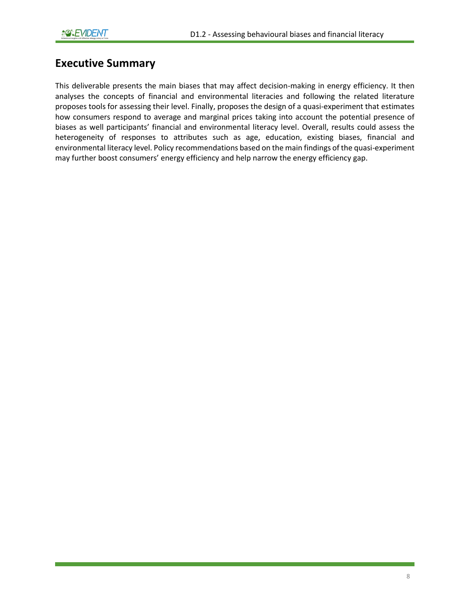### <span id="page-8-0"></span>**Executive Summary**

This deliverable presents the main biases that may affect decision-making in energy efficiency. It then analyses the concepts of financial and environmental literacies and following the related literature proposes tools for assessing their level. Finally, proposes the design of a quasi-experiment that estimates how consumers respond to average and marginal prices taking into account the potential presence of biases as well participants' financial and environmental literacy level. Overall, results could assess the heterogeneity of responses to attributes such as age, education, existing biases, financial and environmental literacy level. Policy recommendations based on the main findings of the quasi-experiment may further boost consumers' energy efficiency and help narrow the energy efficiency gap.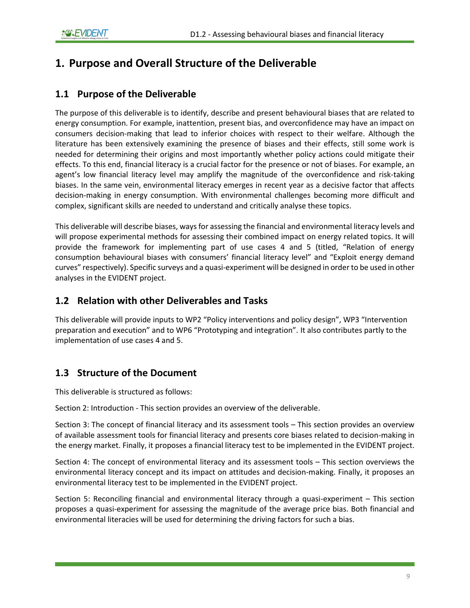## <span id="page-9-0"></span>**1. Purpose and Overall Structure of the Deliverable**

### <span id="page-9-1"></span>**1.1 Purpose of the Deliverable**

The purpose of this deliverable is to identify, describe and present behavioural biases that are related to energy consumption. For example, inattention, present bias, and overconfidence may have an impact on consumers decision-making that lead to inferior choices with respect to their welfare. Although the literature has been extensively examining the presence of biases and their effects, still some work is needed for determining their origins and most importantly whether policy actions could mitigate their effects. To this end, financial literacy is a crucial factor for the presence or not of biases. For example, an agent's low financial literacy level may amplify the magnitude of the overconfidence and risk-taking biases. In the same vein, environmental literacy emerges in recent year as a decisive factor that affects decision-making in energy consumption. With environmental challenges becoming more difficult and complex, significant skills are needed to understand and critically analyse these topics.

This deliverable will describe biases, ways for assessing the financial and environmental literacy levels and will propose experimental methods for assessing their combined impact on energy related topics. It will provide the framework for implementing part of use cases 4 and 5 (titled, "Relation of energy consumption behavioural biases with consumers' financial literacy level" and "Exploit energy demand curves" respectively). Specific surveys and a quasi-experiment will be designed in order to be used in other analyses in the EVIDENT project.

### <span id="page-9-2"></span>**1.2 Relation with other Deliverables and Tasks**

This deliverable will provide inputs to WP2 "Policy interventions and policy design", WP3 "Intervention preparation and execution" and to WP6 "Prototyping and integration". It also contributes partly to the implementation of use cases 4 and 5.

### <span id="page-9-3"></span>**1.3 Structure of the Document**

This deliverable is structured as follows:

Section 2: Introduction - This section provides an overview of the deliverable.

Section 3: The concept of financial literacy and its assessment tools – This section provides an overview of available assessment tools for financial literacy and presents core biases related to decision-making in the energy market. Finally, it proposes a financial literacy test to be implemented in the EVIDENT project.

Section 4: The concept of environmental literacy and its assessment tools – This section overviews the environmental literacy concept and its impact on attitudes and decision-making. Finally, it proposes an environmental literacy test to be implemented in the EVIDENT project.

Section 5: Reconciling financial and environmental literacy through a quasi-experiment – This section proposes a quasi-experiment for assessing the magnitude of the average price bias. Both financial and environmental literacies will be used for determining the driving factors for such a bias.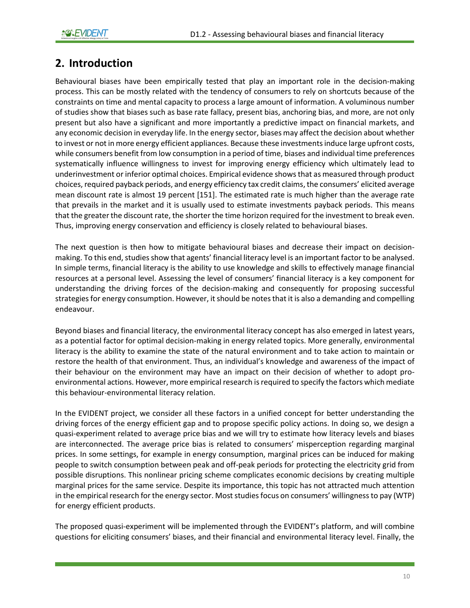## <span id="page-10-0"></span>**2. Introduction**

Behavioural biases have been empirically tested that play an important role in the decision-making process. This can be mostly related with the tendency of consumers to rely on shortcuts because of the constraints on time and mental capacity to process a large amount of information. A voluminous number of studies show that biases such as base rate fallacy, present bias, anchoring bias, and more, are not only present but also have a significant and more importantly a predictive impact on financial markets, and any economic decision in everyday life. In the energy sector, biases may affect the decision about whether to invest or not in more energy efficient appliances. Because these investments induce large upfront costs, while consumers benefit from low consumption in a period of time, biases and individual time preferences systematically influence willingness to invest for improving energy efficiency which ultimately lead to underinvestment or inferior optimal choices. Empirical evidence showsthat as measured through product choices, required payback periods, and energy efficiency tax credit claims, the consumers' elicited average mean discount rate is almost 19 percent [151]. The estimated rate is much higher than the average rate that prevails in the market and it is usually used to estimate investments payback periods. This means that the greater the discount rate, the shorter the time horizon required for the investment to break even. Thus, improving energy conservation and efficiency is closely related to behavioural biases.

The next question is then how to mitigate behavioural biases and decrease their impact on decisionmaking. To this end, studies show that agents' financial literacy level is an important factor to be analysed. In simple terms, financial literacy is the ability to use knowledge and skills to effectively manage financial resources at a personal level. Assessing the level of consumers' financial literacy is a key component for understanding the driving forces of the decision-making and consequently for proposing successful strategies for energy consumption. However, it should be notes that it is also a demanding and compelling endeavour.

Beyond biases and financial literacy, the environmental literacy concept has also emerged in latest years, as a potential factor for optimal decision-making in energy related topics. More generally, environmental literacy is the ability to examine the state of the natural environment and to take action to maintain or restore the health of that environment. Thus, an individual's knowledge and awareness of the impact of their behaviour on the environment may have an impact on their decision of whether to adopt proenvironmental actions. However, more empirical research is required to specify the factors which mediate this behaviour-environmental literacy relation.

In the EVIDENT project, we consider all these factors in a unified concept for better understanding the driving forces of the energy efficient gap and to propose specific policy actions. In doing so, we design a quasi-experiment related to average price bias and we will try to estimate how literacy levels and biases are interconnected. The average price bias is related to consumers' misperception regarding marginal prices. In some settings, for example in energy consumption, marginal prices can be induced for making people to switch consumption between peak and off-peak periods for protecting the electricity grid from possible disruptions. This nonlinear pricing scheme complicates economic decisions by creating multiple marginal prices for the same service. Despite its importance, this topic has not attracted much attention in the empirical research for the energy sector. Most studies focus on consumers' willingness to pay (WTP) for energy efficient products.

The proposed quasi-experiment will be implemented through the EVIDENT's platform, and will combine questions for eliciting consumers' biases, and their financial and environmental literacy level. Finally, the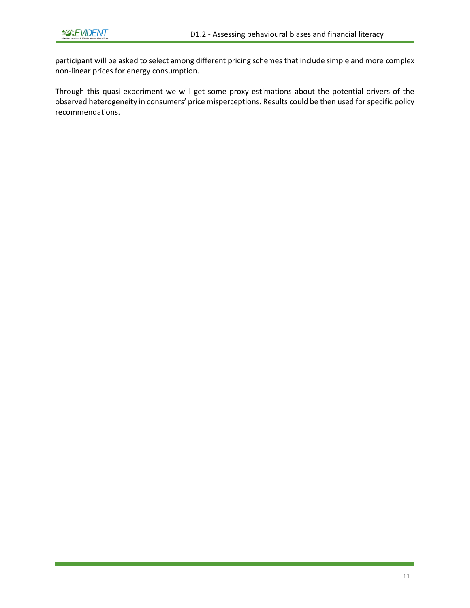participant will be asked to select among different pricing schemes that include simple and more complex non-linear prices for energy consumption.

Through this quasi-experiment we will get some proxy estimations about the potential drivers of the observed heterogeneity in consumers' price misperceptions. Results could be then used for specific policy recommendations.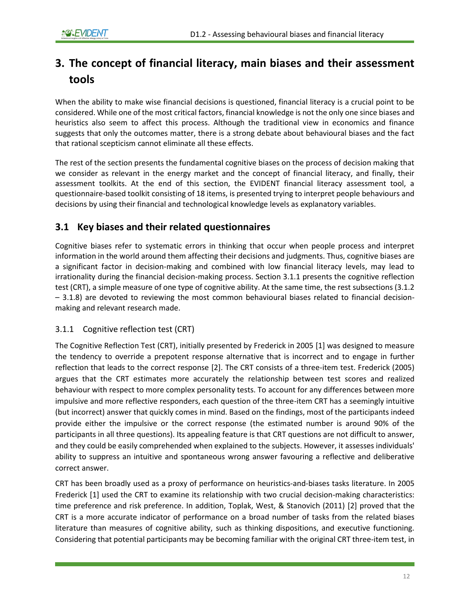# <span id="page-12-0"></span>**3. The concept of financial literacy, main biases and their assessment tools**

When the ability to make wise financial decisions is questioned, financial literacy is a crucial point to be considered. While one of the most critical factors, financial knowledge is not the only one since biases and heuristics also seem to affect this process. Although the traditional view in economics and finance suggests that only the outcomes matter, there is a strong debate about behavioural biases and the fact that rational scepticism cannot eliminate all these effects.

The rest of the section presents the fundamental cognitive biases on the process of decision making that we consider as relevant in the energy market and the concept of financial literacy, and finally, their assessment toolkits. At the end of this section, the EVIDENT financial literacy assessment tool, a questionnaire-based toolkit consisting of 18 items, is presented trying to interpret people behaviours and decisions by using their financial and technological knowledge levels as explanatory variables.

### <span id="page-12-1"></span>**3.1 Key biases and their related questionnaires**

Cognitive biases refer to systematic errors in thinking that occur when people process and interpret information in the world around them affecting their decisions and judgments. Thus, cognitive biases are a significant factor in decision-making and combined with low financial literacy levels, may lead to irrationality during the financial decision-making process. Section 3.1.1 presents the cognitive reflection test (CRT), a simple measure of one type of cognitive ability. At the same time, the rest subsections (3.1.2 – 3.1.8) are devoted to reviewing the most common behavioural biases related to financial decisionmaking and relevant research made.

#### <span id="page-12-2"></span>3.1.1 Cognitive reflection test (CRT)

The Cognitive Reflection Test (CRT), initially presented by Frederick in 2005 [1] was designed to measure the tendency to override a prepotent response alternative that is incorrect and to engage in further reflection that leads to the correct response [2]. The CRT consists of a three-item test. Frederick (2005) argues that the CRT estimates more accurately the relationship between test scores and realized behaviour with respect to more complex personality tests. To account for any differences between more impulsive and more reflective responders, each question of the three-item CRT has a seemingly intuitive (but incorrect) answer that quickly comes in mind. Based on the findings, most of the participants indeed provide either the impulsive or the correct response (the estimated number is around 90% of the participants in all three questions). Its appealing feature is that CRT questions are not difficult to answer, and they could be easily comprehended when explained to the subjects. However, it assesses individuals' ability to suppress an intuitive and spontaneous wrong answer favouring a reflective and deliberative correct answer.

CRT has been broadly used as a proxy of performance on heuristics-and-biases tasks literature. In 2005 Frederick [1] used the CRT to examine its relationship with two crucial decision-making characteristics: time preference and risk preference. In addition, Toplak, West, & Stanovich (2011) [2] proved that the CRT is a more accurate indicator of performance on a broad number of tasks from the related biases literature than measures of cognitive ability, such as thinking dispositions, and executive functioning. Considering that potential participants may be becoming familiar with the original CRT three-item test, in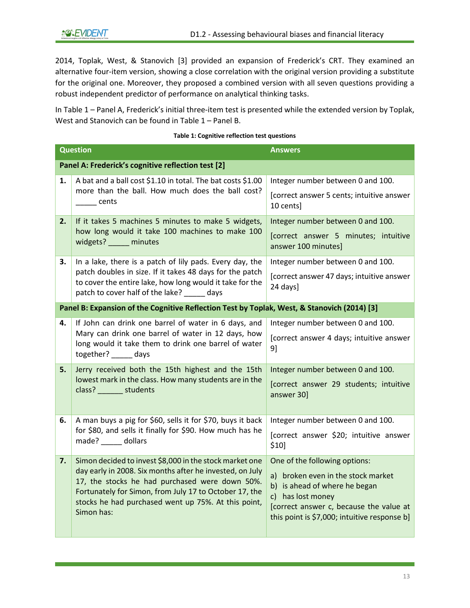2014, Toplak, West, & Stanovich [3] provided an expansion of Frederick's CRT. They examined an alternative four-item version, showing a close correlation with the original version providing a substitute for the original one. Moreover, they proposed a combined version with all seven questions providing a robust independent predictor of performance on analytical thinking tasks.

In [Table 1](#page-13-0) – Panel A, Frederick's initial three-item test is presented while the extended version by Toplak, West and Stanovich can be found i[n Table 1](#page-13-0) – Panel B.

<span id="page-13-0"></span>

|    | <b>Question</b>                                                                                                                                                                                                                                                                                      | <b>Answers</b>                                                                                                                                                                                                       |
|----|------------------------------------------------------------------------------------------------------------------------------------------------------------------------------------------------------------------------------------------------------------------------------------------------------|----------------------------------------------------------------------------------------------------------------------------------------------------------------------------------------------------------------------|
|    | Panel A: Frederick's cognitive reflection test [2]                                                                                                                                                                                                                                                   |                                                                                                                                                                                                                      |
| 1. | A bat and a ball cost \$1.10 in total. The bat costs \$1.00<br>more than the ball. How much does the ball cost?<br>cents                                                                                                                                                                             | Integer number between 0 and 100.<br>[correct answer 5 cents; intuitive answer<br>10 cents]                                                                                                                          |
| 2. | If it takes 5 machines 5 minutes to make 5 widgets,<br>how long would it take 100 machines to make 100<br>widgets? _____ minutes                                                                                                                                                                     | Integer number between 0 and 100.<br>[correct answer 5 minutes; intuitive<br>answer 100 minutes]                                                                                                                     |
| З. | In a lake, there is a patch of lily pads. Every day, the<br>patch doubles in size. If it takes 48 days for the patch<br>to cover the entire lake, how long would it take for the<br>patch to cover half of the lake? _____ days                                                                      | Integer number between 0 and 100.<br>[correct answer 47 days; intuitive answer<br>24 days]                                                                                                                           |
|    | Panel B: Expansion of the Cognitive Reflection Test by Toplak, West, & Stanovich (2014) [3]                                                                                                                                                                                                          |                                                                                                                                                                                                                      |
| 4. | If John can drink one barrel of water in 6 days, and<br>Mary can drink one barrel of water in 12 days, how<br>long would it take them to drink one barrel of water<br>together? days                                                                                                                 | Integer number between 0 and 100.<br>[correct answer 4 days; intuitive answer<br>9]                                                                                                                                  |
| 5. | Jerry received both the 15th highest and the 15th<br>lowest mark in the class. How many students are in the<br>class? _______ students                                                                                                                                                               | Integer number between 0 and 100.<br>[correct answer 29 students; intuitive<br>answer 30]                                                                                                                            |
| 6. | A man buys a pig for \$60, sells it for \$70, buys it back<br>for \$80, and sells it finally for \$90. How much has he<br>made? ______ dollars                                                                                                                                                       | Integer number between 0 and 100.<br>[correct answer \$20; intuitive answer<br>\$10]                                                                                                                                 |
| 7. | Simon decided to invest \$8,000 in the stock market one<br>day early in 2008. Six months after he invested, on July<br>17, the stocks he had purchased were down 50%.<br>Fortunately for Simon, from July 17 to October 17, the<br>stocks he had purchased went up 75%. At this point,<br>Simon has: | One of the following options:<br>a) broken even in the stock market<br>b) is ahead of where he began<br>c) has lost money<br>[correct answer c, because the value at<br>this point is \$7,000; intuitive response b] |

#### **Table 1: Cognitive reflection test questions**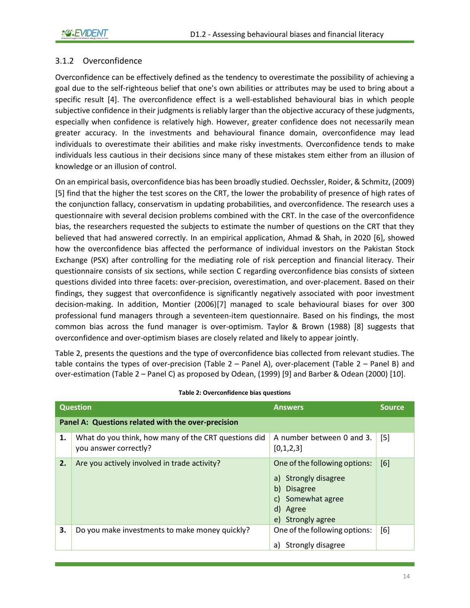#### <span id="page-14-0"></span>3.1.2 Overconfidence

Overconfidence can be effectively defined as the tendency to overestimate the possibility of achieving a goal due to the self-righteous belief that one's own abilities or attributes may be used to bring about a specific result [4]. The overconfidence effect is a well-established behavioural bias in which people subjective confidence in their judgments is reliably larger than the objective accuracy of these judgments, especially when confidence is relatively high. However, greater confidence does not necessarily mean greater accuracy. In the investments and behavioural finance domain, overconfidence may lead individuals to overestimate their abilities and make risky investments. Overconfidence tends to make individuals less cautious in their decisions since many of these mistakes stem either from an illusion of knowledge or an illusion of control.

On an empirical basis, overconfidence bias has been broadly studied. Oechssler, Roider, & Schmitz, (2009) [5] find that the higher the test scores on the CRT, the lower the probability of presence of high rates of the conjunction fallacy, conservatism in updating probabilities, and overconfidence. The research uses a questionnaire with several decision problems combined with the CRT. In the case of the overconfidence bias, the researchers requested the subjects to estimate the number of questions on the CRT that they believed that had answered correctly. In an empirical application, Ahmad & Shah, in 2020 [6], showed how the overconfidence bias affected the performance of individual investors on the Pakistan Stock Exchange (PSX) after controlling for the mediating role of risk perception and financial literacy. Their questionnaire consists of six sections, while section C regarding overconfidence bias consists of sixteen questions divided into three facets: over-precision, overestimation, and over-placement. Based on their findings, they suggest that overconfidence is significantly negatively associated with poor investment decision-making. In addition, Montier (2006)[7] managed to scale behavioural biases for over 300 professional fund managers through a seventeen-item questionnaire. Based on his findings, the most common bias across the fund manager is over-optimism. Taylor & Brown (1988) [8] suggests that overconfidence and over-optimism biases are closely related and likely to appear jointly.

[Table 2,](#page-14-1) presents the questions and the type of overconfidence bias collected from relevant studies. The table contains the types of over-precision [\(Table 2](#page-14-1) – Panel A), over-placement [\(Table 2](#page-14-1) – Panel B) and over-estimation [\(Table 2](#page-14-1) – Panel C) as proposed by Odean, (1999) [9] and Barber & Odean (2000) [10].

<span id="page-14-1"></span>

|    | <b>Question</b>                                                               | <b>Answers</b>                                                                                                                       | <b>Source</b> |
|----|-------------------------------------------------------------------------------|--------------------------------------------------------------------------------------------------------------------------------------|---------------|
|    | Panel A: Questions related with the over-precision                            |                                                                                                                                      |               |
| 1. | What do you think, how many of the CRT questions did<br>you answer correctly? | A number between 0 and 3.<br>[0,1,2,3]                                                                                               | $[5]$         |
| 2. | Are you actively involved in trade activity?                                  | One of the following options:<br>a) Strongly disagree<br>b)<br><b>Disagree</b><br>c) Somewhat agree<br>d) Agree<br>e) Strongly agree | [6]           |
| 3. | Do you make investments to make money quickly?                                | One of the following options:<br>Strongly disagree<br>a)                                                                             | [6]           |

**Table 2: Overconfidence bias questions**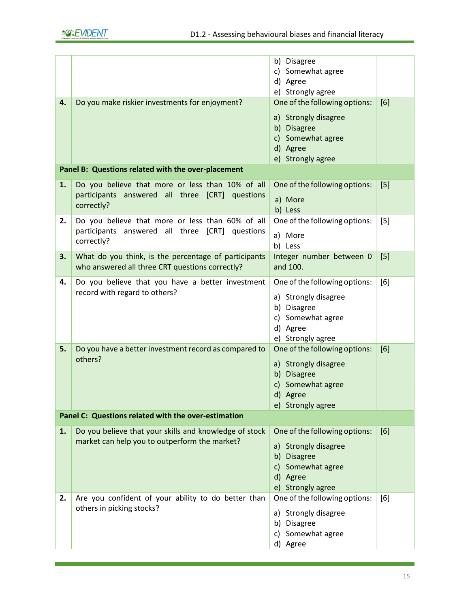|    |                                                                                                     | b) Disagree                      |       |
|----|-----------------------------------------------------------------------------------------------------|----------------------------------|-------|
|    |                                                                                                     | c) Somewhat agree                |       |
|    |                                                                                                     | d) Agree                         |       |
|    |                                                                                                     | e) Strongly agree                |       |
| 4. | Do you make riskier investments for enjoyment?                                                      | One of the following options:    | [6]   |
|    |                                                                                                     | a) Strongly disagree             |       |
|    |                                                                                                     | b) Disagree                      |       |
|    |                                                                                                     | c) Somewhat agree                |       |
|    |                                                                                                     | d) Agree                         |       |
|    |                                                                                                     | e) Strongly agree                |       |
|    | Panel B: Questions related with the over-placement                                                  |                                  |       |
| 1. | Do you believe that more or less than 10% of all                                                    | One of the following options:    | $[5]$ |
|    | participants answered all three [CRT]<br>questions                                                  |                                  |       |
|    | correctly?                                                                                          | a) More                          |       |
|    |                                                                                                     | b) Less                          |       |
| 2. | Do you believe that more or less than 60% of all<br>participants answered all three [CRT] questions | One of the following options:    | [5]   |
|    | correctly?                                                                                          | a) More                          |       |
|    |                                                                                                     | b) Less                          |       |
| 3. | What do you think, is the percentage of participants                                                | Integer number between 0         | $[5]$ |
|    | who answered all three CRT questions correctly?                                                     | and 100.                         |       |
| 4. | Do you believe that you have a better investment                                                    | One of the following options:    | [6]   |
|    | record with regard to others?                                                                       | a) Strongly disagree             |       |
|    |                                                                                                     | b) Disagree                      |       |
|    |                                                                                                     | c) Somewhat agree                |       |
|    |                                                                                                     | d) Agree                         |       |
|    |                                                                                                     | e) Strongly agree                |       |
| 5. | Do you have a better investment record as compared to                                               | One of the following options:    | [6]   |
|    | others?                                                                                             |                                  |       |
|    |                                                                                                     | a) Strongly disagree             |       |
|    |                                                                                                     | b)<br><b>Disagree</b>            |       |
|    |                                                                                                     | Somewhat agree<br>c)             |       |
|    |                                                                                                     | d) Agree                         |       |
|    |                                                                                                     | e) Strongly agree                |       |
|    | Panel C: Questions related with the over-estimation                                                 |                                  |       |
| 1. | Do you believe that your skills and knowledge of stock                                              | One of the following options:    | [6]   |
|    | market can help you to outperform the market?                                                       | a) Strongly disagree             |       |
|    |                                                                                                     | b)<br><b>Disagree</b>            |       |
|    |                                                                                                     | Somewhat agree<br>$\mathsf{c}$ ) |       |
|    |                                                                                                     | d) Agree                         |       |
|    |                                                                                                     | e) Strongly agree                |       |
| 2. | Are you confident of your ability to do better than                                                 | One of the following options:    | [6]   |
|    | others in picking stocks?                                                                           | Strongly disagree<br>a)          |       |
|    |                                                                                                     | b) Disagree                      |       |
|    |                                                                                                     | c) Somewhat agree                |       |
|    |                                                                                                     | d) Agree                         |       |
|    |                                                                                                     |                                  |       |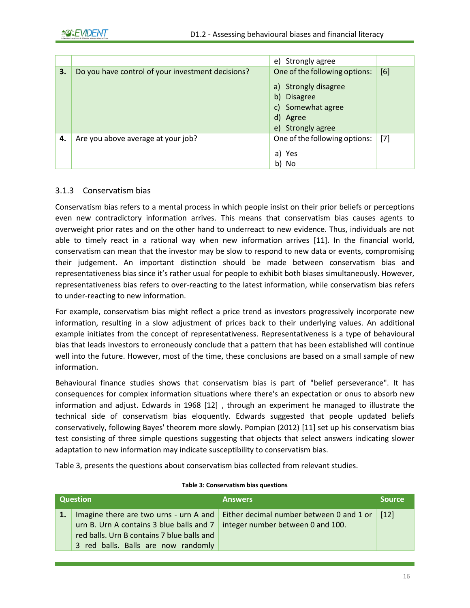|    |                                                   | e) Strongly agree                                                                                                                    |       |
|----|---------------------------------------------------|--------------------------------------------------------------------------------------------------------------------------------------|-------|
| 3. | Do you have control of your investment decisions? | One of the following options:<br>a) Strongly disagree<br>b)<br><b>Disagree</b><br>c) Somewhat agree<br>d) Agree<br>e) Strongly agree | [6]   |
| 4. | Are you above average at your job?                | One of the following options:<br>a) Yes<br>b) No                                                                                     | $[7]$ |

#### <span id="page-16-0"></span>3.1.3 Conservatism bias

Conservatism bias refers to a mental process in which people insist on their prior beliefs or perceptions even new contradictory information arrives. This means that conservatism bias causes agents to overweight prior rates and on the other hand to underreact to new evidence. Thus, individuals are not able to timely react in a rational way when new information arrives [11]. In the financial world, conservatism can mean that the investor may be slow to respond to new data or events, compromising their judgement. An important distinction should be made between conservatism bias and representativeness bias since it's rather usual for people to exhibit both biases simultaneously. However, representativeness bias refers to over-reacting to the latest information, while conservatism bias refers to under-reacting to new information.

For example, conservatism bias might reflect a price trend as investors progressively incorporate new information, resulting in a slow adjustment of prices back to their underlying values. An additional example initiates from the concept of representativeness. Representativeness is a type of behavioural bias that leads investors to erroneously conclude that a pattern that has been established will continue well into the future. However, most of the time, these conclusions are based on a small sample of new information.

Behavioural finance studies shows that conservatism bias is part of "belief perseverance". It has consequences for complex information situations where there's an expectation or onus to absorb new information and adjust. Edwards in 1968 [12] , through an experiment he managed to illustrate the technical side of conservatism bias eloquently. Edwards suggested that people updated beliefs conservatively, following Bayes' theorem more slowly. Pompian (2012) [11] set up his conservatism bias test consisting of three simple questions suggesting that objects that select answers indicating slower adaptation to new information may indicate susceptibility to conservatism bias.

<span id="page-16-1"></span>[Table 3,](#page-16-1) presents the questions about conservatism bias collected from relevant studies.

| Question                                                                                       | <b>Answers</b>                                                                             | <b>Source</b> |
|------------------------------------------------------------------------------------------------|--------------------------------------------------------------------------------------------|---------------|
| Imagine there are two urns - urn A and<br>urn B. Urn A contains 3 blue balls and $7 \parallel$ | Either decimal number between 0 and 1 or $\vert$ [12]<br>integer number between 0 and 100. |               |
| red balls. Urn B contains 7 blue balls and                                                     |                                                                                            |               |
| 3 red balls. Balls are now randomly                                                            |                                                                                            |               |

#### **Table 3: Conservatism bias questions**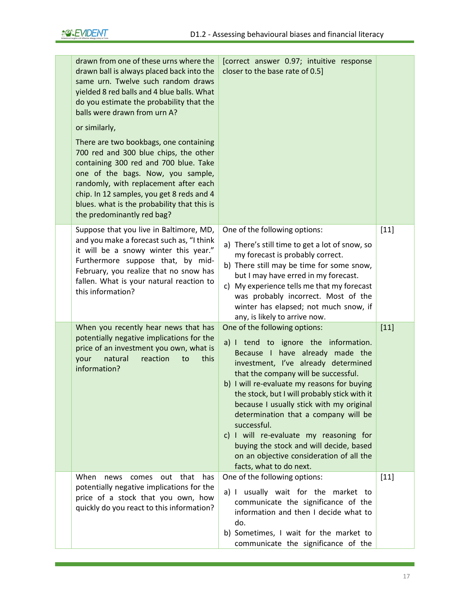| drawn from one of these urns where the<br>drawn ball is always placed back into the<br>same urn. Twelve such random draws<br>yielded 8 red balls and 4 blue balls. What<br>do you estimate the probability that the<br>balls were drawn from urn A?<br>or similarly,<br>There are two bookbags, one containing | [correct answer 0.97; intuitive response<br>closer to the base rate of 0.5]                                                                                                                                                                                                                                                                                                                                                                                                                                                                           |        |
|----------------------------------------------------------------------------------------------------------------------------------------------------------------------------------------------------------------------------------------------------------------------------------------------------------------|-------------------------------------------------------------------------------------------------------------------------------------------------------------------------------------------------------------------------------------------------------------------------------------------------------------------------------------------------------------------------------------------------------------------------------------------------------------------------------------------------------------------------------------------------------|--------|
| 700 red and 300 blue chips, the other<br>containing 300 red and 700 blue. Take<br>one of the bags. Now, you sample,<br>randomly, with replacement after each<br>chip. In 12 samples, you get 8 reds and 4<br>blues. what is the probability that this is<br>the predominantly red bag?                         |                                                                                                                                                                                                                                                                                                                                                                                                                                                                                                                                                       |        |
| Suppose that you live in Baltimore, MD,<br>and you make a forecast such as, "I think<br>it will be a snowy winter this year."<br>Furthermore suppose that, by mid-<br>February, you realize that no snow has<br>fallen. What is your natural reaction to<br>this information?                                  | One of the following options:<br>a) There's still time to get a lot of snow, so<br>my forecast is probably correct.<br>b) There still may be time for some snow,<br>but I may have erred in my forecast.<br>c) My experience tells me that my forecast<br>was probably incorrect. Most of the<br>winter has elapsed; not much snow, if<br>any, is likely to arrive now.                                                                                                                                                                               | $[11]$ |
| When you recently hear news that has<br>potentially negative implications for the<br>price of an investment you own, what is<br>natural<br>reaction<br>your<br>this<br>to<br>information?                                                                                                                      | One of the following options:<br>a) I tend to ignore the information.<br>Because I have already made the<br>investment, I've already determined<br>that the company will be successful.<br>b) I will re-evaluate my reasons for buying<br>the stock, but I will probably stick with it<br>because I usually stick with my original<br>determination that a company will be<br>successful.<br>c) I will re-evaluate my reasoning for<br>buying the stock and will decide, based<br>on an objective consideration of all the<br>facts, what to do next. | $[11]$ |
| When<br>out that<br>news<br>comes<br>has<br>potentially negative implications for the<br>price of a stock that you own, how<br>quickly do you react to this information?                                                                                                                                       | One of the following options:<br>a) I usually wait for the market to<br>communicate the significance of the<br>information and then I decide what to<br>do.<br>b) Sometimes, I wait for the market to<br>communicate the significance of the                                                                                                                                                                                                                                                                                                          | $[11]$ |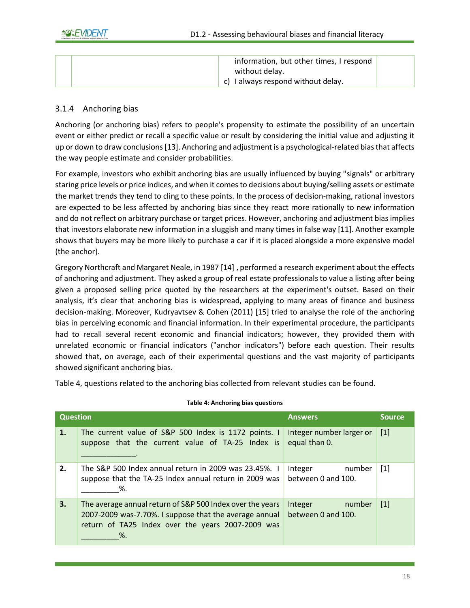| information, but other times, I respond |  |
|-----------------------------------------|--|
| without delay.                          |  |
| I always respond without delay.<br>C)   |  |

#### <span id="page-18-0"></span>3.1.4 Anchoring bias

Anchoring (or anchoring bias) refers to people's propensity to estimate the possibility of an uncertain event or either predict or recall a specific value or result by considering the initial value and adjusting it up or down to draw conclusions [13]. Anchoring and adjustment is a psychological-related biasthat affects the way people estimate and consider probabilities.

For example, investors who exhibit anchoring bias are usually influenced by buying "signals" or arbitrary staring price levels or price indices, and when it comes to decisions about buying/selling assets or estimate the market trends they tend to cling to these points. In the process of decision-making, rational investors are expected to be less affected by anchoring bias since they react more rationally to new information and do not reflect on arbitrary purchase or target prices. However, anchoring and adjustment bias implies that investors elaborate new information in a sluggish and many times in false way [11]. Another example shows that buyers may be more likely to purchase a car if it is placed alongside a more expensive model (the anchor).

Gregory Northcraft and Margaret Neale, in 1987 [14] , performed a research experiment about the effects of anchoring and adjustment. They asked a group of real estate professionals to value a listing after being given a proposed selling price quoted by the researchers at the experiment's outset. Based on their analysis, it's clear that anchoring bias is widespread, applying to many areas of finance and business decision-making. Moreover, Kudryavtsev & Cohen (2011) [15] tried to analyse the role of the anchoring bias in perceiving economic and financial information. In their experimental procedure, the participants had to recall several recent economic and financial indicators; however, they provided them with unrelated economic or financial indicators ("anchor indicators") before each question. Their results showed that, on average, each of their experimental questions and the vast majority of participants showed significant anchoring bias.

<span id="page-18-1"></span>[Table 4,](#page-18-1) questions related to the anchoring bias collected from relevant studies can be found.

| <b>Question</b> |                                                                                                                                                                                | <b>Answers</b>                            | <b>Source</b> |
|-----------------|--------------------------------------------------------------------------------------------------------------------------------------------------------------------------------|-------------------------------------------|---------------|
| 1.              | The current value of S&P 500 Index is 1172 points. I<br>suppose that the current value of TA-25 Index is                                                                       | Integer number larger or<br>equal than 0. | $[1]$         |
| 2.              | The S&P 500 Index annual return in 2009 was 23.45%. I<br>suppose that the TA-25 Index annual return in 2009 was<br>%.                                                          | Integer<br>number<br>between 0 and 100.   | $[1]$         |
| 3.              | The average annual return of S&P 500 Index over the years<br>2007-2009 was-7.70%. I suppose that the average annual<br>return of TA25 Index over the years 2007-2009 was<br>%. | Integer<br>number<br>between 0 and 100.   | $[1]$         |

#### **Table 4: Anchoring bias questions**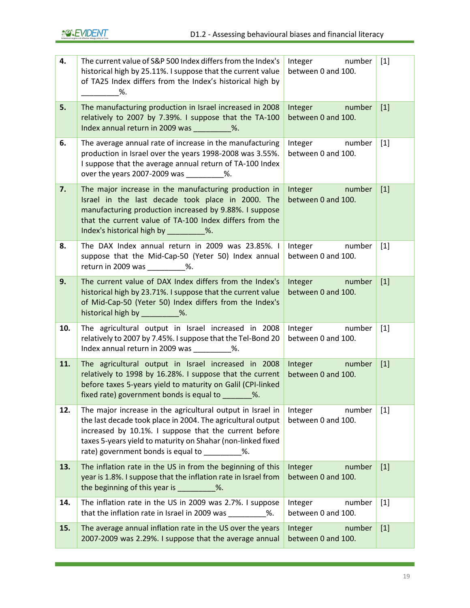| 4.  | The current value of S&P 500 Index differs from the Index's<br>historical high by 25.11%. I suppose that the current value<br>of TA25 Index differs from the Index's historical high by<br>%.                                                                                               | Integer<br>number<br>between 0 and 100. | $[1]$ |
|-----|---------------------------------------------------------------------------------------------------------------------------------------------------------------------------------------------------------------------------------------------------------------------------------------------|-----------------------------------------|-------|
| 5.  | The manufacturing production in Israel increased in 2008<br>relatively to 2007 by 7.39%. I suppose that the TA-100<br>Index annual return in 2009 was _________%.                                                                                                                           | number<br>Integer<br>between 0 and 100. | $[1]$ |
| 6.  | The average annual rate of increase in the manufacturing<br>production in Israel over the years 1998-2008 was 3.55%.<br>I suppose that the average annual return of TA-100 Index<br>over the years 2007-2009 was _________%.                                                                | Integer<br>number<br>between 0 and 100. | $[1]$ |
| 7.  | The major increase in the manufacturing production in<br>Israel in the last decade took place in 2000. The<br>manufacturing production increased by 9.88%. I suppose<br>that the current value of TA-100 Index differs from the<br>Index's historical high by __________%.                  | Integer<br>number<br>between 0 and 100. | $[1]$ |
| 8.  | The DAX Index annual return in 2009 was 23.85%. I<br>suppose that the Mid-Cap-50 (Yeter 50) Index annual<br>return in 2009 was _________%.                                                                                                                                                  | Integer<br>number<br>between 0 and 100. | $[1]$ |
| 9.  | The current value of DAX Index differs from the Index's<br>historical high by 23.71%. I suppose that the current value<br>of Mid-Cap-50 (Yeter 50) Index differs from the Index's<br>historical high by __________%.                                                                        | Integer<br>number<br>between 0 and 100. | $[1]$ |
| 10. | The agricultural output in Israel increased in 2008<br>relatively to 2007 by 7.45%. I suppose that the Tel-Bond 20<br>Index annual return in 2009 was _________%.                                                                                                                           | Integer<br>number<br>between 0 and 100. | $[1]$ |
| 11. | The agricultural output in Israel increased in 2008<br>relatively to 1998 by 16.28%. I suppose that the current<br>before taxes 5-years yield to maturity on Galil (CPI-linked<br>fixed rate) government bonds is equal to %.                                                               | Integer<br>number<br>between 0 and 100. | $[1]$ |
| 12. | The major increase in the agricultural output in Israel in<br>the last decade took place in 2004. The agricultural output<br>increased by 10.1%. I suppose that the current before<br>taxes 5-years yield to maturity on Shahar (non-linked fixed<br>rate) government bonds is equal to 3%. | Integer<br>number<br>between 0 and 100. | $[1]$ |
| 13. | The inflation rate in the US in from the beginning of this<br>year is 1.8%. I suppose that the inflation rate in Israel from<br>the beginning of this year is __________%.                                                                                                                  | number<br>Integer<br>between 0 and 100. | $[1]$ |
| 14. | The inflation rate in the US in 2009 was 2.7%. I suppose<br>that the inflation rate in Israel in 2009 was __________ %.                                                                                                                                                                     | number<br>Integer<br>between 0 and 100. | $[1]$ |
| 15. | The average annual inflation rate in the US over the years<br>2007-2009 was 2.29%. I suppose that the average annual                                                                                                                                                                        | number<br>Integer<br>between 0 and 100. | $[1]$ |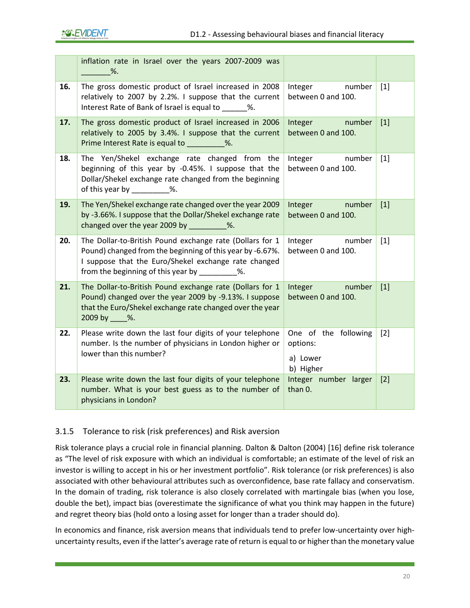|     | inflation rate in Israel over the years 2007-2009 was<br>$\%$ .                                                                                                                                                                |                                                           |       |
|-----|--------------------------------------------------------------------------------------------------------------------------------------------------------------------------------------------------------------------------------|-----------------------------------------------------------|-------|
| 16. | The gross domestic product of Israel increased in 2008<br>relatively to 2007 by 2.2%. I suppose that the current<br>Interest Rate of Bank of Israel is equal to ______ %.                                                      | number<br>Integer<br>between 0 and 100.                   | $[1]$ |
| 17. | The gross domestic product of Israel increased in 2006<br>relatively to 2005 by 3.4%. I suppose that the current<br>Prime Interest Rate is equal to _________%.                                                                | number<br>Integer<br>between 0 and 100.                   | $[1]$ |
| 18. | The Yen/Shekel exchange rate changed from the<br>beginning of this year by -0.45%. I suppose that the<br>Dollar/Shekel exchange rate changed from the beginning<br>of this year by ___________%.                               | number<br>Integer<br>between 0 and 100.                   | $[1]$ |
| 19. | The Yen/Shekel exchange rate changed over the year 2009<br>by -3.66%. I suppose that the Dollar/Shekel exchange rate<br>changed over the year 2009 by __________%.                                                             | number<br><b>Integer</b><br>between 0 and 100.            | $[1]$ |
| 20. | The Dollar-to-British Pound exchange rate (Dollars for 1<br>Pound) changed from the beginning of this year by -6.67%.<br>I suppose that the Euro/Shekel exchange rate changed<br>from the beginning of this year by 1990 1990. | Integer<br>number<br>between 0 and 100.                   | $[1]$ |
| 21. | The Dollar-to-British Pound exchange rate (Dollars for 1<br>Pound) changed over the year 2009 by -9.13%. I suppose<br>that the Euro/Shekel exchange rate changed over the year<br>2009 by ____ %.                              | Integer<br>number<br>between 0 and 100.                   | $[1]$ |
| 22. | Please write down the last four digits of your telephone<br>number. Is the number of physicians in London higher or<br>lower than this number?                                                                                 | One of the following<br>options:<br>a) Lower<br>b) Higher | $[2]$ |
| 23. | Please write down the last four digits of your telephone<br>number. What is your best guess as to the number of<br>physicians in London?                                                                                       | Integer number larger<br>than 0.                          | $[2]$ |

### <span id="page-20-0"></span>3.1.5 Tolerance to risk (risk preferences) and Risk aversion

Risk tolerance plays a crucial role in financial planning. Dalton & Dalton (2004) [16] define risk tolerance as "The level of risk exposure with which an individual is comfortable; an estimate of the level of risk an investor is willing to accept in his or her investment portfolio". Risk tolerance (or risk preferences) is also associated with other behavioural attributes such as overconfidence, base rate fallacy and conservatism. In the domain of trading, risk tolerance is also closely correlated with martingale bias (when you lose, double the bet), impact bias (overestimate the significance of what you think may happen in the future) and regret theory bias (hold onto a losing asset for longer than a trader should do).

In economics and finance, risk aversion means that individuals tend to prefer low-uncertainty over highuncertainty results, even if the latter's average rate of return is equal to or higher than the monetary value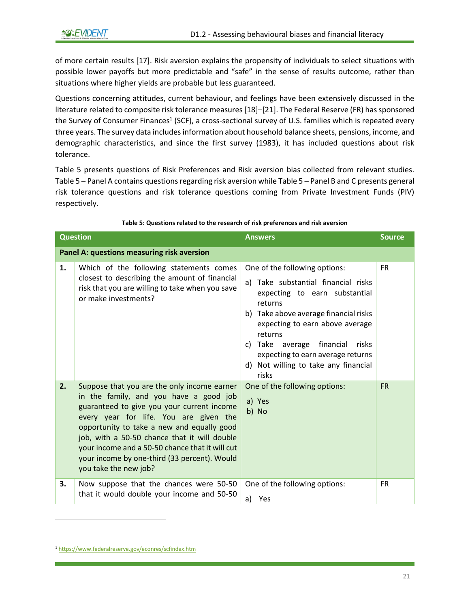of more certain results [17]. Risk aversion explains the propensity of individuals to select situations with possible lower payoffs but more predictable and "safe" in the sense of results outcome, rather than situations where higher yields are probable but less guaranteed.

Questions concerning attitudes, current behaviour, and feelings have been extensively discussed in the literature related to composite risk tolerance measures [18]–[21]. The Federal Reserve (FR) has sponsored the Survey of Consumer Finances<sup>1</sup> (SCF), a cross-sectional survey of U.S. families which is repeated every three years. The survey data includes information about household balance sheets, pensions, income, and demographic characteristics, and since the first survey (1983), it has included questions about risk tolerance.

[Table 5](#page-21-0) presents questions of Risk Preferences and Risk aversion bias collected from relevant studies. [Table 5](#page-21-0) – Panel A contains questions regarding risk aversion whil[e Table 5](#page-21-0) – Panel B and C presents general risk tolerance questions and risk tolerance questions coming from Private Investment Funds (PIV) respectively.

<span id="page-21-0"></span>

|    | <b>Question</b>                                                                                                                                                                                                                                                                                                                                                                                         | <b>Answers</b>                                                                                                                                                                                                                                                                                                                      | <b>Source</b> |
|----|---------------------------------------------------------------------------------------------------------------------------------------------------------------------------------------------------------------------------------------------------------------------------------------------------------------------------------------------------------------------------------------------------------|-------------------------------------------------------------------------------------------------------------------------------------------------------------------------------------------------------------------------------------------------------------------------------------------------------------------------------------|---------------|
|    | Panel A: questions measuring risk aversion                                                                                                                                                                                                                                                                                                                                                              |                                                                                                                                                                                                                                                                                                                                     |               |
| 1. | Which of the following statements comes<br>closest to describing the amount of financial<br>risk that you are willing to take when you save<br>or make investments?                                                                                                                                                                                                                                     | One of the following options:<br>a) Take substantial financial risks<br>expecting to earn substantial<br>returns<br>b) Take above average financial risks<br>expecting to earn above average<br>returns<br>c) Take average financial<br>risks<br>expecting to earn average returns<br>d) Not willing to take any financial<br>risks | <b>FR</b>     |
| 2. | Suppose that you are the only income earner<br>in the family, and you have a good job<br>guaranteed to give you your current income<br>every year for life. You are given the<br>opportunity to take a new and equally good<br>job, with a 50-50 chance that it will double<br>your income and a 50-50 chance that it will cut<br>your income by one-third (33 percent). Would<br>you take the new job? | One of the following options:<br>a) Yes<br>b) No                                                                                                                                                                                                                                                                                    | <b>FR</b>     |
| З. | Now suppose that the chances were 50-50<br>that it would double your income and 50-50                                                                                                                                                                                                                                                                                                                   | One of the following options:<br>a) Yes                                                                                                                                                                                                                                                                                             | <b>FR</b>     |

#### **Table 5: Questions related to the research of risk preferences and risk aversion**

<sup>1</sup> <https://www.federalreserve.gov/econres/scfindex.htm>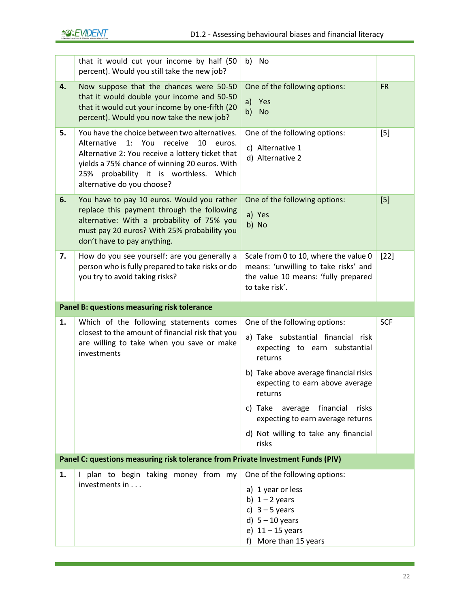|    | that it would cut your income by half (50<br>percent). Would you still take the new job?                                                                                                                                                                                         | No<br>b)                                                                                                                                                                                                                                                                                                                              |            |
|----|----------------------------------------------------------------------------------------------------------------------------------------------------------------------------------------------------------------------------------------------------------------------------------|---------------------------------------------------------------------------------------------------------------------------------------------------------------------------------------------------------------------------------------------------------------------------------------------------------------------------------------|------------|
| 4. | Now suppose that the chances were 50-50<br>that it would double your income and 50-50<br>that it would cut your income by one-fifth (20<br>percent). Would you now take the new job?                                                                                             | One of the following options:<br>a)<br>Yes<br>b)<br><b>No</b>                                                                                                                                                                                                                                                                         | <b>FR</b>  |
| 5. | You have the choice between two alternatives.<br>Alternative<br>$1:$ You<br>10<br>receive<br>euros.<br>Alternative 2: You receive a lottery ticket that<br>yields a 75% chance of winning 20 euros. With<br>25% probability it is worthless. Which<br>alternative do you choose? | One of the following options:<br>c) Alternative 1<br>d) Alternative 2                                                                                                                                                                                                                                                                 | $[5]$      |
| 6. | You have to pay 10 euros. Would you rather<br>replace this payment through the following<br>alternative: With a probability of 75% you<br>must pay 20 euros? With 25% probability you<br>don't have to pay anything.                                                             | One of the following options:<br>a) Yes<br>b) No                                                                                                                                                                                                                                                                                      | $[5]$      |
| 7. | How do you see yourself: are you generally a<br>person who is fully prepared to take risks or do<br>you try to avoid taking risks?                                                                                                                                               | Scale from 0 to 10, where the value 0<br>means: 'unwilling to take risks' and<br>the value 10 means: 'fully prepared<br>to take risk'.                                                                                                                                                                                                | $[22]$     |
|    | Panel B: questions measuring risk tolerance                                                                                                                                                                                                                                      |                                                                                                                                                                                                                                                                                                                                       |            |
|    |                                                                                                                                                                                                                                                                                  |                                                                                                                                                                                                                                                                                                                                       |            |
| 1. | Which of the following statements comes<br>closest to the amount of financial risk that you<br>are willing to take when you save or make<br>investments                                                                                                                          | One of the following options:<br>a) Take substantial financial<br>risk<br>expecting to earn substantial<br>returns<br>b) Take above average financial risks<br>expecting to earn above average<br>returns<br>c) Take average financial<br>risks<br>expecting to earn average returns<br>d) Not willing to take any financial<br>risks | <b>SCF</b> |
|    | Panel C: questions measuring risk tolerance from Private Investment Funds (PIV)                                                                                                                                                                                                  |                                                                                                                                                                                                                                                                                                                                       |            |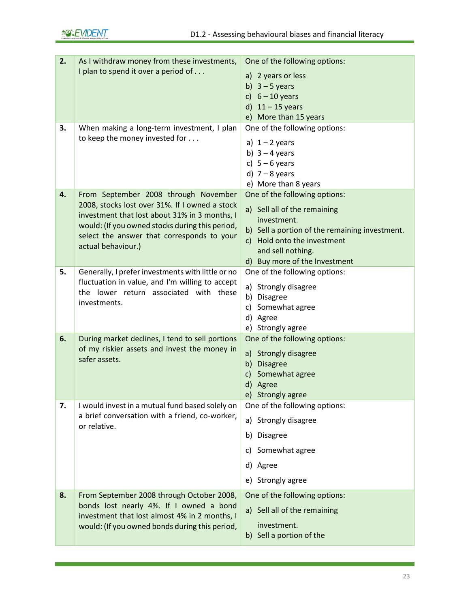| 2. | As I withdraw money from these investments,                                                     | One of the following options:                  |
|----|-------------------------------------------------------------------------------------------------|------------------------------------------------|
|    | I plan to spend it over a period of                                                             | a) 2 years or less                             |
|    |                                                                                                 | b) $3 - 5$ years                               |
|    |                                                                                                 | c) $6 - 10$ years                              |
|    |                                                                                                 | d)<br>$11 - 15$ years                          |
|    |                                                                                                 | e) More than 15 years                          |
| 3. | When making a long-term investment, I plan                                                      | One of the following options:                  |
|    | to keep the money invested for                                                                  | a) $1 - 2$ years                               |
|    |                                                                                                 | b) $3 - 4$ years                               |
|    |                                                                                                 | c) $5-6$ years                                 |
|    |                                                                                                 | d) $7 - 8$ years                               |
|    |                                                                                                 | e) More than 8 years                           |
| 4. | From September 2008 through November                                                            | One of the following options:                  |
|    | 2008, stocks lost over 31%. If I owned a stock                                                  | a) Sell all of the remaining                   |
|    | investment that lost about 31% in 3 months, I                                                   | investment.                                    |
|    | would: (If you owned stocks during this period,<br>select the answer that corresponds to your   | b) Sell a portion of the remaining investment. |
|    | actual behaviour.)                                                                              | c) Hold onto the investment                    |
|    |                                                                                                 | and sell nothing.                              |
|    |                                                                                                 | d) Buy more of the Investment                  |
| 5. | Generally, I prefer investments with little or no                                               | One of the following options:                  |
|    | fluctuation in value, and I'm willing to accept<br>the lower return associated with these       | a) Strongly disagree                           |
|    | investments.                                                                                    | b) Disagree                                    |
|    |                                                                                                 | c) Somewhat agree                              |
|    |                                                                                                 | d) Agree                                       |
| 6. |                                                                                                 | e) Strongly agree                              |
|    | During market declines, I tend to sell portions<br>of my riskier assets and invest the money in | One of the following options:                  |
|    | safer assets.                                                                                   | a) Strongly disagree                           |
|    |                                                                                                 | b)<br><b>Disagree</b>                          |
|    |                                                                                                 | Somewhat agree<br>$\mathsf{c}$ )<br>d)         |
|    |                                                                                                 | Agree<br>e) Strongly agree                     |
| 7. | I would invest in a mutual fund based solely on                                                 | One of the following options:                  |
|    | a brief conversation with a friend, co-worker,                                                  |                                                |
|    | or relative.                                                                                    | a) Strongly disagree                           |
|    |                                                                                                 | <b>Disagree</b><br>b)                          |
|    |                                                                                                 | c) Somewhat agree                              |
|    |                                                                                                 | d) Agree                                       |
|    |                                                                                                 | e) Strongly agree                              |
| 8. | From September 2008 through October 2008,                                                       | One of the following options:                  |
|    | bonds lost nearly 4%. If I owned a bond<br>investment that lost almost 4% in 2 months, I        | a) Sell all of the remaining                   |
|    | would: (If you owned bonds during this period,                                                  | investment.                                    |
|    |                                                                                                 | b) Sell a portion of the                       |
|    |                                                                                                 |                                                |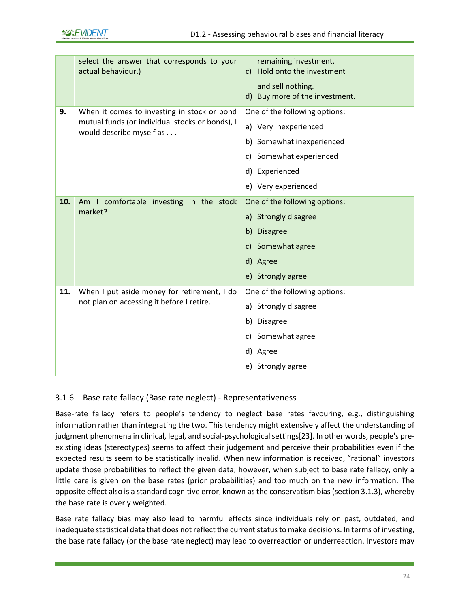|     | select the answer that corresponds to your<br>actual behaviour.)                                                           | remaining investment.<br>Hold onto the investment<br>C)<br>and sell nothing.<br>d) Buy more of the investment.                                          |
|-----|----------------------------------------------------------------------------------------------------------------------------|---------------------------------------------------------------------------------------------------------------------------------------------------------|
| 9.  | When it comes to investing in stock or bond<br>mutual funds (or individual stocks or bonds), I<br>would describe myself as | One of the following options:<br>a) Very inexperienced<br>b) Somewhat inexperienced<br>c) Somewhat experienced<br>d) Experienced<br>e) Very experienced |
| 10. | Am I comfortable investing in the stock<br>market?                                                                         | One of the following options:<br>a) Strongly disagree<br>b)<br><b>Disagree</b><br>Somewhat agree<br>$\mathsf{C}$<br>d) Agree<br>e) Strongly agree       |
| 11. | When I put aside money for retirement, I do<br>not plan on accessing it before I retire.                                   | One of the following options:<br>a) Strongly disagree<br><b>Disagree</b><br>b)<br>Somewhat agree<br>c)<br>d) Agree<br>e) Strongly agree                 |

### <span id="page-24-0"></span>3.1.6 Base rate fallacy (Base rate neglect) - Representativeness

Base-rate fallacy refers to people's tendency to neglect base rates favouring, e.g., distinguishing information rather than integrating the two. This tendency might extensively affect the understanding of judgment phenomena in clinical, legal, and social-psychological settings[23]. In other words, people's preexisting ideas (stereotypes) seems to affect their judgement and perceive their probabilities even if the expected results seem to be statistically invalid. When new information is received, "rational" investors update those probabilities to reflect the given data; however, when subject to base rate fallacy, only a little care is given on the base rates (prior probabilities) and too much on the new information. The opposite effect also is a standard cognitive error, known as the conservatism bias (section 3.1.3), whereby the base rate is overly weighted.

Base rate fallacy bias may also lead to harmful effects since individuals rely on past, outdated, and inadequate statistical data that does not reflect the current status to make decisions. In terms of investing, the base rate fallacy (or the base rate neglect) may lead to overreaction or underreaction. Investors may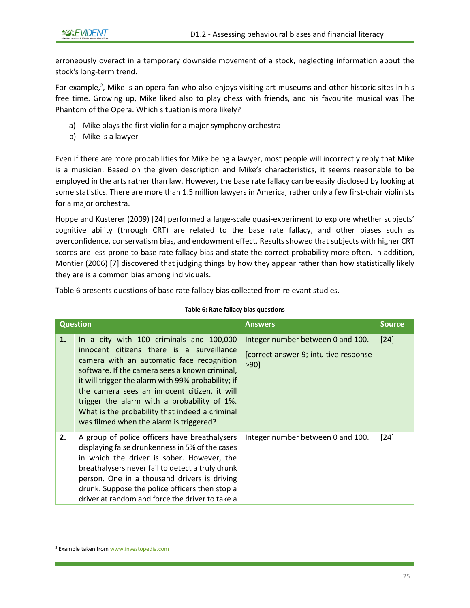erroneously overact in a temporary downside movement of a stock, neglecting information about the stock's long-term trend.

For example,<sup>2</sup>, Mike is an opera fan who also enjoys visiting art museums and other historic sites in his free time. Growing up, Mike liked also to play chess with friends, and his favourite musical was The Phantom of the Opera. Which situation is more likely?

- a) Mike plays the first violin for a major symphony orchestra
- b) Mike is a lawyer

Even if there are more probabilities for Mike being a lawyer, most people will incorrectly reply that Mike is a musician. Based on the given description and Mike's characteristics, it seems reasonable to be employed in the arts rather than law. However, the base rate fallacy can be easily disclosed by looking at some statistics. There are more than 1.5 million lawyers in America, rather only a few first-chair violinists for a major orchestra.

Hoppe and Kusterer (2009) [24] performed a large-scale quasi-experiment to explore whether subjects' cognitive ability (through CRT) are related to the base rate fallacy, and other biases such as overconfidence, conservatism bias, and endowment effect. Results showed that subjects with higher CRT scores are less prone to base rate fallacy bias and state the correct probability more often. In addition, Montier (2006) [7] discovered that judging things by how they appear rather than how statistically likely they are is a common bias among individuals.

<span id="page-25-0"></span>[Table 6](#page-25-0) presents questions of base rate fallacy bias collected from relevant studies.

|    | <b>Question</b>                                                                                                                                                                                                                                                                                                                                                                                                                        | <b>Answers</b>                                                                        | <b>Source</b> |
|----|----------------------------------------------------------------------------------------------------------------------------------------------------------------------------------------------------------------------------------------------------------------------------------------------------------------------------------------------------------------------------------------------------------------------------------------|---------------------------------------------------------------------------------------|---------------|
| 1. | In a city with 100 criminals and 100,000<br>innocent citizens there is a surveillance<br>camera with an automatic face recognition<br>software. If the camera sees a known criminal,<br>it will trigger the alarm with 99% probability; if<br>the camera sees an innocent citizen, it will<br>trigger the alarm with a probability of 1%.<br>What is the probability that indeed a criminal<br>was filmed when the alarm is triggered? | Integer number between 0 and 100.<br>[correct answer 9; intuitive response<br>$>90$ ] | $[24]$        |
| 2. | A group of police officers have breathalysers<br>displaying false drunkenness in 5% of the cases<br>in which the driver is sober. However, the<br>breathalysers never fail to detect a truly drunk<br>person. One in a thousand drivers is driving<br>drunk. Suppose the police officers then stop a<br>driver at random and force the driver to take a                                                                                | Integer number between 0 and 100.                                                     | $[24]$        |

#### **Table 6: Rate fallacy bias questions**

<sup>2</sup> Example taken fro[m www.investopedia.com](http://www.investopedia.com/)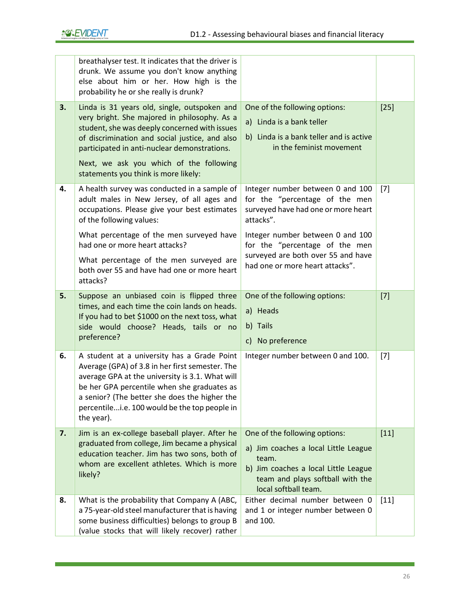|    | breathalyser test. It indicates that the driver is<br>drunk. We assume you don't know anything<br>else about him or her. How high is the<br>probability he or she really is drunk?                                                                                                                                                                         |                                                                                                                                                                                                                                                                       |        |
|----|------------------------------------------------------------------------------------------------------------------------------------------------------------------------------------------------------------------------------------------------------------------------------------------------------------------------------------------------------------|-----------------------------------------------------------------------------------------------------------------------------------------------------------------------------------------------------------------------------------------------------------------------|--------|
| 3. | Linda is 31 years old, single, outspoken and<br>very bright. She majored in philosophy. As a<br>student, she was deeply concerned with issues<br>of discrimination and social justice, and also<br>participated in anti-nuclear demonstrations.<br>Next, we ask you which of the following<br>statements you think is more likely:                         | One of the following options:<br>a) Linda is a bank teller<br>b) Linda is a bank teller and is active<br>in the feminist movement                                                                                                                                     | $[25]$ |
| 4. | A health survey was conducted in a sample of<br>adult males in New Jersey, of all ages and<br>occupations. Please give your best estimates<br>of the following values:<br>What percentage of the men surveyed have<br>had one or more heart attacks?<br>What percentage of the men surveyed are<br>both over 55 and have had one or more heart<br>attacks? | Integer number between 0 and 100<br>for the "percentage of the men<br>surveyed have had one or more heart<br>attacks".<br>Integer number between 0 and 100<br>for the "percentage of the men<br>surveyed are both over 55 and have<br>had one or more heart attacks". | $[7]$  |
| 5. | Suppose an unbiased coin is flipped three<br>times, and each time the coin lands on heads.<br>If you had to bet \$1000 on the next toss, what<br>side would choose? Heads, tails or no<br>preference?                                                                                                                                                      | One of the following options:<br>a) Heads<br>b) Tails<br>c) No preference                                                                                                                                                                                             | $[7]$  |
| 6. | A student at a university has a Grade Point<br>Average (GPA) of 3.8 in her first semester. The<br>average GPA at the university is 3.1. What will<br>be her GPA percentile when she graduates as<br>a senior? (The better she does the higher the<br>percentilei.e. 100 would be the top people in<br>the year).                                           | Integer number between 0 and 100.                                                                                                                                                                                                                                     | $[7]$  |
| 7. | Jim is an ex-college baseball player. After he<br>graduated from college, Jim became a physical<br>education teacher. Jim has two sons, both of<br>whom are excellent athletes. Which is more<br>likely?                                                                                                                                                   | One of the following options:<br>a) Jim coaches a local Little League<br>team.<br>b) Jim coaches a local Little League<br>team and plays softball with the<br>local softball team.                                                                                    | $[11]$ |
| 8. | What is the probability that Company A (ABC,<br>a 75-year-old steel manufacturer that is having<br>some business difficulties) belongs to group B<br>(value stocks that will likely recover) rather                                                                                                                                                        | Either decimal number between 0<br>and 1 or integer number between 0<br>and 100.                                                                                                                                                                                      | $[11]$ |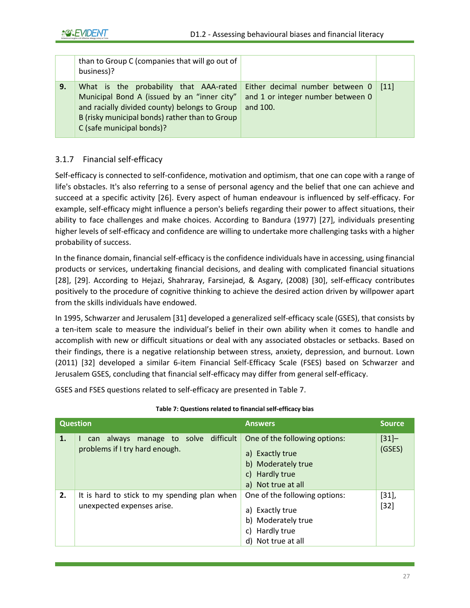|    | than to Group C (companies that will go out of<br>business)?                                                                                                                                                          |                                                                                  |                    |
|----|-----------------------------------------------------------------------------------------------------------------------------------------------------------------------------------------------------------------------|----------------------------------------------------------------------------------|--------------------|
| 9. | What is the probability that AAA-rated<br>Municipal Bond A (issued by an "inner city"<br>and racially divided county) belongs to Group<br>B (risky municipal bonds) rather than to Group<br>C (safe municipal bonds)? | Either decimal number between 0<br>and 1 or integer number between 0<br>and 100. | $\lceil 11 \rceil$ |

#### <span id="page-27-0"></span>3.1.7 Financial self-efficacy

Self-efficacy is connected to self-confidence, motivation and optimism, that one can cope with a range of life's obstacles. It's also referring to a sense of personal agency and the belief that one can achieve and succeed at a specific activity [26]. Every aspect of human endeavour is influenced by self-efficacy. For example, self-efficacy might influence a person's beliefs regarding their power to affect situations, their ability to face challenges and make choices. According to Bandura (1977) [27], individuals presenting higher levels of self-efficacy and confidence are willing to undertake more challenging tasks with a higher probability of success.

In the finance domain, financial self-efficacy is the confidence individuals have in accessing, using financial products or services, undertaking financial decisions, and dealing with complicated financial situations [28], [29]. According to Hejazi, Shahraray, Farsinejad, & Asgary, (2008) [30], self-efficacy contributes positively to the procedure of cognitive thinking to achieve the desired action driven by willpower apart from the skills individuals have endowed.

In 1995, Schwarzer and Jerusalem [31] developed a generalized self-efficacy scale (GSES), that consists by a ten-item scale to measure the individual's belief in their own ability when it comes to handle and accomplish with new or difficult situations or deal with any associated obstacles or setbacks. Based on their findings, there is a negative relationship between stress, anxiety, depression, and burnout. Lown (2011) [32] developed a similar 6-item Financial Self-Efficacy Scale (FSES) based on Schwarzer and Jerusalem GSES, concluding that financial self-efficacy may differ from general self-efficacy.

<span id="page-27-1"></span>GSES and FSES questions related to self-efficacy are presented in [Table 7.](#page-27-1)

| <b>Question</b> |                                                                              | <b>Answers</b>                                                                                                       | <b>Source</b>      |
|-----------------|------------------------------------------------------------------------------|----------------------------------------------------------------------------------------------------------------------|--------------------|
| 1.              | manage to solve difficult<br>always<br>can<br>problems if I try hard enough. | One of the following options:<br>a) Exactly true<br>b) Moderately true<br>c) Hardly true<br>a) Not true at all       | $[31] -$<br>(GSES) |
| 2.              | It is hard to stick to my spending plan when<br>unexpected expenses arise.   | One of the following options:<br>a) Exactly true<br>b) Moderately true<br>Hardly true<br>c)<br>Not true at all<br>d) | [31],<br>$[32]$    |

#### **Table 7: Questions related to financial self-efficacy bias**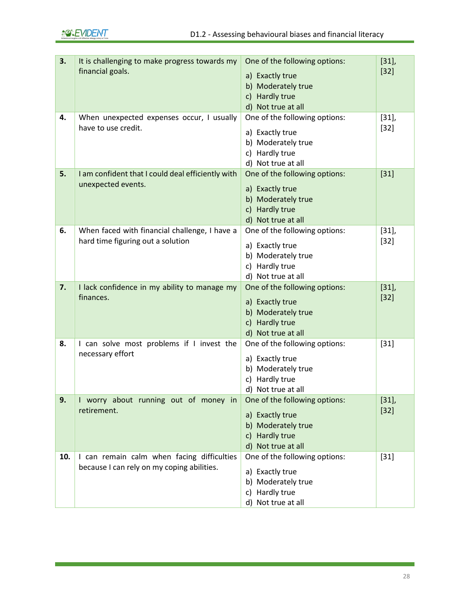| 3.  | It is challenging to make progress towards my<br>financial goals.                        | One of the following options:<br>a) Exactly true<br>b) Moderately true<br>c) Hardly true<br>d) Not true at all | $[31]$ ,<br>$[32]$ |
|-----|------------------------------------------------------------------------------------------|----------------------------------------------------------------------------------------------------------------|--------------------|
| 4.  | When unexpected expenses occur, I usually<br>have to use credit.                         | One of the following options:<br>a) Exactly true<br>b) Moderately true<br>c) Hardly true<br>d) Not true at all | $[31],$<br>$[32]$  |
| 5.  | I am confident that I could deal efficiently with<br>unexpected events.                  | One of the following options:<br>a) Exactly true<br>b) Moderately true<br>c) Hardly true<br>d) Not true at all | $[31]$             |
| 6.  | When faced with financial challenge, I have a<br>hard time figuring out a solution       | One of the following options:<br>a) Exactly true<br>b) Moderately true<br>c) Hardly true<br>d) Not true at all | $[31]$ ,<br>$[32]$ |
| 7.  | I lack confidence in my ability to manage my<br>finances.                                | One of the following options:<br>a) Exactly true<br>b) Moderately true<br>c) Hardly true<br>d) Not true at all | $[31],$<br>$[32]$  |
| 8.  | I can solve most problems if I invest the<br>necessary effort                            | One of the following options:<br>a) Exactly true<br>b) Moderately true<br>c) Hardly true<br>d) Not true at all | $[31]$             |
| 9.  | I worry about running out of money in<br>retirement.                                     | One of the following options:<br>a) Exactly true<br>b) Moderately true<br>c) Hardly true<br>d) Not true at all | $[31]$ ,<br>$[32]$ |
| 10. | I can remain calm when facing difficulties<br>because I can rely on my coping abilities. | One of the following options:<br>a) Exactly true<br>b) Moderately true<br>c) Hardly true<br>d) Not true at all | $[31]$             |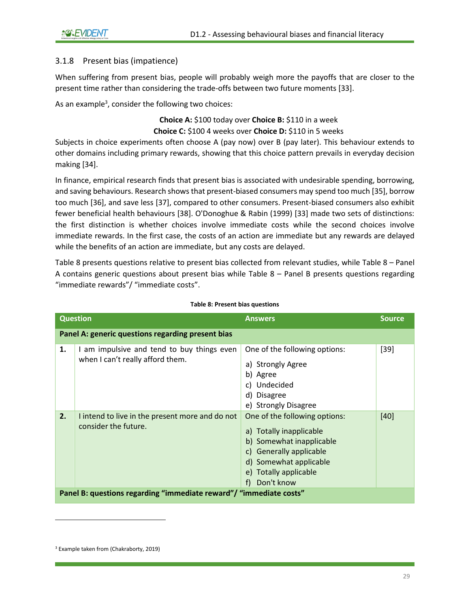#### <span id="page-29-0"></span>3.1.8 Present bias (impatience)

When suffering from present bias, people will probably weigh more the payoffs that are closer to the present time rather than considering the trade-offs between two future moments [33].

As an example<sup>3</sup>, consider the following two choices:

**Choice A:** \$100 today over **Choice B:** \$110 in a week **Choice C:** \$100 4 weeks over **Choice D:** \$110 in 5 weeks

Subjects in choice experiments often choose A (pay now) over B (pay later). This behaviour extends to other domains including primary rewards, showing that this choice pattern prevails in everyday decision making [34].

In finance, empirical research finds that present bias is associated with undesirable spending, borrowing, and saving behaviours. Research shows that present-biased consumers may spend too much [35], borrow too much [36], and save less [37], compared to other consumers. Present-biased consumers also exhibit fewer beneficial health behaviours [38]. O'Donoghue & Rabin (1999) [33] made two sets of distinctions: the first distinction is whether choices involve immediate costs while the second choices involve immediate rewards. In the first case, the costs of an action are immediate but any rewards are delayed while the benefits of an action are immediate, but any costs are delayed.

[Table 8](#page-29-1) presents questions relative to present bias collected from relevant studies, while [Table 8](#page-29-1) – Panel A contains generic questions about present bias while [Table 8](#page-29-1) – Panel B presents questions regarding "immediate rewards"/ "immediate costs".

<span id="page-29-1"></span>

|                                                                     | <b>Question</b>                                                                | <b>Answers</b>                                                                                                                                                                        | <b>Source</b> |
|---------------------------------------------------------------------|--------------------------------------------------------------------------------|---------------------------------------------------------------------------------------------------------------------------------------------------------------------------------------|---------------|
| Panel A: generic questions regarding present bias                   |                                                                                |                                                                                                                                                                                       |               |
| 1.                                                                  | I am impulsive and tend to buy things even<br>when I can't really afford them. | One of the following options:<br>a) Strongly Agree<br>b) Agree<br>c) Undecided<br>d) Disagree<br>e) Strongly Disagree                                                                 | $[39]$        |
| 2.                                                                  | I intend to live in the present more and do not<br>consider the future.        | One of the following options:<br>a) Totally inapplicable<br>b) Somewhat inapplicable<br>c) Generally applicable<br>d) Somewhat applicable<br>e) Totally applicable<br>Don't know<br>f | $[40]$        |
| Panel B: questions regarding "immediate reward" / "immediate costs" |                                                                                |                                                                                                                                                                                       |               |

#### **Table 8: Present bias questions**

<sup>3</sup> Example taken from (Chakraborty, 2019)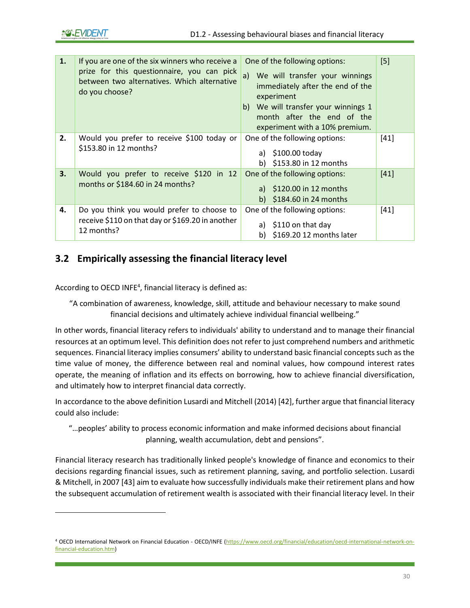| 1. | If you are one of the six winners who receive a<br>prize for this questionnaire, you can pick<br>between two alternatives. Which alternative<br>do you choose? | One of the following options:<br>We will transfer your winnings<br>a)<br>immediately after the end of the<br>experiment<br>b) We will transfer your winnings 1<br>month after the end of the<br>experiment with a 10% premium. | [5]    |
|----|----------------------------------------------------------------------------------------------------------------------------------------------------------------|--------------------------------------------------------------------------------------------------------------------------------------------------------------------------------------------------------------------------------|--------|
| 2. | Would you prefer to receive \$100 today or<br>\$153.80 in 12 months?                                                                                           | One of the following options:<br>a) $$100.00$ today<br>b) $$153.80$ in 12 months                                                                                                                                               | $[41]$ |
| 3. | Would you prefer to receive \$120 in 12<br>months or \$184.60 in 24 months?                                                                                    | One of the following options:<br>a) $$120.00$ in 12 months<br>b) $$184.60$ in 24 months                                                                                                                                        | $[41]$ |
| 4. | Do you think you would prefer to choose to<br>receive \$110 on that day or \$169.20 in another<br>12 months?                                                   | One of the following options:<br>a) $$110$ on that day<br>\$169.20 12 months later<br>b)                                                                                                                                       | $[41]$ |

### <span id="page-30-0"></span>**3.2 Empirically assessing the financial literacy level**

According to OECD INFE<sup>4</sup>, financial literacy is defined as:

"A combination of awareness, knowledge, skill, attitude and behaviour necessary to make sound financial decisions and ultimately achieve individual financial wellbeing."

In other words, financial literacy refers to individuals' ability to understand and to manage their financial resources at an optimum level. This definition does not refer to just comprehend numbers and arithmetic sequences. Financial literacy implies consumers' ability to understand basic financial concepts such as the time value of money, the difference between real and nominal values, how compound interest rates operate, the meaning of inflation and its effects on borrowing, how to achieve financial diversification, and ultimately how to interpret financial data correctly.

In accordance to the above definition Lusardi and Mitchell (2014) [42], further argue that financial literacy could also include:

"…peoples' ability to process economic information and make informed decisions about financial planning, wealth accumulation, debt and pensions".

Financial literacy research has traditionally linked people's knowledge of finance and economics to their decisions regarding financial issues, such as retirement planning, saving, and portfolio selection. Lusardi & Mitchell, in 2007 [43] aim to evaluate how successfully individuals make their retirement plans and how the subsequent accumulation of retirement wealth is associated with their financial literacy level. In their

<sup>4</sup> OECD International Network on Financial Education - OECD/INFE [\(https://www.oecd.org/financial/education/oecd-international-network-on](https://www.oecd.org/financial/education/oecd-international-network-on-financial-education.htm)[financial-education.htm\)](https://www.oecd.org/financial/education/oecd-international-network-on-financial-education.htm)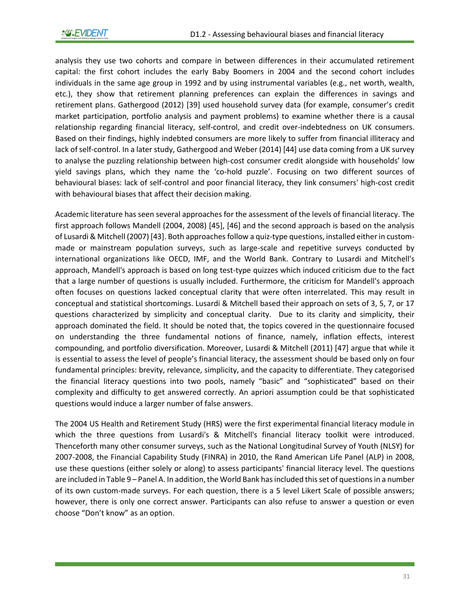analysis they use two cohorts and compare in between differences in their accumulated retirement capital: the first cohort includes the early Baby Boomers in 2004 and the second cohort includes individuals in the same age group in 1992 and by using instrumental variables (e.g., net worth, wealth, etc.), they show that retirement planning preferences can explain the differences in savings and retirement plans. Gathergood (2012) [39] used household survey data (for example, consumer's credit market participation, portfolio analysis and payment problems) to examine whether there is a causal relationship regarding financial literacy, self-control, and credit over-indebtedness on UK consumers. Based on their findings, highly indebted consumers are more likely to suffer from financial illiteracy and lack of self-control. In a later study, Gathergood and Weber (2014) [44] use data coming from a UK survey to analyse the puzzling relationship between high-cost consumer credit alongside with households' low yield savings plans, which they name the 'co-hold puzzle'. Focusing on two different sources of behavioural biases: lack of self-control and poor financial literacy, they link consumers' high-cost credit with behavioural biases that affect their decision making.

Academic literature has seen several approaches for the assessment of the levels of financial literacy. The first approach follows Mandell (2004, 2008) [45], [46] and the second approach is based on the analysis of Lusardi & Mitchell (2007) [43]. Both approaches follow a quiz-type questions, installed either in custommade or mainstream population surveys, such as large-scale and repetitive surveys conducted by international organizations like OECD, IMF, and the World Bank. Contrary to Lusardi and Mitchell's approach, Mandell's approach is based on long test-type quizzes which induced criticism due to the fact that a large number of questions is usually included. Furthermore, the criticism for Mandell's approach often focuses on questions lacked conceptual clarity that were often interrelated. This may result in conceptual and statistical shortcomings. Lusardi & Mitchell based their approach on sets of 3, 5, 7, or 17 questions characterized by simplicity and conceptual clarity. Due to its clarity and simplicity, their approach dominated the field. It should be noted that, the topics covered in the questionnaire focused on understanding the three fundamental notions of finance, namely, inflation effects, interest compounding, and portfolio diversification. Moreover, Lusardi & Mitchell (2011) [47] argue that while it is essential to assess the level of people's financial literacy, the assessment should be based only on four fundamental principles: brevity, relevance, simplicity, and the capacity to differentiate. They categorised the financial literacy questions into two pools, namely "basic" and "sophisticated" based on their complexity and difficulty to get answered correctly. An apriori assumption could be that sophisticated questions would induce a larger number of false answers.

The 2004 US Health and Retirement Study (HRS) were the first experimental financial literacy module in which the three questions from Lusardi's & Mitchell's financial literacy toolkit were introduced. Thenceforth many other consumer surveys, such as the National Longitudinal Survey of Youth (NLSY) for 2007-2008, the Financial Capability Study (FINRA) in 2010, the Rand American Life Panel (ALP) in 2008, use these questions (either solely or along) to assess participants' financial literacy level. The questions are included in [Table 9](#page-32-0) – Panel A. In addition, the World Bank has included this set of questions in a number of its own custom-made surveys. For each question, there is a 5 level Likert Scale of possible answers; however, there is only one correct answer. Participants can also refuse to answer a question or even choose "Don't know" as an option.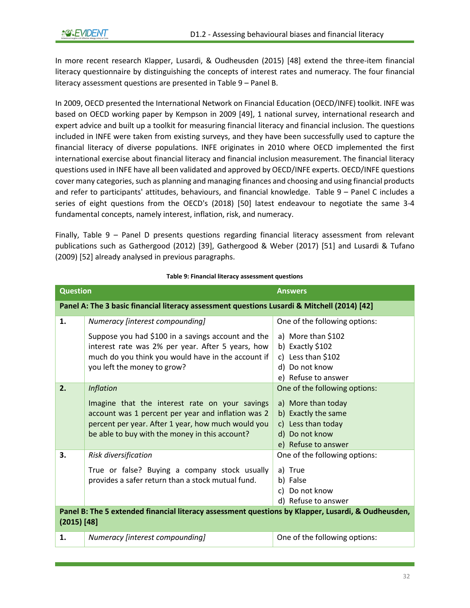In more recent research Klapper, Lusardi, & Oudheusden (2015) [48] extend the three-item financial literacy questionnaire by distinguishing the concepts of interest rates and numeracy. The four financial literacy assessment questions are presented i[n Table 9](#page-32-0) – Panel B.

In 2009, OECD presented the International Network on Financial Education (OECD/INFE) toolkit. INFE was based on OECD working paper by Kempson in 2009 [49], 1 national survey, international research and expert advice and built up a toolkit for measuring financial literacy and financial inclusion. The questions included in INFE were taken from existing surveys, and they have been successfully used to capture the financial literacy of diverse populations. INFE originates in 2010 where OECD implemented the first international exercise about financial literacy and financial inclusion measurement. The financial literacy questions used in INFE have all been validated and approved by OECD/INFE experts. OECD/INFE questions cover many categories, such as planning and managing finances and choosing and using financial products and refer to participants' attitudes, behaviours, and financial knowledge. [Table 9](#page-32-0) – Panel C includes a series of eight questions from the OECD's (2018) [50] latest endeavour to negotiate the same 3-4 fundamental concepts, namely interest, inflation, risk, and numeracy.

Finally, [Table 9](#page-32-0) – Panel D presents questions regarding financial literacy assessment from relevant publications such as Gathergood (2012) [39], Gathergood & Weber (2017) [51] and Lusardi & Tufano (2009) [52] already analysed in previous paragraphs.

<span id="page-32-0"></span>

|                                                                                                                     | <b>Question</b><br><b>Answers</b>                                                                                                                                                                                                |                                                                                                                                           |  |
|---------------------------------------------------------------------------------------------------------------------|----------------------------------------------------------------------------------------------------------------------------------------------------------------------------------------------------------------------------------|-------------------------------------------------------------------------------------------------------------------------------------------|--|
|                                                                                                                     | Panel A: The 3 basic financial literacy assessment questions Lusardi & Mitchell (2014) [42]                                                                                                                                      |                                                                                                                                           |  |
| 1.                                                                                                                  | Numeracy [interest compounding]                                                                                                                                                                                                  | One of the following options:                                                                                                             |  |
|                                                                                                                     | Suppose you had \$100 in a savings account and the<br>interest rate was 2% per year. After 5 years, how<br>much do you think you would have in the account if<br>you left the money to grow?                                     | a) More than \$102<br>b) Exactly \$102<br>c) Less than \$102<br>d) Do not know<br>e) Refuse to answer                                     |  |
| 2.                                                                                                                  | <b>Inflation</b><br>Imagine that the interest rate on your savings<br>account was 1 percent per year and inflation was 2<br>percent per year. After 1 year, how much would you<br>be able to buy with the money in this account? | One of the following options:<br>a) More than today<br>b) Exactly the same<br>c) Less than today<br>d) Do not know<br>e) Refuse to answer |  |
| 3.                                                                                                                  | Risk diversification<br>True or false? Buying a company stock usually<br>provides a safer return than a stock mutual fund.                                                                                                       | One of the following options:<br>a) True<br>b) False<br>c) Do not know<br>d) Refuse to answer                                             |  |
| Panel B: The 5 extended financial literacy assessment questions by Klapper, Lusardi, & Oudheusden,<br>$(2015)$ [48] |                                                                                                                                                                                                                                  |                                                                                                                                           |  |
| 1.                                                                                                                  | Numeracy [interest compounding]                                                                                                                                                                                                  | One of the following options:                                                                                                             |  |

#### **Table 9: Financial literacy assessment questions**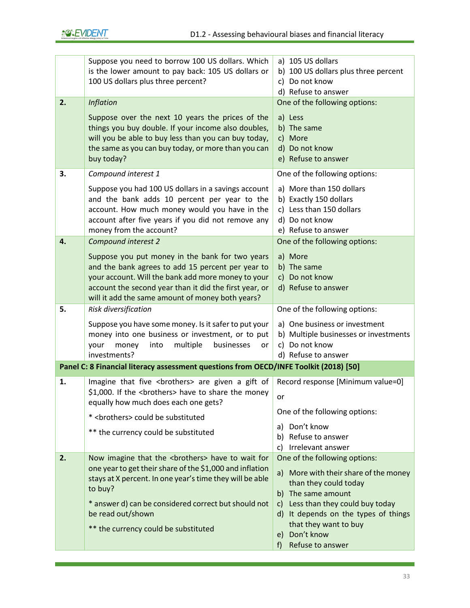|    | Suppose you need to borrow 100 US dollars. Which<br>is the lower amount to pay back: 105 US dollars or<br>100 US dollars plus three percent?                                                                                                                             | a) 105 US dollars<br>b) 100 US dollars plus three percent<br>c) Do not know                                               |
|----|--------------------------------------------------------------------------------------------------------------------------------------------------------------------------------------------------------------------------------------------------------------------------|---------------------------------------------------------------------------------------------------------------------------|
|    |                                                                                                                                                                                                                                                                          | d) Refuse to answer                                                                                                       |
| 2. | <b>Inflation</b>                                                                                                                                                                                                                                                         | One of the following options:                                                                                             |
|    | Suppose over the next 10 years the prices of the<br>things you buy double. If your income also doubles,<br>will you be able to buy less than you can buy today,<br>the same as you can buy today, or more than you can<br>buy today?                                     | a) Less<br>b) The same<br>c) More<br>d) Do not know<br>e) Refuse to answer                                                |
| 3. | Compound interest 1                                                                                                                                                                                                                                                      | One of the following options:                                                                                             |
|    | Suppose you had 100 US dollars in a savings account<br>and the bank adds 10 percent per year to the<br>account. How much money would you have in the<br>account after five years if you did not remove any<br>money from the account?                                    | a) More than 150 dollars<br>b) Exactly 150 dollars<br>c) Less than 150 dollars<br>d) Do not know<br>e) Refuse to answer   |
| 4. | Compound interest 2                                                                                                                                                                                                                                                      | One of the following options:                                                                                             |
|    | Suppose you put money in the bank for two years<br>and the bank agrees to add 15 percent per year to<br>your account. Will the bank add more money to your<br>account the second year than it did the first year, or<br>will it add the same amount of money both years? | a) More<br>b) The same<br>c) Do not know<br>d) Refuse to answer                                                           |
| 5. | Risk diversification                                                                                                                                                                                                                                                     | One of the following options:                                                                                             |
|    | Suppose you have some money. Is it safer to put your<br>money into one business or investment, or to put<br>multiple<br>money<br>into<br>businesses<br>your<br>or<br>investments?                                                                                        | a) One business or investment<br>b) Multiple businesses or investments<br>c) Do not know<br>d) Refuse to answer           |
|    | Panel C: 8 Financial literacy assessment questions from OECD/INFE Toolkit (2018) [50]                                                                                                                                                                                    |                                                                                                                           |
| 1. | Imagine that five <brothers> are given a gift of<br/>\$1,000. If the <brothers> have to share the money<br/>equally how much does each one gets?</brothers></brothers>                                                                                                   | Record response [Minimum value=0]<br>or                                                                                   |
|    | * <brothers> could be substituted</brothers>                                                                                                                                                                                                                             | One of the following options:                                                                                             |
|    | ** the currency could be substituted                                                                                                                                                                                                                                     | a) Don't know<br>b) Refuse to answer<br>c) Irrelevant answer                                                              |
| 2. | Now imagine that the <brothers> have to wait for</brothers>                                                                                                                                                                                                              | One of the following options:                                                                                             |
|    | one year to get their share of the \$1,000 and inflation<br>stays at X percent. In one year's time they will be able<br>to buy?<br>* answer d) can be considered correct but should not                                                                                  | a) More with their share of the money<br>than they could today<br>b) The same amount<br>c) Less than they could buy today |
|    | be read out/shown<br>** the currency could be substituted                                                                                                                                                                                                                | d) It depends on the types of things<br>that they want to buy<br>e) Don't know<br>Refuse to answer<br>$f$ )               |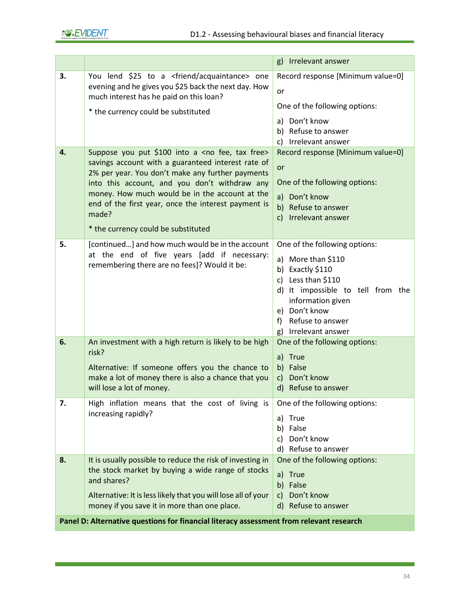|    |                                                                                                                                                                                                                                                                                                                                                                                          | g) Irrelevant answer                                                                                                                                                                                                    |
|----|------------------------------------------------------------------------------------------------------------------------------------------------------------------------------------------------------------------------------------------------------------------------------------------------------------------------------------------------------------------------------------------|-------------------------------------------------------------------------------------------------------------------------------------------------------------------------------------------------------------------------|
| 3. | You lend \$25 to a <friend acquaintance=""> one<br/>evening and he gives you \$25 back the next day. How<br/>much interest has he paid on this loan?<br/>* the currency could be substituted</friend>                                                                                                                                                                                    | Record response [Minimum value=0]<br>or<br>One of the following options:<br>a) Don't know<br>b) Refuse to answer<br>c) Irrelevant answer                                                                                |
| 4. | Suppose you put \$100 into a <no fee,="" free="" tax=""><br/>savings account with a guaranteed interest rate of<br/>2% per year. You don't make any further payments<br/>into this account, and you don't withdraw any<br/>money. How much would be in the account at the<br/>end of the first year, once the interest payment is<br/>made?<br/>* the currency could be substituted</no> | Record response [Minimum value=0]<br>or<br>One of the following options:<br>a) Don't know<br>b) Refuse to answer<br>c) Irrelevant answer                                                                                |
| 5. | [continued] and how much would be in the account<br>at the end of five years [add if necessary:<br>remembering there are no fees]? Would it be:                                                                                                                                                                                                                                          | One of the following options:<br>a) More than \$110<br>b) Exactly \$110<br>c) Less than \$110<br>d) It impossible to tell from the<br>information given<br>e) Don't know<br>f) Refuse to answer<br>g) Irrelevant answer |
| 6. | An investment with a high return is likely to be high<br>risk?<br>Alternative: If someone offers you the chance to<br>make a lot of money there is also a chance that you<br>will lose a lot of money.                                                                                                                                                                                   | One of the following options:<br>a) True<br>b) False<br>Don't know<br>$\mathsf{c}$ )<br>d) Refuse to answer                                                                                                             |
| 7. | High inflation means that the cost of living is<br>increasing rapidly?                                                                                                                                                                                                                                                                                                                   | One of the following options:<br>a) True<br>b) False<br>c) Don't know<br>d) Refuse to answer                                                                                                                            |
| 8. | It is usually possible to reduce the risk of investing in<br>the stock market by buying a wide range of stocks<br>and shares?<br>Alternative: It is less likely that you will lose all of your<br>money if you save it in more than one place.<br>Panel D: Alternative questions for financial literacy assessment from relevant research                                                | One of the following options:<br>True<br>a)<br>b) False<br>c) Don't know<br>d) Refuse to answer                                                                                                                         |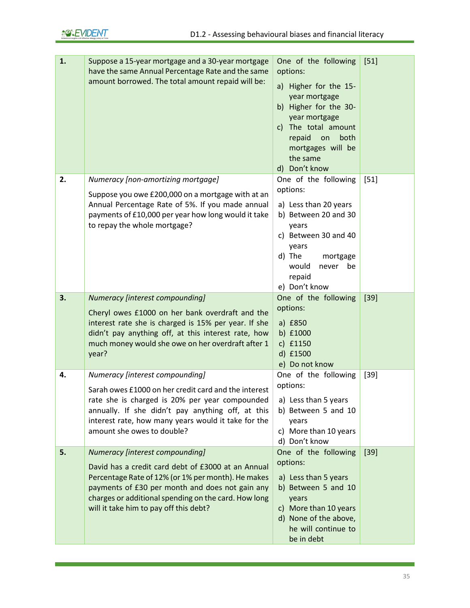| 1. | Suppose a 15-year mortgage and a 30-year mortgage<br>have the same Annual Percentage Rate and the same<br>amount borrowed. The total amount repaid will be:                                                                                                   | One of the following<br>options:<br>a) Higher for the 15-<br>year mortgage<br>b) Higher for the 30-<br>year mortgage<br>c) The total amount<br>repaid<br>both<br>on<br>mortgages will be<br>the same<br>d) Don't know | $[51]$ |
|----|---------------------------------------------------------------------------------------------------------------------------------------------------------------------------------------------------------------------------------------------------------------|-----------------------------------------------------------------------------------------------------------------------------------------------------------------------------------------------------------------------|--------|
| 2. | Numeracy [non-amortizing mortgage]                                                                                                                                                                                                                            | One of the following                                                                                                                                                                                                  | $[51]$ |
|    | Suppose you owe £200,000 on a mortgage with at an<br>Annual Percentage Rate of 5%. If you made annual<br>payments of £10,000 per year how long would it take<br>to repay the whole mortgage?                                                                  | options:<br>a) Less than 20 years<br>b) Between 20 and 30<br>years<br>c) Between 30 and 40<br>years<br>d) The<br>mortgage<br>would<br>never<br>be<br>repaid<br>e) Don't know                                          |        |
| 3. | Numeracy [interest compounding]                                                                                                                                                                                                                               | One of the following                                                                                                                                                                                                  | $[39]$ |
|    | Cheryl owes £1000 on her bank overdraft and the<br>interest rate she is charged is 15% per year. If she<br>didn't pay anything off, at this interest rate, how<br>much money would she owe on her overdraft after 1<br>year?                                  | options:<br>a) £850<br>b) £1000<br>c) £1150<br>d) £1500<br>e) Do not know                                                                                                                                             |        |
| 4. | Numeracy [interest compounding]                                                                                                                                                                                                                               | One of the following                                                                                                                                                                                                  | $[39]$ |
|    | Sarah owes £1000 on her credit card and the interest<br>rate she is charged is 20% per year compounded<br>annually. If she didn't pay anything off, at this<br>interest rate, how many years would it take for the<br>amount she owes to double?              | options:<br>a) Less than 5 years<br>b) Between 5 and 10<br>years<br>c) More than 10 years<br>d) Don't know                                                                                                            |        |
| 5. | Numeracy [interest compounding]                                                                                                                                                                                                                               | One of the following                                                                                                                                                                                                  | $[39]$ |
|    | David has a credit card debt of £3000 at an Annual<br>Percentage Rate of 12% (or 1% per month). He makes<br>payments of £30 per month and does not gain any<br>charges or additional spending on the card. How long<br>will it take him to pay off this debt? | options:<br>a) Less than 5 years<br>b) Between 5 and 10<br>years<br>c) More than 10 years<br>d) None of the above,<br>he will continue to<br>be in debt                                                               |        |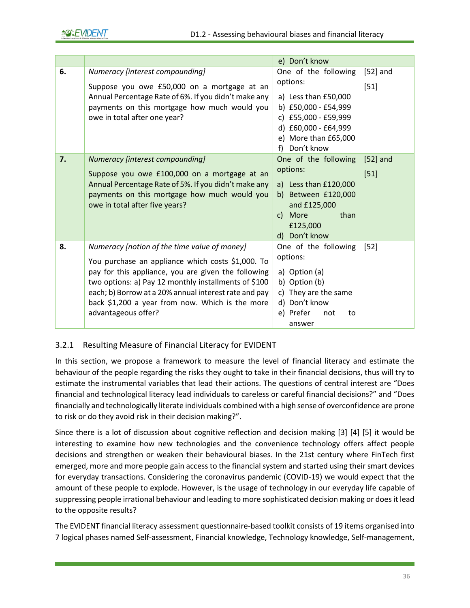

|    |                                                                                                                                                                                                                                                                                                                                                     | e) Don't know                                                                                                                                            |                      |
|----|-----------------------------------------------------------------------------------------------------------------------------------------------------------------------------------------------------------------------------------------------------------------------------------------------------------------------------------------------------|----------------------------------------------------------------------------------------------------------------------------------------------------------|----------------------|
| 6. | Numeracy [interest compounding]<br>Suppose you owe £50,000 on a mortgage at an<br>Annual Percentage Rate of 6%. If you didn't make any<br>payments on this mortgage how much would you<br>owe in total after one year?                                                                                                                              | One of the following<br>options:<br>a) Less than £50,000<br>b) £50,000 - £54,999<br>c) £55,000 - £59,999<br>d) £60,000 - £64,999<br>e) More than £65,000 | $[52]$ and<br>$[51]$ |
|    |                                                                                                                                                                                                                                                                                                                                                     | Don't know<br>$f$ )                                                                                                                                      |                      |
| 7. | Numeracy [interest compounding]<br>Suppose you owe £100,000 on a mortgage at an<br>Annual Percentage Rate of 5%. If you didn't make any<br>payments on this mortgage how much would you<br>owe in total after five years?                                                                                                                           | One of the following<br>options:<br>a) Less than $£120,000$<br>b) Between £120,000<br>and £125,000<br>c) More<br>than<br>£125,000<br>d) Don't know       | $[52]$ and<br>$[51]$ |
| 8. | Numeracy [notion of the time value of money]<br>You purchase an appliance which costs \$1,000. To<br>pay for this appliance, you are given the following<br>two options: a) Pay 12 monthly installments of \$100<br>each; b) Borrow at a 20% annual interest rate and pay<br>back \$1,200 a year from now. Which is the more<br>advantageous offer? | One of the following<br>options:<br>a) Option (a)<br>b) Option (b)<br>c) They are the same<br>d) Don't know<br>e) Prefer<br>not<br>to<br>answer          | $[52]$               |

### 3.2.1 Resulting Measure of Financial Literacy for EVIDENT

In this section, we propose a framework to measure the level of financial literacy and estimate the behaviour of the people regarding the risks they ought to take in their financial decisions, thus will try to estimate the instrumental variables that lead their actions. The questions of central interest are "Does financial and technological literacy lead individuals to careless or careful financial decisions?" and "Does financially and technologically literate individuals combined with a high sense of overconfidence are prone to risk or do they avoid risk in their decision making?".

Since there is a lot of discussion about cognitive reflection and decision making [3] [4] [5] it would be interesting to examine how new technologies and the convenience technology offers affect people decisions and strengthen or weaken their behavioural biases. In the 21st century where FinTech first emerged, more and more people gain access to the financial system and started using their smart devices for everyday transactions. Considering the coronavirus pandemic (COVID-19) we would expect that the amount of these people to explode. However, is the usage of technology in our everyday life capable of suppressing people irrational behaviour and leading to more sophisticated decision making or does it lead to the opposite results?

The EVIDENT financial literacy assessment questionnaire-based toolkit consists of 19 items organised into 7 logical phases named Self-assessment, Financial knowledge, Technology knowledge, Self-management,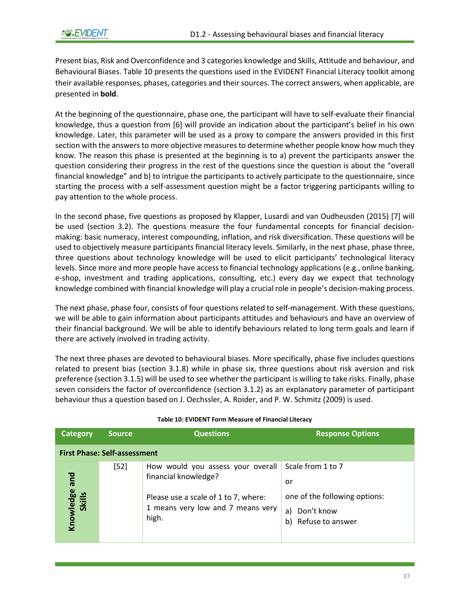Present bias, Risk and Overconfidence and 3 categories knowledge and Skills, Attitude and behaviour, and Behavioural Biases[. Table 10](#page-37-0) presents the questions used in the EVIDENT Financial Literacy toolkit among their available responses, phases, categories and their sources. The correct answers, when applicable, are presented in **bold**.

At the beginning of the questionnaire, phase one, the participant will have to self-evaluate their financial knowledge, thus a question from [6] will provide an indication about the participant's belief in his own knowledge. Later, this parameter will be used as a proxy to compare the answers provided in this first section with the answers to more objective measures to determine whether people know how much they know. The reason this phase is presented at the beginning is to a) prevent the participants answer the question considering their progress in the rest of the questions since the question is about the "overall financial knowledge" and b) to intrigue the participants to actively participate to the questionnaire, since starting the process with a self-assessment question might be a factor triggering participants willing to pay attention to the whole process.

In the second phase, five questions as proposed by Klapper, Lusardi and van Oudheusden (2015) [7] will be used (section 3.2). The questions measure the four fundamental concepts for financial decisionmaking: basic numeracy, interest compounding, inflation, and risk diversification. These questions will be used to objectively measure participants financial literacy levels. Similarly, in the next phase, phase three, three questions about technology knowledge will be used to elicit participants' technological literacy levels. Since more and more people have access to financial technology applications (e.g., online banking, e-shop, investment and trading applications, consulting, etc.) every day we expect that technology knowledge combined with financial knowledge will play a crucial role in people's decision-making process.

The next phase, phase four, consists of four questions related to self-management. With these questions, we will be able to gain information about participants attitudes and behaviours and have an overview of their financial background. We will be able to identify behaviours related to long term goals and learn if there are actively involved in trading activity.

The next three phases are devoted to behavioural biases. More specifically, phase five includes questions related to present bias (section 3.1.8) while in phase six, three questions about risk aversion and risk preference (section 3.1.5) will be used to see whether the participant is willing to take risks. Finally, phase seven considers the factor of overconfidence (section 3.1.2) as an explanatory parameter of participant behaviour thus a question based on J. Oechssler, A. Roider, and P. W. Schmitz (2009) is used.

<span id="page-37-0"></span>

| <b>Category</b>              | <b>Source</b>                       | <b>Questions</b>                                                                                                                                | <b>Response Options</b>                                                                                |
|------------------------------|-------------------------------------|-------------------------------------------------------------------------------------------------------------------------------------------------|--------------------------------------------------------------------------------------------------------|
|                              | <b>First Phase: Self-assessment</b> |                                                                                                                                                 |                                                                                                        |
| bue<br>Knowledge a<br>Skills | $[52]$                              | How would you assess your overall<br>financial knowledge?<br>Please use a scale of 1 to 7, where:<br>1 means very low and 7 means very<br>high. | Scale from 1 to 7<br>or<br>one of the following options:<br>Don't know<br>a)<br>Refuse to answer<br>b) |

#### **Table 10: EVIDENT Form Measure of Financial Literacy**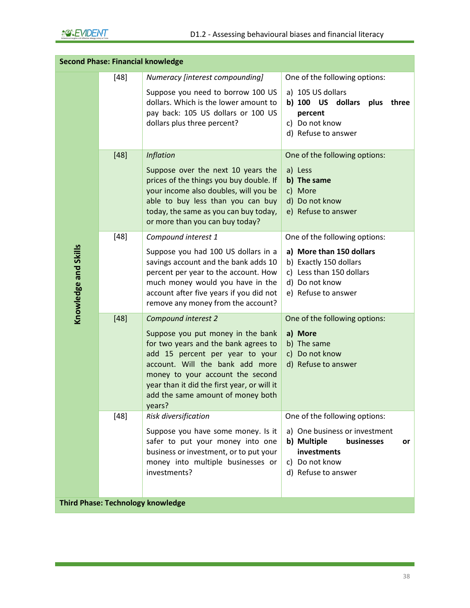|                      | <b>Second Phase: Financial knowledge</b> |                                                                                                                                                                                                                                                                                                          |                                                                                                                                                           |
|----------------------|------------------------------------------|----------------------------------------------------------------------------------------------------------------------------------------------------------------------------------------------------------------------------------------------------------------------------------------------------------|-----------------------------------------------------------------------------------------------------------------------------------------------------------|
|                      | [48]                                     | Numeracy [interest compounding]                                                                                                                                                                                                                                                                          | One of the following options:                                                                                                                             |
| Knowledge and Skills |                                          | Suppose you need to borrow 100 US<br>dollars. Which is the lower amount to<br>pay back: 105 US dollars or 100 US<br>dollars plus three percent?                                                                                                                                                          | a) 105 US dollars<br>b) 100 US dollars plus three<br>percent<br>c) Do not know<br>d) Refuse to answer                                                     |
|                      | $[48]$                                   | <b>Inflation</b><br>Suppose over the next 10 years the<br>prices of the things you buy double. If<br>your income also doubles, will you be<br>able to buy less than you can buy<br>today, the same as you can buy today,<br>or more than you can buy today?                                              | One of the following options:<br>a) Less<br>b) The same<br>c) More<br>d) Do not know<br>e) Refuse to answer                                               |
|                      | $[48]$                                   | Compound interest 1<br>Suppose you had 100 US dollars in a<br>savings account and the bank adds 10<br>percent per year to the account. How<br>much money would you have in the<br>account after five years if you did not<br>remove any money from the account?                                          | One of the following options:<br>a) More than 150 dollars<br>b) Exactly 150 dollars<br>c) Less than 150 dollars<br>d) Do not know<br>e) Refuse to answer  |
|                      | $[48]$                                   | Compound interest 2<br>Suppose you put money in the bank<br>for two years and the bank agrees to<br>add 15 percent per year to your<br>account. Will the bank add more<br>money to your account the second<br>year than it did the first year, or will it<br>add the same amount of money both<br>years? | One of the following options:<br>a) More<br>b) The same<br>c) Do not know<br>d) Refuse to answer                                                          |
|                      | $[48]$                                   | Risk diversification<br>Suppose you have some money. Is it<br>safer to put your money into one<br>business or investment, or to put your<br>money into multiple businesses or<br>investments?                                                                                                            | One of the following options:<br>a) One business or investment<br>b) Multiple<br>businesses<br>or<br>investments<br>c) Do not know<br>d) Refuse to answer |
|                      |                                          | <b>Third Phase: Technology knowledge</b>                                                                                                                                                                                                                                                                 |                                                                                                                                                           |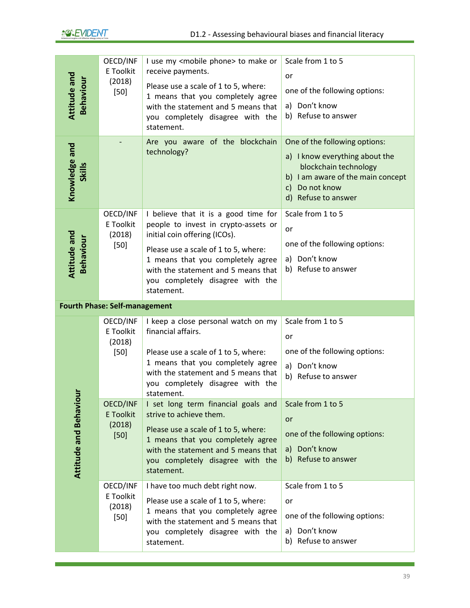| Attitude and<br>Behaviour<br>Knowledge and<br><b>Skills</b> | OECD/INF<br>E Toolkit<br>(2018)<br>$[50]$        | I use my <mobile phone=""> to make or<br/>receive payments.<br/>Please use a scale of 1 to 5, where:<br/>1 means that you completely agree<br/>with the statement and 5 means that<br/>you completely disagree with the<br/>statement.<br/>Are you aware of the blockchain<br/>technology?</mobile> | Scale from 1 to 5<br>or<br>one of the following options:<br>a) Don't know<br>b) Refuse to answer<br>One of the following options:<br>a) I know everything about the<br>blockchain technology<br>b) I am aware of the main concept<br>c) Do not know<br>d) Refuse to answer |
|-------------------------------------------------------------|--------------------------------------------------|-----------------------------------------------------------------------------------------------------------------------------------------------------------------------------------------------------------------------------------------------------------------------------------------------------|----------------------------------------------------------------------------------------------------------------------------------------------------------------------------------------------------------------------------------------------------------------------------|
| Attitude and<br><b>Behaviour</b>                            | OECD/INF<br>E Toolkit<br>(2018)<br>$[50]$        | I believe that it is a good time for<br>people to invest in crypto-assets or<br>initial coin offering (ICOs).<br>Please use a scale of 1 to 5, where:<br>1 means that you completely agree<br>with the statement and 5 means that<br>you completely disagree with the<br>statement.                 | Scale from 1 to 5<br>or<br>one of the following options:<br>a) Don't know<br>b) Refuse to answer                                                                                                                                                                           |
|                                                             | <b>Fourth Phase: Self-management</b>             |                                                                                                                                                                                                                                                                                                     |                                                                                                                                                                                                                                                                            |
|                                                             | OECD/INF<br>E Toolkit<br>(2018)<br>$[50]$        | I keep a close personal watch on my<br>financial affairs.<br>Please use a scale of 1 to 5, where:<br>1 means that you completely agree<br>with the statement and 5 means that<br>you completely disagree with the<br>statement.                                                                     | Scale from 1 to 5<br>or<br>one of the following options:<br>a) Don't know<br>b) Refuse to answer                                                                                                                                                                           |
| <b>Attitude and Behaviour</b>                               | OECD/INF<br><b>E</b> Toolkit<br>(2018)<br>$[50]$ | I set long term financial goals and<br>strive to achieve them.<br>Please use a scale of 1 to 5, where:<br>1 means that you completely agree<br>with the statement and 5 means that<br>you completely disagree with the<br>statement.                                                                | Scale from 1 to 5<br>or<br>one of the following options:<br>a) Don't know<br>b) Refuse to answer                                                                                                                                                                           |
|                                                             | OECD/INF<br>E Toolkit<br>(2018)<br>$[50]$        | I have too much debt right now.<br>Please use a scale of 1 to 5, where:<br>1 means that you completely agree<br>with the statement and 5 means that<br>you completely disagree with the<br>statement.                                                                                               | Scale from 1 to 5<br>or<br>one of the following options:<br>a) Don't know<br>b) Refuse to answer                                                                                                                                                                           |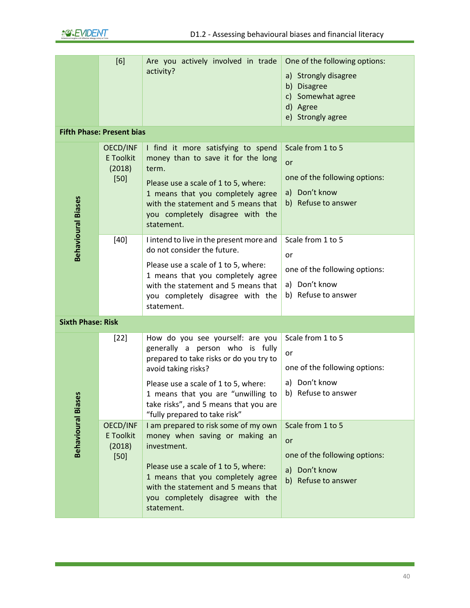|                           | [6]                                       | Are you actively involved in trade<br>activity?                                                                                                                                                                                                                                               | One of the following options:<br>a) Strongly disagree<br>b) Disagree<br>c) Somewhat agree<br>d) Agree<br>e) Strongly agree |
|---------------------------|-------------------------------------------|-----------------------------------------------------------------------------------------------------------------------------------------------------------------------------------------------------------------------------------------------------------------------------------------------|----------------------------------------------------------------------------------------------------------------------------|
|                           | <b>Fifth Phase: Present bias</b>          |                                                                                                                                                                                                                                                                                               |                                                                                                                            |
| <b>Behavioural Biases</b> | OECD/INF<br>E Toolkit<br>(2018)<br>$[50]$ | I find it more satisfying to spend<br>money than to save it for the long<br>term.<br>Please use a scale of 1 to 5, where:<br>1 means that you completely agree<br>with the statement and 5 means that<br>you completely disagree with the<br>statement.                                       | Scale from 1 to 5<br>or<br>one of the following options:<br>a) Don't know<br>b) Refuse to answer                           |
|                           | $[40]$                                    | I intend to live in the present more and<br>do not consider the future.<br>Please use a scale of 1 to 5, where:<br>1 means that you completely agree<br>with the statement and 5 means that<br>you completely disagree with the<br>statement.                                                 | Scale from 1 to 5<br>or<br>one of the following options:<br>a) Don't know<br>b) Refuse to answer                           |
| <b>Sixth Phase: Risk</b>  |                                           |                                                                                                                                                                                                                                                                                               |                                                                                                                            |
|                           | $[22]$                                    | How do you see yourself: are you<br>generally a person who is fully<br>prepared to take risks or do you try to<br>avoid taking risks?<br>Please use a scale of 1 to 5, where:<br>1 means that you are "unwilling to<br>take risks", and 5 means that you are<br>"fully prepared to take risk" | Scale from 1 to 5<br>or<br>one of the following options:<br>a) Don't know<br>b) Refuse to answer                           |
| <b>Behavioural Biases</b> | OECD/INF<br>E Toolkit<br>(2018)<br>$[50]$ | I am prepared to risk some of my own<br>money when saving or making an<br>investment.<br>Please use a scale of 1 to 5, where:<br>1 means that you completely agree<br>with the statement and 5 means that<br>you completely disagree with the<br>statement.                                   | Scale from 1 to 5<br>or<br>one of the following options:<br>a) Don't know<br>b) Refuse to answer                           |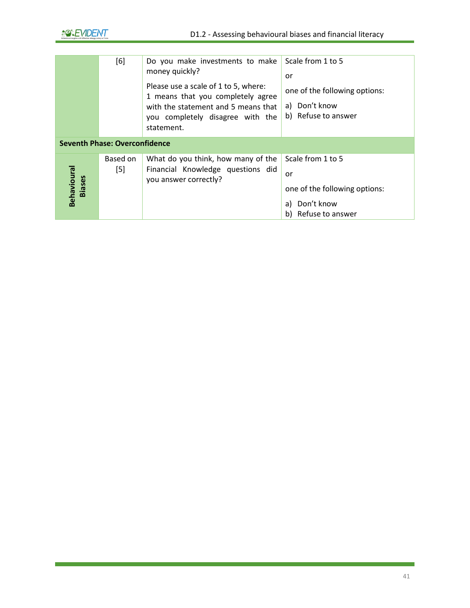

|                              | [6]                                  | Do you make investments to make<br>money quickly?<br>Please use a scale of 1 to 5, where:<br>1 means that you completely agree<br>with the statement and 5 means that<br>you completely disagree with the<br>statement. | Scale from 1 to 5<br>or<br>one of the following options:<br>a) Don't know<br>b) Refuse to answer    |
|------------------------------|--------------------------------------|-------------------------------------------------------------------------------------------------------------------------------------------------------------------------------------------------------------------------|-----------------------------------------------------------------------------------------------------|
|                              | <b>Seventh Phase: Overconfidence</b> |                                                                                                                                                                                                                         |                                                                                                     |
| Behavioural<br><b>Biases</b> | Based on<br>$[5]$                    | What do you think, how many of the<br>Financial Knowledge questions did<br>you answer correctly?                                                                                                                        | Scale from 1 to 5<br>or<br>one of the following options:<br>Don't know<br>a)<br>b) Refuse to answer |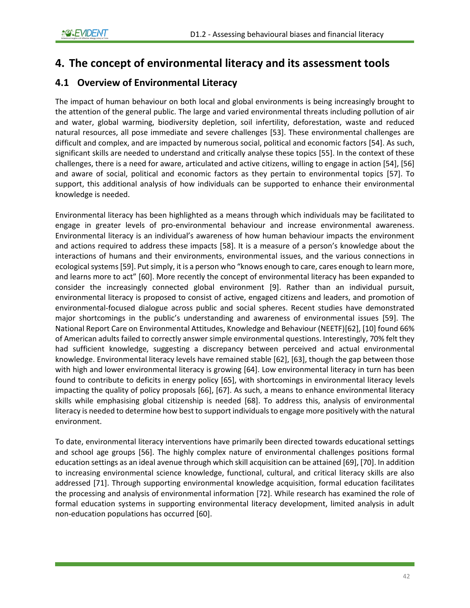# **4. The concept of environmental literacy and its assessment tools**

# **4.1 Overview of Environmental Literacy**

The impact of human behaviour on both local and global environments is being increasingly brought to the attention of the general public. The large and varied environmental threats including pollution of air and water, global warming, biodiversity depletion, soil infertility, deforestation, waste and reduced natural resources, all pose immediate and severe challenges [53]. These environmental challenges are difficult and complex, and are impacted by numerous social, political and economic factors [54]. As such, significant skills are needed to understand and critically analyse these topics [55]. In the context of these challenges, there is a need for aware, articulated and active citizens, willing to engage in action [54], [56] and aware of social, political and economic factors as they pertain to environmental topics [57]. To support, this additional analysis of how individuals can be supported to enhance their environmental knowledge is needed.

Environmental literacy has been highlighted as a means through which individuals may be facilitated to engage in greater levels of pro-environmental behaviour and increase environmental awareness. Environmental literacy is an individual's awareness of how human behaviour impacts the environment and actions required to address these impacts [58]. It is a measure of a person's knowledge about the interactions of humans and their environments, environmental issues, and the various connections in ecological systems [59]. Put simply, it is a person who "knows enough to care, cares enough to learn more, and learns more to act" [60]. More recently the concept of environmental literacy has been expanded to consider the increasingly connected global environment [9]. Rather than an individual pursuit, environmental literacy is proposed to consist of active, engaged citizens and leaders, and promotion of environmental-focused dialogue across public and social spheres. Recent studies have demonstrated major shortcomings in the public's understanding and awareness of environmental issues [59]. The National Report Care on Environmental Attitudes, Knowledge and Behaviour (NEETF)[62], [10] found 66% of American adults failed to correctly answer simple environmental questions. Interestingly, 70% felt they had sufficient knowledge, suggesting a discrepancy between perceived and actual environmental knowledge. Environmental literacy levels have remained stable [62], [63], though the gap between those with high and lower environmental literacy is growing [64]. Low environmental literacy in turn has been found to contribute to deficits in energy policy [65], with shortcomings in environmental literacy levels impacting the quality of policy proposals [66], [67]. As such, a means to enhance environmental literacy skills while emphasising global citizenship is needed [68]. To address this, analysis of environmental literacy is needed to determine how best to support individuals to engage more positively with the natural environment.

To date, environmental literacy interventions have primarily been directed towards educational settings and school age groups [56]. The highly complex nature of environmental challenges positions formal education settings as an ideal avenue through which skill acquisition can be attained [69], [70]. In addition to increasing environmental science knowledge, functional, cultural, and critical literacy skills are also addressed [71]. Through supporting environmental knowledge acquisition, formal education facilitates the processing and analysis of environmental information [72]. While research has examined the role of formal education systems in supporting environmental literacy development, limited analysis in adult non-education populations has occurred [60].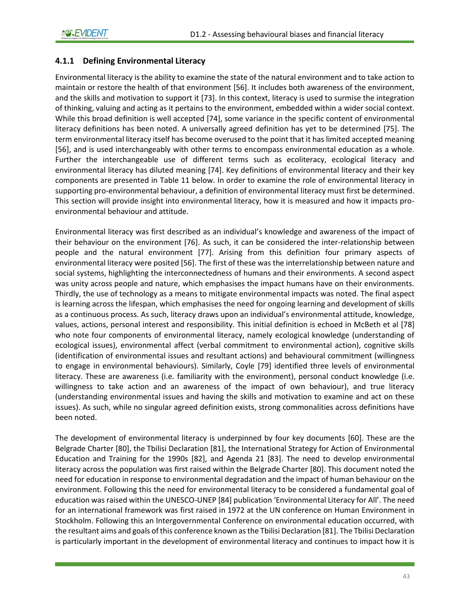## **4.1.1 Defining Environmental Literacy**

Environmental literacy is the ability to examine the state of the natural environment and to take action to maintain or restore the health of that environment [56]. It includes both awareness of the environment, and the skills and motivation to support it [73]. In this context, literacy is used to surmise the integration of thinking, valuing and acting as it pertains to the environment, embedded within a wider social context. While this broad definition is well accepted [74], some variance in the specific content of environmental literacy definitions has been noted. A universally agreed definition has yet to be determined [75]. The term environmental literacy itself has become overused to the point that it has limited accepted meaning [56], and is used interchangeably with other terms to encompass environmental education as a whole. Further the interchangeable use of different terms such as ecoliteracy, ecological literacy and environmental literacy has diluted meaning [74]. Key definitions of environmental literacy and their key components are presented in [Table 11](#page-46-0) below. In order to examine the role of environmental literacy in supporting pro-environmental behaviour, a definition of environmental literacy must first be determined. This section will provide insight into environmental literacy, how it is measured and how it impacts proenvironmental behaviour and attitude.

Environmental literacy was first described as an individual's knowledge and awareness of the impact of their behaviour on the environment [76]. As such, it can be considered the inter-relationship between people and the natural environment [77]. Arising from this definition four primary aspects of environmental literacy were posited [56]. The first of these was the interrelationship between nature and social systems, highlighting the interconnectedness of humans and their environments. A second aspect was unity across people and nature, which emphasises the impact humans have on their environments. Thirdly, the use of technology as a means to mitigate environmental impacts was noted. The final aspect is learning across the lifespan, which emphasises the need for ongoing learning and development of skills as a continuous process. As such, literacy draws upon an individual's environmental attitude, knowledge, values, actions, personal interest and responsibility. This initial definition is echoed in McBeth et al [78] who note four components of environmental literacy, namely ecological knowledge (understanding of ecological issues), environmental affect (verbal commitment to environmental action), cognitive skills (identification of environmental issues and resultant actions) and behavioural commitment (willingness to engage in environmental behaviours). Similarly, Coyle [79] identified three levels of environmental literacy. These are awareness (i.e. familiarity with the environment), personal conduct knowledge (i.e. willingness to take action and an awareness of the impact of own behaviour), and true literacy (understanding environmental issues and having the skills and motivation to examine and act on these issues). As such, while no singular agreed definition exists, strong commonalities across definitions have been noted.

The development of environmental literacy is underpinned by four key documents [60]. These are the Belgrade Charter [80], the Tbilisi Declaration [81], the International Strategy for Action of Environmental Education and Training for the 1990s [82], and Agenda 21 [83]. The need to develop environmental literacy across the population was first raised within the Belgrade Charter [80]. This document noted the need for education in response to environmental degradation and the impact of human behaviour on the environment. Following this the need for environmental literacy to be considered a fundamental goal of education was raised within the UNESCO-UNEP [84] publication 'Environmental Literacy for All'. The need for an international framework was first raised in 1972 at the UN conference on Human Environment in Stockholm. Following this an Intergovernmental Conference on environmental education occurred, with the resultant aims and goals of this conference known as the Tbilisi Declaration [81]. The Tbilisi Declaration is particularly important in the development of environmental literacy and continues to impact how it is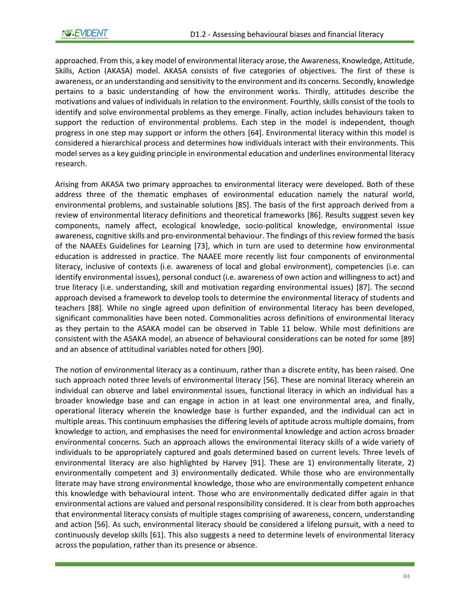approached. From this, a key model of environmental literacy arose, the Awareness, Knowledge, Attitude, Skills, Action (AKASA) model. AKASA consists of five categories of objectives. The first of these is awareness, or an understanding and sensitivity to the environment and its concerns. Secondly, knowledge pertains to a basic understanding of how the environment works. Thirdly, attitudes describe the motivations and values of individuals in relation to the environment. Fourthly, skills consist of the tools to identify and solve environmental problems as they emerge. Finally, action includes behaviours taken to support the reduction of environmental problems. Each step in the model is independent, though progress in one step may support or inform the others [64]. Environmental literacy within this model is considered a hierarchical process and determines how individuals interact with their environments. This model serves as a key guiding principle in environmental education and underlines environmental literacy research.

Arising from AKASA two primary approaches to environmental literacy were developed. Both of these address three of the thematic emphases of environmental education namely the natural world, environmental problems, and sustainable solutions [85]. The basis of the first approach derived from a review of environmental literacy definitions and theoretical frameworks [86]. Results suggest seven key components, namely affect, ecological knowledge, socio-political knowledge, environmental issue awareness, cognitive skills and pro-environmental behaviour. The findings of this review formed the basis of the NAAEEs Guidelines for Learning [73], which in turn are used to determine how environmental education is addressed in practice. The NAAEE more recently list four components of environmental literacy, inclusive of contexts (i.e. awareness of local and global environment), competencies (i.e. can identify environmental issues), personal conduct (i.e. awareness of own action and willingness to act) and true literacy (i.e. understanding, skill and motivation regarding environmental issues) [87]. The second approach devised a framework to develop tools to determine the environmental literacy of students and teachers [88]. While no single agreed upon definition of environmental literacy has been developed, significant commonalities have been noted. Commonalities across definitions of environmental literacy as they pertain to the ASAKA model can be observed in [Table 11](#page-46-0) below. While most definitions are consistent with the ASAKA model, an absence of behavioural considerations can be noted for some [89] and an absence of attitudinal variables noted for others [90].

The notion of environmental literacy as a continuum, rather than a discrete entity, has been raised. One such approach noted three levels of environmental literacy [56]. These are nominal literacy wherein an individual can observe and label environmental issues, functional literacy in which an individual has a broader knowledge base and can engage in action in at least one environmental area, and finally, operational literacy wherein the knowledge base is further expanded, and the individual can act in multiple areas. This continuum emphasises the differing levels of aptitude across multiple domains, from knowledge to action, and emphasises the need for environmental knowledge and action across broader environmental concerns. Such an approach allows the environmental literacy skills of a wide variety of individuals to be appropriately captured and goals determined based on current levels. Three levels of environmental literacy are also highlighted by Harvey [91]. These are 1) environmentally literate, 2) environmentally competent and 3) environmentally dedicated. While those who are environmentally literate may have strong environmental knowledge, those who are environmentally competent enhance this knowledge with behavioural intent. Those who are environmentally dedicated differ again in that environmental actions are valued and personal responsibility considered. It is clear from both approaches that environmental literacy consists of multiple stages comprising of awareness, concern, understanding and action [56]. As such, environmental literacy should be considered a lifelong pursuit, with a need to continuously develop skills [61]. This also suggests a need to determine levels of environmental literacy across the population, rather than its presence or absence.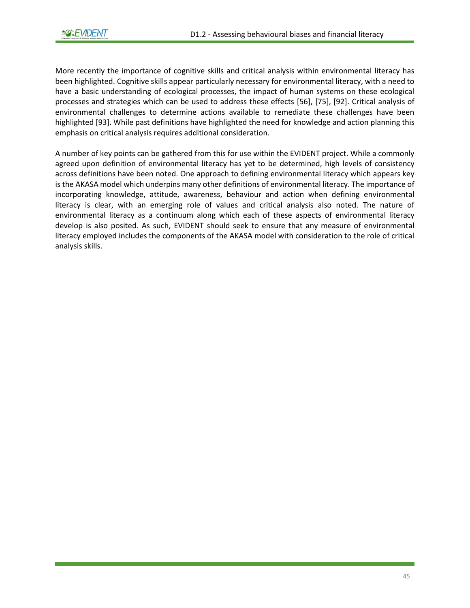More recently the importance of cognitive skills and critical analysis within environmental literacy has been highlighted. Cognitive skills appear particularly necessary for environmental literacy, with a need to have a basic understanding of ecological processes, the impact of human systems on these ecological processes and strategies which can be used to address these effects [56], [75], [92]. Critical analysis of environmental challenges to determine actions available to remediate these challenges have been highlighted [93]. While past definitions have highlighted the need for knowledge and action planning this emphasis on critical analysis requires additional consideration.

A number of key points can be gathered from this for use within the EVIDENT project. While a commonly agreed upon definition of environmental literacy has yet to be determined, high levels of consistency across definitions have been noted. One approach to defining environmental literacy which appears key is the AKASA model which underpins many other definitions of environmental literacy. The importance of incorporating knowledge, attitude, awareness, behaviour and action when defining environmental literacy is clear, with an emerging role of values and critical analysis also noted. The nature of environmental literacy as a continuum along which each of these aspects of environmental literacy develop is also posited. As such, EVIDENT should seek to ensure that any measure of environmental literacy employed includes the components of the AKASA model with consideration to the role of critical analysis skills.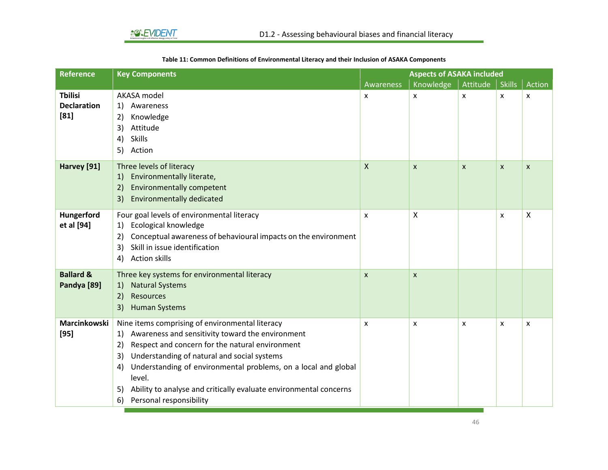<span id="page-46-0"></span>

| <b>Reference</b>     | <b>Key Components</b>                                                   | <b>Aspects of ASAKA included</b> |                           |                |               |        |
|----------------------|-------------------------------------------------------------------------|----------------------------------|---------------------------|----------------|---------------|--------|
|                      |                                                                         | Awareness                        | Knowledge                 | Attitude       | <b>Skills</b> | Action |
| <b>Tbilisi</b>       | AKASA model                                                             | X                                | x                         | X              | X             | X      |
| <b>Declaration</b>   | Awareness<br>1)                                                         |                                  |                           |                |               |        |
| $[81]$               | Knowledge<br>2)                                                         |                                  |                           |                |               |        |
|                      | Attitude<br>3)                                                          |                                  |                           |                |               |        |
|                      | <b>Skills</b><br>4)                                                     |                                  |                           |                |               |        |
|                      | 5)<br>Action                                                            |                                  |                           |                |               |        |
| Harvey [91]          | Three levels of literacy                                                | $\boldsymbol{\mathsf{X}}$        | $\pmb{\mathsf{X}}$        | $\pmb{\times}$ | X             | X      |
|                      | Environmentally literate,<br>1)                                         |                                  |                           |                |               |        |
|                      | <b>Environmentally competent</b><br>2)                                  |                                  |                           |                |               |        |
|                      | <b>Environmentally dedicated</b><br>3)                                  |                                  |                           |                |               |        |
| Hungerford           | Four goal levels of environmental literacy                              | X                                | $\boldsymbol{\mathsf{X}}$ |                | x             | Χ      |
| et al [94]           | Ecological knowledge<br>1)                                              |                                  |                           |                |               |        |
|                      | Conceptual awareness of behavioural impacts on the environment<br>2)    |                                  |                           |                |               |        |
|                      | Skill in issue identification<br>3)                                     |                                  |                           |                |               |        |
|                      | <b>Action skills</b><br>4)                                              |                                  |                           |                |               |        |
| <b>Ballard &amp;</b> | Three key systems for environmental literacy                            | $\boldsymbol{\mathsf{x}}$        | $\mathsf{x}$              |                |               |        |
| Pandya [89]          | <b>Natural Systems</b><br>1)                                            |                                  |                           |                |               |        |
|                      | <b>Resources</b><br>2)                                                  |                                  |                           |                |               |        |
|                      | <b>Human Systems</b><br>3)                                              |                                  |                           |                |               |        |
| Marcinkowski         | Nine items comprising of environmental literacy                         | X                                | x                         | x              | x             | X      |
| $[95]$               | Awareness and sensitivity toward the environment<br>1)                  |                                  |                           |                |               |        |
|                      | Respect and concern for the natural environment<br>2)                   |                                  |                           |                |               |        |
|                      | Understanding of natural and social systems<br>3)                       |                                  |                           |                |               |        |
|                      | Understanding of environmental problems, on a local and global<br>4)    |                                  |                           |                |               |        |
|                      | level.                                                                  |                                  |                           |                |               |        |
|                      | Ability to analyse and critically evaluate environmental concerns<br>5) |                                  |                           |                |               |        |
|                      | Personal responsibility<br>6)                                           |                                  |                           |                |               |        |

#### **Table 11: Common Definitions of Environmental Literacy and their Inclusion of ASAKA Components**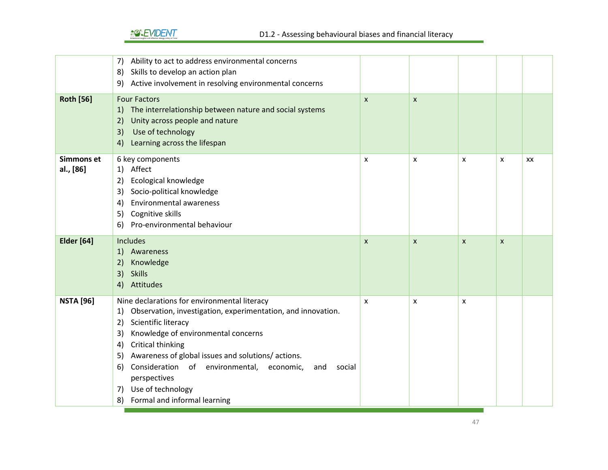# *<u>AOHENT</u>*

|                                | 7) Ability to act to address environmental concerns<br>8) Skills to develop an action plan<br>9) Active involvement in resolving environmental concerns                                                                                                                                                                                                                                                                  |                           |                |                           |   |    |
|--------------------------------|--------------------------------------------------------------------------------------------------------------------------------------------------------------------------------------------------------------------------------------------------------------------------------------------------------------------------------------------------------------------------------------------------------------------------|---------------------------|----------------|---------------------------|---|----|
| <b>Roth [56]</b>               | <b>Four Factors</b><br>1) The interrelationship between nature and social systems<br>2)<br>Unity across people and nature<br>Use of technology<br>3)<br>Learning across the lifespan<br>4)                                                                                                                                                                                                                               | $\mathsf{x}$              | $\pmb{\times}$ |                           |   |    |
| <b>Simmons et</b><br>al., [86] | 6 key components<br>1) Affect<br>Ecological knowledge<br>2)<br>3) Socio-political knowledge<br><b>Environmental awareness</b><br>4)<br>5) Cognitive skills<br>Pro-environmental behaviour<br>6)                                                                                                                                                                                                                          | X                         | X              | X                         | x | XX |
| <b>Elder</b> [64]              | Includes<br>1) Awareness<br>2)<br>Knowledge<br>3)<br><b>Skills</b><br>4) Attitudes                                                                                                                                                                                                                                                                                                                                       | $\boldsymbol{\mathsf{x}}$ | X              | $\boldsymbol{\mathsf{x}}$ | X |    |
| <b>NSTA [96]</b>               | Nine declarations for environmental literacy<br>1) Observation, investigation, experimentation, and innovation.<br>2) Scientific literacy<br>3) Knowledge of environmental concerns<br>Critical thinking<br>4)<br>5) Awareness of global issues and solutions/actions.<br>Consideration of environmental, economic,<br>6)<br>social<br>and<br>perspectives<br>7) Use of technology<br>Formal and informal learning<br>8) | X                         | X              | X                         |   |    |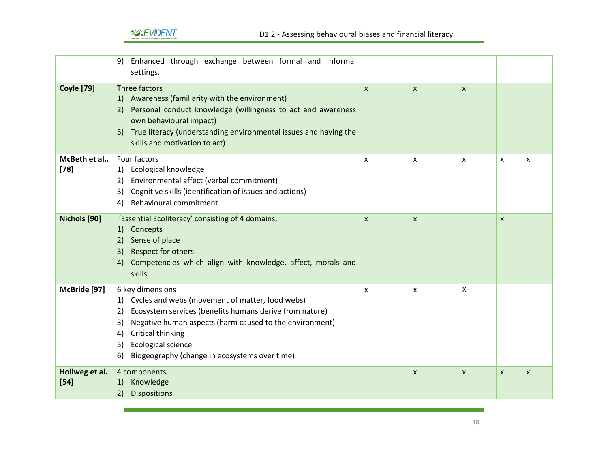

|                          | Enhanced through exchange between formal and informal<br>9)<br>settings.                                                                                                                                                                                                                                               |                  |              |                           |              |              |
|--------------------------|------------------------------------------------------------------------------------------------------------------------------------------------------------------------------------------------------------------------------------------------------------------------------------------------------------------------|------------------|--------------|---------------------------|--------------|--------------|
| <b>Coyle [79]</b>        | Three factors<br>1) Awareness (familiarity with the environment)<br>Personal conduct knowledge (willingness to act and awareness<br>2)<br>own behavioural impact)<br>3) True literacy (understanding environmental issues and having the<br>skills and motivation to act)                                              | $\boldsymbol{x}$ | $\mathsf{x}$ | $\boldsymbol{\mathsf{x}}$ |              |              |
| McBeth et al.,<br>$[78]$ | Four factors<br>1) Ecological knowledge<br>Environmental affect (verbal commitment)<br>2)<br>3) Cognitive skills (identification of issues and actions)<br>Behavioural commitment<br>4)                                                                                                                                | $\mathsf{x}$     | X            | $\boldsymbol{\mathsf{x}}$ | $\mathsf{x}$ | X            |
| Nichols [90]             | 'Essential Ecoliteracy' consisting of 4 domains;<br>1) Concepts<br>2) Sense of place<br>3) Respect for others<br>4) Competencies which align with knowledge, affect, morals and<br>skills                                                                                                                              | $\mathsf{x}$     | $\mathsf{x}$ |                           | $\mathsf{x}$ |              |
| McBride [97]             | 6 key dimensions<br>1) Cycles and webs (movement of matter, food webs)<br>Ecosystem services (benefits humans derive from nature)<br>2)<br>Negative human aspects (harm caused to the environment)<br>3)<br>Critical thinking<br>4)<br>Ecological science<br>5)<br>Biogeography (change in ecosystems over time)<br>6) | X                | x            | $\boldsymbol{\mathsf{X}}$ |              |              |
| Hollweg et al.<br>$[54]$ | 4 components<br>Knowledge<br>1)<br><b>Dispositions</b><br>2)                                                                                                                                                                                                                                                           |                  | $\mathsf{x}$ | $\boldsymbol{\mathsf{x}}$ | $\mathsf{x}$ | $\mathsf{x}$ |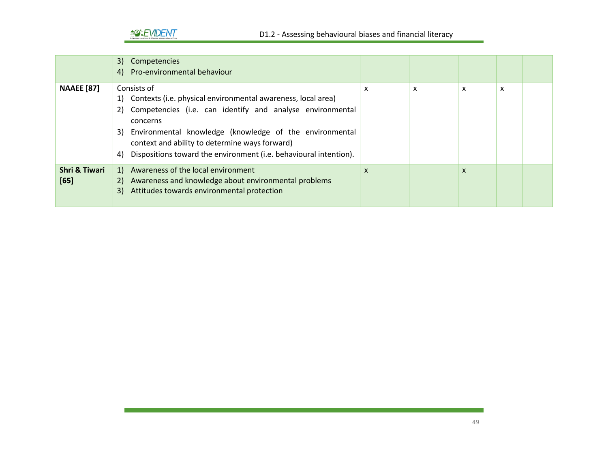

|                                  | 3) Competencies<br>4) Pro-environmental behaviour                                                                                                                                                                                                                                                                                                     |   |   |                           |   |  |
|----------------------------------|-------------------------------------------------------------------------------------------------------------------------------------------------------------------------------------------------------------------------------------------------------------------------------------------------------------------------------------------------------|---|---|---------------------------|---|--|
| <b>NAAEE</b> [87]                | Consists of<br>1) Contexts (i.e. physical environmental awareness, local area)<br>2) Competencies (i.e. can identify and analyse environmental<br>concerns<br>3) Environmental knowledge (knowledge of the environmental<br>context and ability to determine ways forward)<br>Dispositions toward the environment (i.e. behavioural intention).<br>4) | x | X | x                         | x |  |
| <b>Shri &amp; Tiwari</b><br>[65] | 1) Awareness of the local environment<br>Awareness and knowledge about environmental problems<br>2)<br>3) Attitudes towards environmental protection                                                                                                                                                                                                  | X |   | $\boldsymbol{\mathsf{x}}$ |   |  |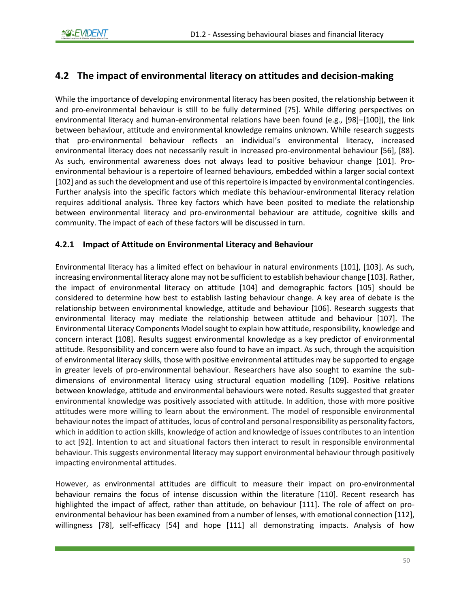# <span id="page-50-0"></span>**4.2 The impact of environmental literacy on attitudes and decision-making**

While the importance of developing environmental literacy has been posited, the relationship between it and pro-environmental behaviour is still to be fully determined [75]. While differing perspectives on environmental literacy and human-environmental relations have been found (e.g., [98]–[100]), the link between behaviour, attitude and environmental knowledge remains unknown. While research suggests that pro-environmental behaviour reflects an individual's environmental literacy, increased environmental literacy does not necessarily result in increased pro-environmental behaviour [56], [88]. As such, environmental awareness does not always lead to positive behaviour change [101]. Proenvironmental behaviour is a repertoire of learned behaviours, embedded within a larger social context [102] and as such the development and use of this repertoire is impacted by environmental contingencies. Further analysis into the specific factors which mediate this behaviour-environmental literacy relation requires additional analysis. Three key factors which have been posited to mediate the relationship between environmental literacy and pro-environmental behaviour are attitude, cognitive skills and community. The impact of each of these factors will be discussed in turn.

## **4.2.1 Impact of Attitude on Environmental Literacy and Behaviour**

Environmental literacy has a limited effect on behaviour in natural environments [101], [103]. As such, increasing environmental literacy alone may not be sufficient to establish behaviour change [103]. Rather, the impact of environmental literacy on attitude [104] and demographic factors [105] should be considered to determine how best to establish lasting behaviour change. A key area of debate is the relationship between environmental knowledge, attitude and behaviour [106]. Research suggests that environmental literacy may mediate the relationship between attitude and behaviour [107]. The Environmental Literacy Components Model sought to explain how attitude, responsibility, knowledge and concern interact [108]. Results suggest environmental knowledge as a key predictor of environmental attitude. Responsibility and concern were also found to have an impact. As such, through the acquisition of environmental literacy skills, those with positive environmental attitudes may be supported to engage in greater levels of pro-environmental behaviour. Researchers have also sought to examine the subdimensions of environmental literacy using structural equation modelling [109]. Positive relations between knowledge, attitude and environmental behaviours were noted. Results suggested that greater environmental knowledge was positively associated with attitude. In addition, those with more positive attitudes were more willing to learn about the environment. The model of responsible environmental behaviour notes the impact of attitudes, locus of control and personal responsibility as personality factors, which in addition to action skills, knowledge of action and knowledge of issues contributes to an intention to act [92]. Intention to act and situational factors then interact to result in responsible environmental behaviour. This suggests environmental literacy may support environmental behaviour through positively impacting environmental attitudes.

However, as environmental attitudes are difficult to measure their impact on pro-environmental behaviour remains the focus of intense discussion within the literature [110]. Recent research has highlighted the impact of affect, rather than attitude, on behaviour [111]. The role of affect on proenvironmental behaviour has been examined from a number of lenses, with emotional connection [112], willingness [78], self-efficacy [54] and hope [111] all demonstrating impacts. Analysis of how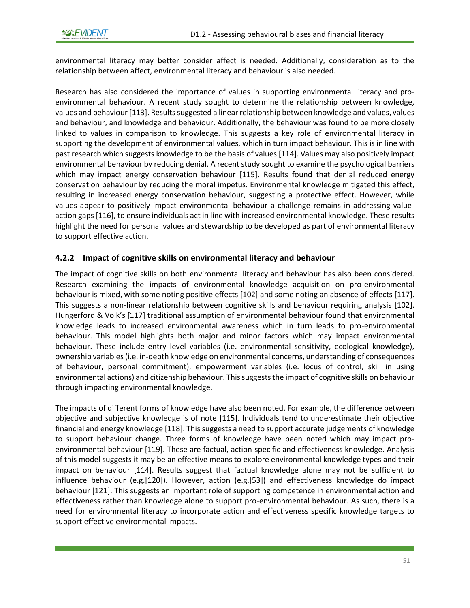environmental literacy may better consider affect is needed. Additionally, consideration as to the relationship between affect, environmental literacy and behaviour is also needed.

Research has also considered the importance of values in supporting environmental literacy and proenvironmental behaviour. A recent study sought to determine the relationship between knowledge, values and behaviour [113]. Results suggested a linear relationship between knowledge and values, values and behaviour, and knowledge and behaviour. Additionally, the behaviour was found to be more closely linked to values in comparison to knowledge. This suggests a key role of environmental literacy in supporting the development of environmental values, which in turn impact behaviour. This is in line with past research which suggests knowledge to be the basis of values [114]. Values may also positively impact environmental behaviour by reducing denial. A recent study sought to examine the psychological barriers which may impact energy conservation behaviour [115]. Results found that denial reduced energy conservation behaviour by reducing the moral impetus. Environmental knowledge mitigated this effect, resulting in increased energy conservation behaviour, suggesting a protective effect. However, while values appear to positively impact environmental behaviour a challenge remains in addressing valueaction gaps [116], to ensure individuals act in line with increased environmental knowledge. These results highlight the need for personal values and stewardship to be developed as part of environmental literacy to support effective action.

## **4.2.2 Impact of cognitive skills on environmental literacy and behaviour**

The impact of cognitive skills on both environmental literacy and behaviour has also been considered. Research examining the impacts of environmental knowledge acquisition on pro-environmental behaviour is mixed, with some noting positive effects [102] and some noting an absence of effects [117]. This suggests a non-linear relationship between cognitive skills and behaviour requiring analysis [102]. Hungerford & Volk's [117] traditional assumption of environmental behaviour found that environmental knowledge leads to increased environmental awareness which in turn leads to pro-environmental behaviour. This model highlights both major and minor factors which may impact environmental behaviour. These include entry level variables (i.e. environmental sensitivity, ecological knowledge), ownership variables (i.e. in-depth knowledge on environmental concerns, understanding of consequences of behaviour, personal commitment), empowerment variables (i.e. locus of control, skill in using environmental actions) and citizenship behaviour. This suggests the impact of cognitive skills on behaviour through impacting environmental knowledge.

The impacts of different forms of knowledge have also been noted. For example, the difference between objective and subjective knowledge is of note [115]. Individuals tend to underestimate their objective financial and energy knowledge [118]. This suggests a need to support accurate judgements of knowledge to support behaviour change. Three forms of knowledge have been noted which may impact proenvironmental behaviour [119]. These are factual, action-specific and effectiveness knowledge. Analysis of this model suggests it may be an effective means to explore environmental knowledge types and their impact on behaviour [114]. Results suggest that factual knowledge alone may not be sufficient to influence behaviour (e.g.[120]). However, action (e.g.[53]) and effectiveness knowledge do impact behaviour [121]. This suggests an important role of supporting competence in environmental action and effectiveness rather than knowledge alone to support pro-environmental behaviour. As such, there is a need for environmental literacy to incorporate action and effectiveness specific knowledge targets to support effective environmental impacts.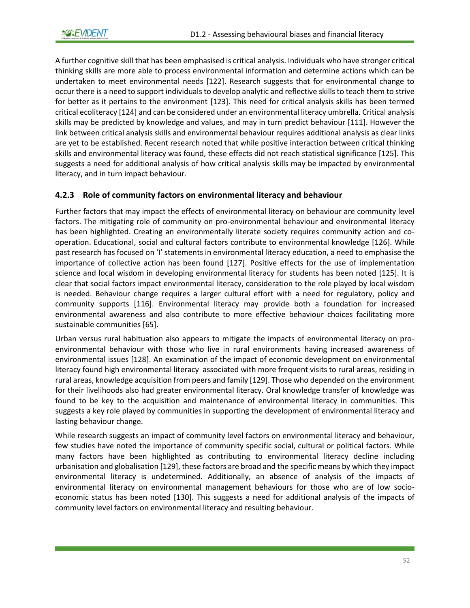A further cognitive skill that has been emphasised is critical analysis. Individuals who have stronger critical thinking skills are more able to process environmental information and determine actions which can be undertaken to meet environmental needs [122]. Research suggests that for environmental change to occur there is a need to support individuals to develop analytic and reflective skills to teach them to strive for better as it pertains to the environment [123]. This need for critical analysis skills has been termed critical ecoliteracy [124] and can be considered under an environmental literacy umbrella. Critical analysis skills may be predicted by knowledge and values, and may in turn predict behaviour [111]. However the link between critical analysis skills and environmental behaviour requires additional analysis as clear links are yet to be established. Recent research noted that while positive interaction between critical thinking skills and environmental literacy was found, these effects did not reach statistical significance [125]. This suggests a need for additional analysis of how critical analysis skills may be impacted by environmental literacy, and in turn impact behaviour.

## **4.2.3 Role of community factors on environmental literacy and behaviour**

Further factors that may impact the effects of environmental literacy on behaviour are community level factors. The mitigating role of community on pro-environmental behaviour and environmental literacy has been highlighted. Creating an environmentally literate society requires community action and cooperation. Educational, social and cultural factors contribute to environmental knowledge [126]. While past research has focused on 'I' statements in environmental literacy education, a need to emphasise the importance of collective action has been found [127]. Positive effects for the use of implementation science and local wisdom in developing environmental literacy for students has been noted [125]. It is clear that social factors impact environmental literacy, consideration to the role played by local wisdom is needed. Behaviour change requires a larger cultural effort with a need for regulatory, policy and community supports [116]. Environmental literacy may provide both a foundation for increased environmental awareness and also contribute to more effective behaviour choices facilitating more sustainable communities [65].

Urban versus rural habituation also appears to mitigate the impacts of environmental literacy on proenvironmental behaviour with those who live in rural environments having increased awareness of environmental issues [128]. An examination of the impact of economic development on environmental literacy found high environmental literacy associated with more frequent visits to rural areas, residing in rural areas, knowledge acquisition from peers and family [129]. Those who depended on the environment for their livelihoods also had greater environmental literacy. Oral knowledge transfer of knowledge was found to be key to the acquisition and maintenance of environmental literacy in communities. This suggests a key role played by communities in supporting the development of environmental literacy and lasting behaviour change.

While research suggests an impact of community level factors on environmental literacy and behaviour, few studies have noted the importance of community specific social, cultural or political factors. While many factors have been highlighted as contributing to environmental literacy decline including urbanisation and globalisation [129], these factors are broad and the specific means by which they impact environmental literacy is undetermined. Additionally, an absence of analysis of the impacts of environmental literacy on environmental management behaviours for those who are of low socioeconomic status has been noted [130]. This suggests a need for additional analysis of the impacts of community level factors on environmental literacy and resulting behaviour.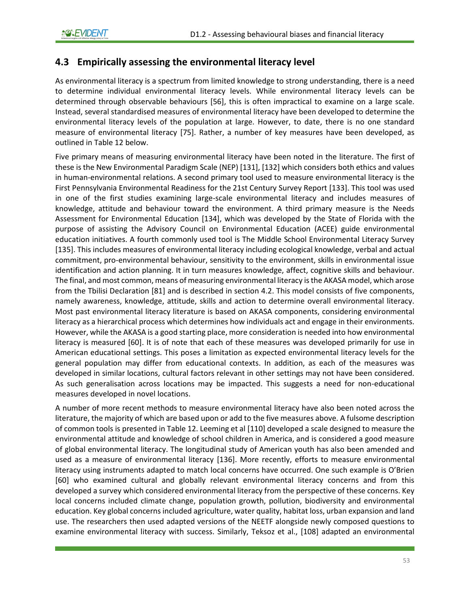## **4.3 Empirically assessing the environmental literacy level**

As environmental literacy is a spectrum from limited knowledge to strong understanding, there is a need to determine individual environmental literacy levels. While environmental literacy levels can be determined through observable behaviours [56], this is often impractical to examine on a large scale. Instead, several standardised measures of environmental literacy have been developed to determine the environmental literacy levels of the population at large. However, to date, there is no one standard measure of environmental literacy [75]. Rather, a number of key measures have been developed, as outlined i[n Table 12](#page-54-0) below.

Five primary means of measuring environmental literacy have been noted in the literature. The first of these is the New Environmental Paradigm Scale (NEP) [131], [132] which considers both ethics and values in human-environmental relations. A second primary tool used to measure environmental literacy is the First Pennsylvania Environmental Readiness for the 21st Century Survey Report [133]. This tool was used in one of the first studies examining large-scale environmental literacy and includes measures of knowledge, attitude and behaviour toward the environment. A third primary measure is the Needs Assessment for Environmental Education [134], which was developed by the State of Florida with the purpose of assisting the Advisory Council on Environmental Education (ACEE) guide environmental education initiatives. A fourth commonly used tool is The Middle School Environmental Literacy Survey [135]. This includes measures of environmental literacy including ecological knowledge, verbal and actual commitment, pro-environmental behaviour, sensitivity to the environment, skills in environmental issue identification and action planning. It in turn measures knowledge, affect, cognitive skills and behaviour. The final, and most common, means of measuring environmental literacy is the AKASA model, which arose from the Tbilisi Declaration [81] and is described in section [4.2.](#page-50-0) This model consists of five components, namely awareness, knowledge, attitude, skills and action to determine overall environmental literacy. Most past environmental literacy literature is based on AKASA components, considering environmental literacy as a hierarchical process which determines how individuals act and engage in their environments. However, while the AKASA is a good starting place, more consideration is needed into how environmental literacy is measured [60]. It is of note that each of these measures was developed primarily for use in American educational settings. This poses a limitation as expected environmental literacy levels for the general population may differ from educational contexts. In addition, as each of the measures was developed in similar locations, cultural factors relevant in other settings may not have been considered. As such generalisation across locations may be impacted. This suggests a need for non-educational measures developed in novel locations.

A number of more recent methods to measure environmental literacy have also been noted across the literature, the majority of which are based upon or add to the five measures above. A fulsome description of common tools is presented i[n Table 12.](#page-54-0) Leeming et al [110] developed a scale designed to measure the environmental attitude and knowledge of school children in America, and is considered a good measure of global environmental literacy. The longitudinal study of American youth has also been amended and used as a measure of environmental literacy [136]. More recently, efforts to measure environmental literacy using instruments adapted to match local concerns have occurred. One such example is O'Brien [60] who examined cultural and globally relevant environmental literacy concerns and from this developed a survey which considered environmental literacy from the perspective of these concerns. Key local concerns included climate change, population growth, pollution, biodiversity and environmental education. Key global concerns included agriculture, water quality, habitat loss, urban expansion and land use. The researchers then used adapted versions of the NEETF alongside newly composed questions to examine environmental literacy with success. Similarly, Teksoz et al., [108] adapted an environmental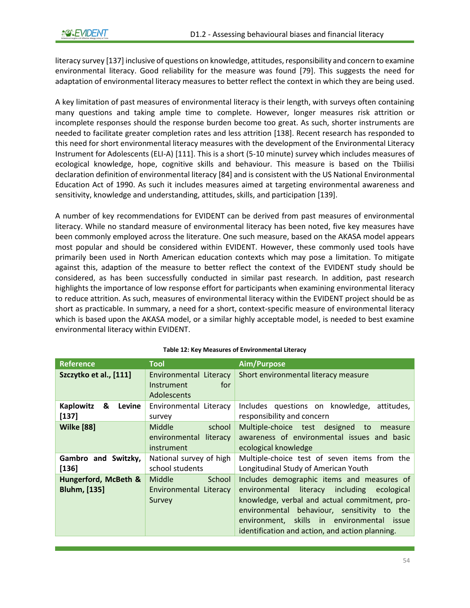literacy survey [137] inclusive of questions on knowledge, attitudes, responsibility and concern to examine environmental literacy. Good reliability for the measure was found [79]. This suggests the need for adaptation of environmental literacy measures to better reflect the context in which they are being used.

A key limitation of past measures of environmental literacy is their length, with surveys often containing many questions and taking ample time to complete. However, longer measures risk attrition or incomplete responses should the response burden become too great. As such, shorter instruments are needed to facilitate greater completion rates and less attrition [138]. Recent research has responded to this need for short environmental literacy measures with the development of the Environmental Literacy Instrument for Adolescents (ELI-A) [111]. This is a short (5-10 minute) survey which includes measures of ecological knowledge, hope, cognitive skills and behaviour. This measure is based on the Tbiilisi declaration definition of environmental literacy [84] and is consistent with the US National Environmental Education Act of 1990. As such it includes measures aimed at targeting environmental awareness and sensitivity, knowledge and understanding, attitudes, skills, and participation [139].

A number of key recommendations for EVIDENT can be derived from past measures of environmental literacy. While no standard measure of environmental literacy has been noted, five key measures have been commonly employed across the literature. One such measure, based on the AKASA model appears most popular and should be considered within EVIDENT. However, these commonly used tools have primarily been used in North American education contexts which may pose a limitation. To mitigate against this, adaption of the measure to better reflect the context of the EVIDENT study should be considered, as has been successfully conducted in similar past research. In addition, past research highlights the importance of low response effort for participants when examining environmental literacy to reduce attrition. As such, measures of environmental literacy within the EVIDENT project should be as short as practicable. In summary, a need for a short, context-specific measure of environmental literacy which is based upon the AKASA model, or a similar highly acceptable model, is needed to best examine environmental literacy within EVIDENT.

<span id="page-54-0"></span>

| <b>Reference</b>                            | <b>Tool</b>                                                        | Aim/Purpose                                                                                                                                                                                                                                                                                      |
|---------------------------------------------|--------------------------------------------------------------------|--------------------------------------------------------------------------------------------------------------------------------------------------------------------------------------------------------------------------------------------------------------------------------------------------|
| Szczytko et al., [111]                      | Environmental Literacy<br>for.<br>Instrument<br><b>Adolescents</b> | Short environmental literacy measure                                                                                                                                                                                                                                                             |
| Kaplowitz<br>&<br>Levine<br>$[137]$         | Environmental Literacy<br>survey                                   | Includes questions on knowledge, attitudes,<br>responsibility and concern                                                                                                                                                                                                                        |
| <b>Wilke [88]</b>                           | Middle<br>school<br>environmental literacy<br>instrument           | Multiple-choice test designed<br>to<br>measure<br>awareness of environmental issues and basic<br>ecological knowledge                                                                                                                                                                            |
| Gambro and Switzky,<br>$[136]$              | National survey of high<br>school students                         | Multiple-choice test of seven items from the<br>Longitudinal Study of American Youth                                                                                                                                                                                                             |
| Hungerford, McBeth &<br><b>Bluhm, [135]</b> | <b>Middle</b><br>School<br>Environmental Literacy<br>Survey        | Includes demographic items and measures of<br>environmental literacy<br>including<br>ecological<br>knowledge, verbal and actual commitment, pro-<br>environmental behaviour, sensitivity to the<br>environment, skills in environmental issue<br>identification and action, and action planning. |

#### **Table 12: Key Measures of Environmental Literacy**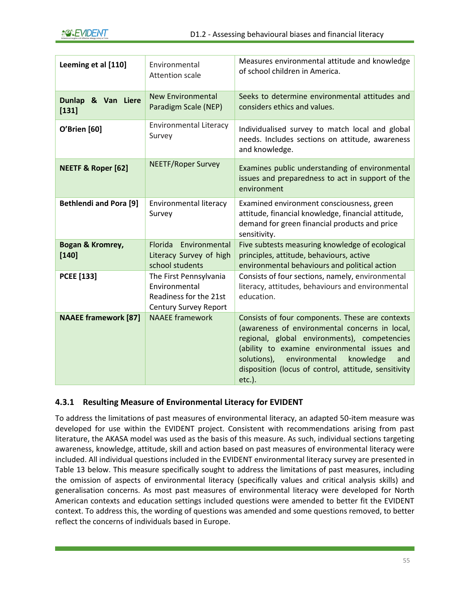| Leeming et al [110]           | Environmental<br><b>Attention scale</b>                                                    | Measures environmental attitude and knowledge<br>of school children in America.                                                                                                                                                                                                                                            |
|-------------------------------|--------------------------------------------------------------------------------------------|----------------------------------------------------------------------------------------------------------------------------------------------------------------------------------------------------------------------------------------------------------------------------------------------------------------------------|
| Dunlap & Van Liere<br>$[131]$ | <b>New Environmental</b><br>Paradigm Scale (NEP)                                           | Seeks to determine environmental attitudes and<br>considers ethics and values.                                                                                                                                                                                                                                             |
| <b>O'Brien</b> [60]           | <b>Environmental Literacy</b><br>Survey                                                    | Individualised survey to match local and global<br>needs. Includes sections on attitude, awareness<br>and knowledge.                                                                                                                                                                                                       |
| <b>NEETF &amp; Roper [62]</b> | <b>NEETF/Roper Survey</b>                                                                  | Examines public understanding of environmental<br>issues and preparedness to act in support of the<br>environment                                                                                                                                                                                                          |
| <b>Bethlendi and Pora [9]</b> | Environmental literacy<br>Survey                                                           | Examined environment consciousness, green<br>attitude, financial knowledge, financial attitude,<br>demand for green financial products and price<br>sensitivity.                                                                                                                                                           |
| Bogan & Kromrey,<br>$[140]$   | Florida Environmental<br>Literacy Survey of high<br>school students                        | Five subtests measuring knowledge of ecological<br>principles, attitude, behaviours, active<br>environmental behaviours and political action                                                                                                                                                                               |
| <b>PCEE</b> [133]             | The First Pennsylvania<br>Environmental<br>Readiness for the 21st<br>Century Survey Report | Consists of four sections, namely, environmental<br>literacy, attitudes, behaviours and environmental<br>education.                                                                                                                                                                                                        |
| <b>NAAEE</b> framework [87]   | <b>NAAEE</b> framework                                                                     | Consists of four components. These are contexts<br>(awareness of environmental concerns in local,<br>regional, global environments), competencies<br>(ability to examine environmental issues and<br>solutions),<br>environmental<br>knowledge<br>and<br>disposition (locus of control, attitude, sensitivity<br>$etc.$ ). |

## **4.3.1 Resulting Measure of Environmental Literacy for EVIDENT**

To address the limitations of past measures of environmental literacy, an adapted 50-item measure was developed for use within the EVIDENT project. Consistent with recommendations arising from past literature, the AKASA model was used as the basis of this measure. As such, individual sections targeting awareness, knowledge, attitude, skill and action based on past measures of environmental literacy were included. All individual questions included in the EVIDENT environmental literacy survey are presented in [Table 13](#page-57-0) below. This measure specifically sought to address the limitations of past measures, including the omission of aspects of environmental literacy (specifically values and critical analysis skills) and generalisation concerns. As most past measures of environmental literacy were developed for North American contexts and education settings included questions were amended to better fit the EVIDENT context. To address this, the wording of questions was amended and some questions removed, to better reflect the concerns of individuals based in Europe.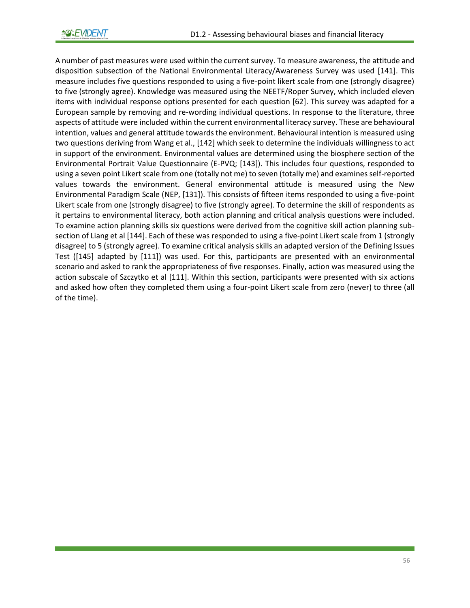A number of past measures were used within the current survey. To measure awareness, the attitude and disposition subsection of the National Environmental Literacy/Awareness Survey was used [141]. This measure includes five questions responded to using a five-point likert scale from one (strongly disagree) to five (strongly agree). Knowledge was measured using the NEETF/Roper Survey, which included eleven items with individual response options presented for each question [62]. This survey was adapted for a European sample by removing and re-wording individual questions. In response to the literature, three aspects of attitude were included within the current environmental literacy survey. These are behavioural intention, values and general attitude towards the environment. Behavioural intention is measured using two questions deriving from Wang et al., [142] which seek to determine the individuals willingness to act in support of the environment. Environmental values are determined using the biosphere section of the Environmental Portrait Value Questionnaire (E-PVQ; [143]). This includes four questions, responded to using a seven point Likert scale from one (totally not me) to seven (totally me) and examines self-reported values towards the environment. General environmental attitude is measured using the New Environmental Paradigm Scale (NEP, [131]). This consists of fifteen items responded to using a five-point Likert scale from one (strongly disagree) to five (strongly agree). To determine the skill of respondents as it pertains to environmental literacy, both action planning and critical analysis questions were included. To examine action planning skills six questions were derived from the cognitive skill action planning subsection of Liang et al [144]. Each of these was responded to using a five-point Likert scale from 1 (strongly disagree) to 5 (strongly agree). To examine critical analysis skills an adapted version of the Defining Issues Test ([145] adapted by [111]) was used. For this, participants are presented with an environmental scenario and asked to rank the appropriateness of five responses. Finally, action was measured using the action subscale of Szczytko et al [111]. Within this section, participants were presented with six actions and asked how often they completed them using a four-point Likert scale from zero (never) to three (all of the time).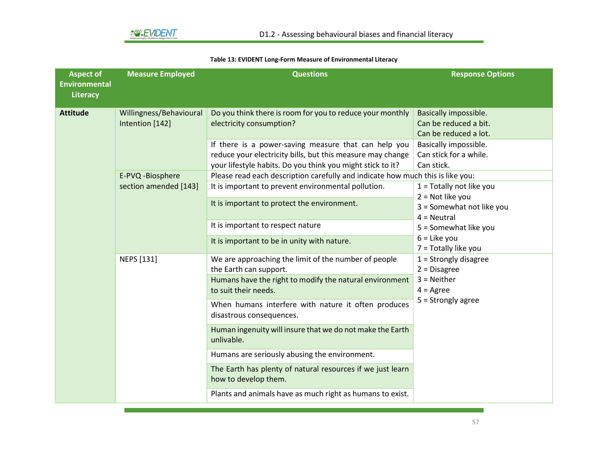#### **Table 13: EVIDENT Long-Form Measure of Environmental Literacy**

<span id="page-57-0"></span>

| <b>Aspect of</b><br><b>Environmental</b><br>Literacy | <b>Measure Employed</b>                                 | <b>Questions</b>                                                                                                                                                                                                                                                          | <b>Response Options</b>                                                                                                                                                     |
|------------------------------------------------------|---------------------------------------------------------|---------------------------------------------------------------------------------------------------------------------------------------------------------------------------------------------------------------------------------------------------------------------------|-----------------------------------------------------------------------------------------------------------------------------------------------------------------------------|
| <b>Attitude</b>                                      | Willingness/Behavioural<br>Intention [142]              | Do you think there is room for you to reduce your monthly<br>electricity consumption?<br>If there is a power-saving measure that can help you<br>reduce your electricity bills, but this measure may change<br>your lifestyle habits. Do you think you might stick to it? | Basically impossible.<br>Can be reduced a bit.<br>Can be reduced a lot.<br>Basically impossible.<br>Can stick for a while.<br>Can stick.                                    |
|                                                      | E-PVQ -Biosphere<br>section amended [143]<br>NEPS [131] | Please read each description carefully and indicate how much this is like you:<br>It is important to prevent environmental pollution.<br>It is important to protect the environment.                                                                                      | $1 = \text{Totally not like you}$<br>$2 = Not like you$<br>3 = Somewhat not like you<br>$4 =$ Neutral                                                                       |
|                                                      |                                                         | It is important to respect nature<br>It is important to be in unity with nature.                                                                                                                                                                                          | 5 = Somewhat like you<br>$6$ = Like you<br>7 = Totally like you<br>$1 =$ Strongly disagree<br>$2 = Disagree$<br>$3 =$ Neither<br>$4 = \text{Agree}$<br>$5 =$ Strongly agree |
|                                                      |                                                         | We are approaching the limit of the number of people<br>the Earth can support.<br>Humans have the right to modify the natural environment<br>to suit their needs.<br>When humans interfere with nature it often produces<br>disastrous consequences.                      |                                                                                                                                                                             |
|                                                      |                                                         | Human ingenuity will insure that we do not make the Earth<br>unlivable.<br>Humans are seriously abusing the environment.<br>The Earth has plenty of natural resources if we just learn                                                                                    |                                                                                                                                                                             |
|                                                      |                                                         | how to develop them.<br>Plants and animals have as much right as humans to exist.                                                                                                                                                                                         |                                                                                                                                                                             |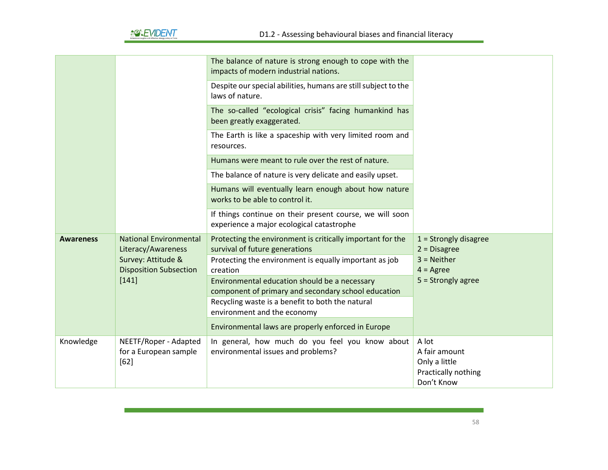

|                  |                                                          | The balance of nature is strong enough to cope with the<br>impacts of modern industrial nations.        |                                                                |
|------------------|----------------------------------------------------------|---------------------------------------------------------------------------------------------------------|----------------------------------------------------------------|
|                  |                                                          | Despite our special abilities, humans are still subject to the<br>laws of nature.                       |                                                                |
|                  |                                                          | The so-called "ecological crisis" facing humankind has<br>been greatly exaggerated.                     |                                                                |
|                  |                                                          | The Earth is like a spaceship with very limited room and<br>resources.                                  |                                                                |
|                  |                                                          | Humans were meant to rule over the rest of nature.                                                      |                                                                |
|                  |                                                          | The balance of nature is very delicate and easily upset.                                                |                                                                |
|                  |                                                          | Humans will eventually learn enough about how nature<br>works to be able to control it.                 |                                                                |
|                  |                                                          | If things continue on their present course, we will soon<br>experience a major ecological catastrophe   |                                                                |
| <b>Awareness</b> | <b>National Environmental</b><br>Literacy/Awareness      | Protecting the environment is critically important for the<br>survival of future generations            | $1 =$ Strongly disagree<br>$2 = Disagree$                      |
|                  | Survey: Attitude &<br><b>Disposition Subsection</b>      | Protecting the environment is equally important as job<br>creation                                      | $3 =$ Neither<br>$4 = \text{Agree}$                            |
|                  | $[141]$                                                  | Environmental education should be a necessary                                                           | $5 =$ Strongly agree                                           |
|                  |                                                          | component of primary and secondary school education<br>Recycling waste is a benefit to both the natural |                                                                |
|                  |                                                          | environment and the economy                                                                             |                                                                |
|                  |                                                          | Environmental laws are properly enforced in Europe                                                      |                                                                |
| Knowledge        | NEETF/Roper - Adapted<br>for a European sample<br>$[62]$ | In general, how much do you feel you know about<br>environmental issues and problems?                   | A lot<br>A fair amount<br>Only a little<br>Practically nothing |
|                  |                                                          |                                                                                                         | Don't Know                                                     |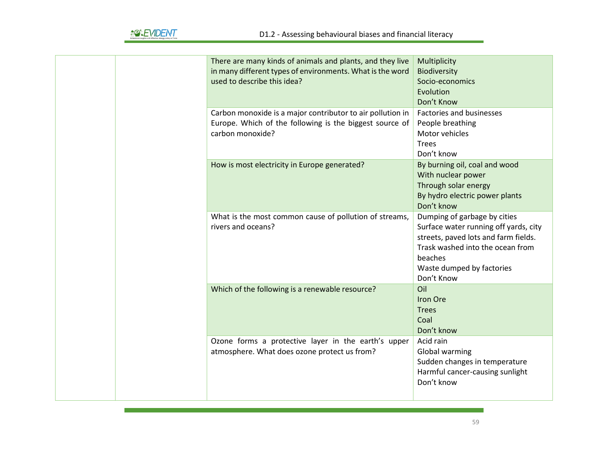|  | There are many kinds of animals and plants, and they live<br>in many different types of environments. What is the word                    | Multiplicity<br>Biodiversity                                                                                                                                                                            |
|--|-------------------------------------------------------------------------------------------------------------------------------------------|---------------------------------------------------------------------------------------------------------------------------------------------------------------------------------------------------------|
|  | used to describe this idea?                                                                                                               | Socio-economics<br>Evolution<br>Don't Know                                                                                                                                                              |
|  | Carbon monoxide is a major contributor to air pollution in<br>Europe. Which of the following is the biggest source of<br>carbon monoxide? | Factories and businesses<br>People breathing<br>Motor vehicles<br><b>Trees</b><br>Don't know                                                                                                            |
|  | How is most electricity in Europe generated?                                                                                              | By burning oil, coal and wood<br>With nuclear power<br>Through solar energy<br>By hydro electric power plants<br>Don't know                                                                             |
|  | What is the most common cause of pollution of streams,<br>rivers and oceans?                                                              | Dumping of garbage by cities<br>Surface water running off yards, city<br>streets, paved lots and farm fields.<br>Trask washed into the ocean from<br>beaches<br>Waste dumped by factories<br>Don't Know |
|  | Which of the following is a renewable resource?                                                                                           | Oil<br>Iron Ore<br><b>Trees</b><br>Coal<br>Don't know                                                                                                                                                   |
|  | Ozone forms a protective layer in the earth's upper<br>atmosphere. What does ozone protect us from?                                       | Acid rain<br>Global warming<br>Sudden changes in temperature<br>Harmful cancer-causing sunlight<br>Don't know                                                                                           |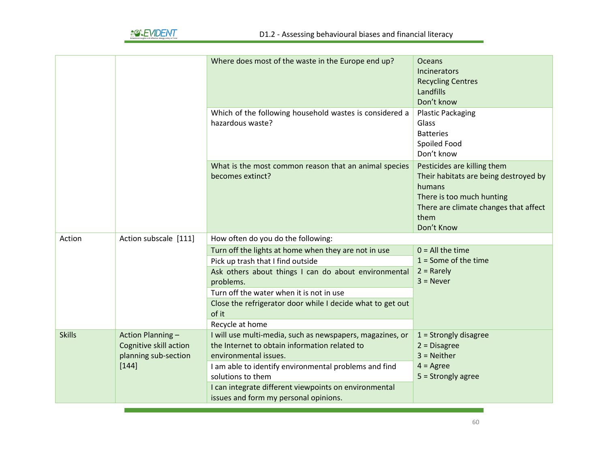|               |                                                                            | Where does most of the waste in the Europe end up?                                                                                  | <b>Oceans</b><br>Incinerators<br><b>Recycling Centres</b><br>Landfills<br>Don't know                                                                                       |
|---------------|----------------------------------------------------------------------------|-------------------------------------------------------------------------------------------------------------------------------------|----------------------------------------------------------------------------------------------------------------------------------------------------------------------------|
|               |                                                                            | Which of the following household wastes is considered a<br>hazardous waste?                                                         | <b>Plastic Packaging</b><br>Glass<br><b>Batteries</b><br>Spoiled Food<br>Don't know                                                                                        |
|               |                                                                            | What is the most common reason that an animal species<br>becomes extinct?                                                           | Pesticides are killing them<br>Their habitats are being destroyed by<br>humans<br>There is too much hunting<br>There are climate changes that affect<br>them<br>Don't Know |
| Action        | Action subscale [111]                                                      | How often do you do the following:                                                                                                  |                                                                                                                                                                            |
|               |                                                                            | Turn off the lights at home when they are not in use                                                                                | $0 = All$ the time                                                                                                                                                         |
|               |                                                                            | Pick up trash that I find outside                                                                                                   | $1 =$ Some of the time                                                                                                                                                     |
|               |                                                                            | Ask others about things I can do about environmental                                                                                | $2 =$ Rarely                                                                                                                                                               |
|               |                                                                            | problems.                                                                                                                           | $3 =$ Never                                                                                                                                                                |
|               |                                                                            | Turn off the water when it is not in use                                                                                            |                                                                                                                                                                            |
|               |                                                                            | Close the refrigerator door while I decide what to get out<br>of it                                                                 |                                                                                                                                                                            |
|               |                                                                            | Recycle at home                                                                                                                     |                                                                                                                                                                            |
| <b>Skills</b> | <b>Action Planning -</b><br>Cognitive skill action<br>planning sub-section | I will use multi-media, such as newspapers, magazines, or<br>the Internet to obtain information related to<br>environmental issues. | $1 =$ Strongly disagree<br>$2 = Disagree$<br>$3 =$ Neither                                                                                                                 |
|               | $[144]$                                                                    | I am able to identify environmental problems and find                                                                               | $4 = \text{Agree}$                                                                                                                                                         |
|               |                                                                            | solutions to them                                                                                                                   | $5 =$ Strongly agree                                                                                                                                                       |
|               |                                                                            | I can integrate different viewpoints on environmental<br>issues and form my personal opinions.                                      |                                                                                                                                                                            |
|               |                                                                            |                                                                                                                                     |                                                                                                                                                                            |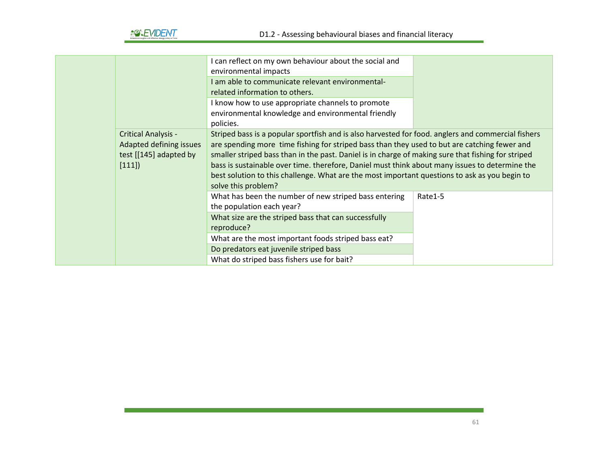

|                            | I can reflect on my own behaviour about the social and                                             |         |
|----------------------------|----------------------------------------------------------------------------------------------------|---------|
|                            | environmental impacts                                                                              |         |
|                            | I am able to communicate relevant environmental-                                                   |         |
|                            | related information to others.                                                                     |         |
|                            | I know how to use appropriate channels to promote                                                  |         |
|                            | environmental knowledge and environmental friendly                                                 |         |
|                            | policies.                                                                                          |         |
| <b>Critical Analysis -</b> | Striped bass is a popular sportfish and is also harvested for food. anglers and commercial fishers |         |
| Adapted defining issues    | are spending more time fishing for striped bass than they used to but are catching fewer and       |         |
| test [[145] adapted by     | smaller striped bass than in the past. Daniel is in charge of making sure that fishing for striped |         |
| [111]                      | bass is sustainable over time. therefore, Daniel must think about many issues to determine the     |         |
|                            | best solution to this challenge. What are the most important questions to ask as you begin to      |         |
|                            | solve this problem?                                                                                |         |
|                            | What has been the number of new striped bass entering                                              | Rate1-5 |
|                            | the population each year?                                                                          |         |
|                            | What size are the striped bass that can successfully                                               |         |
|                            | reproduce?                                                                                         |         |
|                            | What are the most important foods striped bass eat?                                                |         |
|                            | Do predators eat juvenile striped bass                                                             |         |
|                            | What do striped bass fishers use for bait?                                                         |         |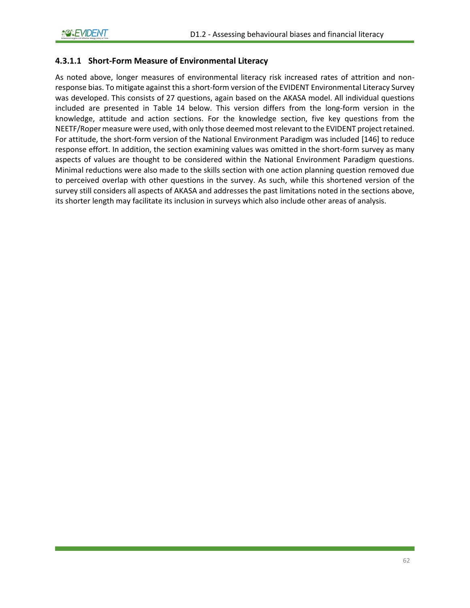### **4.3.1.1 Short-Form Measure of Environmental Literacy**

As noted above, longer measures of environmental literacy risk increased rates of attrition and nonresponse bias. To mitigate against this a short-form version of the EVIDENT Environmental Literacy Survey was developed. This consists of 27 questions, again based on the AKASA model. All individual questions included are presented in [Table 14](#page-63-0) below. This version differs from the long-form version in the knowledge, attitude and action sections. For the knowledge section, five key questions from the NEETF/Roper measure were used, with only those deemed most relevant to the EVIDENT project retained. For attitude, the short-form version of the National Environment Paradigm was included [146] to reduce response effort. In addition, the section examining values was omitted in the short-form survey as many aspects of values are thought to be considered within the National Environment Paradigm questions. Minimal reductions were also made to the skills section with one action planning question removed due to perceived overlap with other questions in the survey. As such, while this shortened version of the survey still considers all aspects of AKASA and addresses the past limitations noted in the sections above, its shorter length may facilitate its inclusion in surveys which also include other areas of analysis.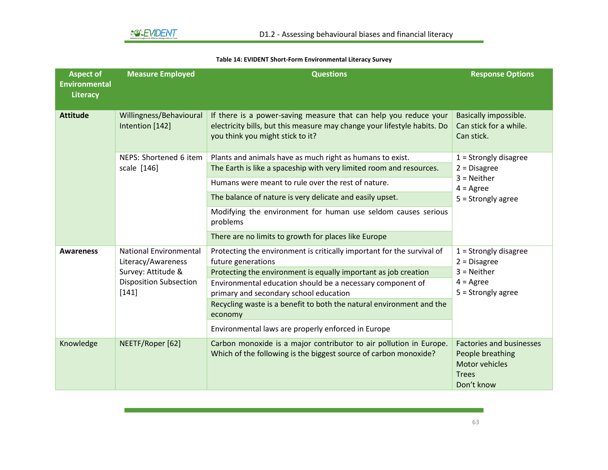#### **Table 14: EVIDENT Short-Form Environmental Literacy Survey**

<span id="page-63-0"></span>

| <b>Aspect of</b><br><b>Environmental</b><br><b>Literacy</b> | <b>Measure Employed</b>                                                                                             | <b>Questions</b>                                                                                                                                                                 | <b>Response Options</b>                                                                                  |
|-------------------------------------------------------------|---------------------------------------------------------------------------------------------------------------------|----------------------------------------------------------------------------------------------------------------------------------------------------------------------------------|----------------------------------------------------------------------------------------------------------|
| <b>Attitude</b>                                             | Willingness/Behavioural<br>Intention [142]                                                                          | If there is a power-saving measure that can help you reduce your<br>electricity bills, but this measure may change your lifestyle habits. Do<br>you think you might stick to it? | Basically impossible.<br>Can stick for a while.<br>Can stick.                                            |
|                                                             | NEPS: Shortened 6 item                                                                                              | Plants and animals have as much right as humans to exist.                                                                                                                        | $1 =$ Strongly disagree<br>$2$ = Disagree                                                                |
|                                                             | scale [146]                                                                                                         | The Earth is like a spaceship with very limited room and resources.                                                                                                              |                                                                                                          |
|                                                             |                                                                                                                     | Humans were meant to rule over the rest of nature.                                                                                                                               | $3$ = Neither<br>$4 = \text{Agree}$                                                                      |
|                                                             |                                                                                                                     | The balance of nature is very delicate and easily upset.                                                                                                                         | $5 =$ Strongly agree                                                                                     |
|                                                             |                                                                                                                     | Modifying the environment for human use seldom causes serious<br>problems                                                                                                        |                                                                                                          |
|                                                             |                                                                                                                     | There are no limits to growth for places like Europe                                                                                                                             |                                                                                                          |
| <b>Awareness</b>                                            | <b>National Environmental</b><br>Literacy/Awareness<br>Survey: Attitude &<br><b>Disposition Subsection</b><br>[141] | Protecting the environment is critically important for the survival of<br>future generations                                                                                     | $1 =$ Strongly disagree<br>$2$ = Disagree<br>$3 =$ Neither<br>$4 = \text{Agree}$<br>$5 =$ Strongly agree |
|                                                             |                                                                                                                     | Protecting the environment is equally important as job creation                                                                                                                  |                                                                                                          |
|                                                             |                                                                                                                     | Environmental education should be a necessary component of<br>primary and secondary school education                                                                             |                                                                                                          |
|                                                             |                                                                                                                     | Recycling waste is a benefit to both the natural environment and the<br>economy                                                                                                  |                                                                                                          |
|                                                             |                                                                                                                     | Environmental laws are properly enforced in Europe                                                                                                                               |                                                                                                          |
| Knowledge                                                   | NEETF/Roper [62]                                                                                                    | Carbon monoxide is a major contributor to air pollution in Europe.<br>Which of the following is the biggest source of carbon monoxide?                                           | <b>Factories and businesses</b><br>People breathing<br>Motor vehicles<br><b>Trees</b><br>Don't know      |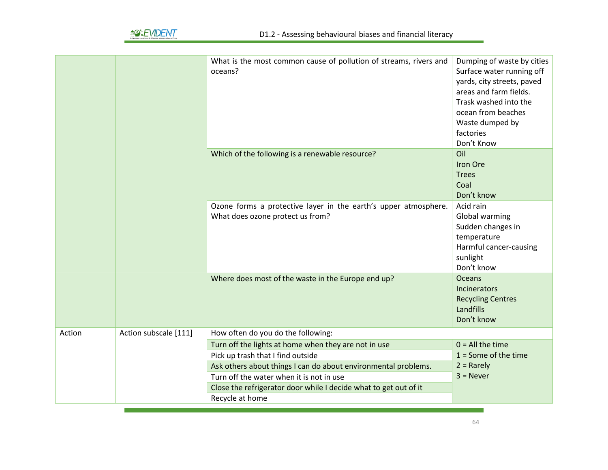

|        |                       | What is the most common cause of pollution of streams, rivers and<br>oceans?                                                                                                                                                                                                | Dumping of waste by cities<br>Surface water running off<br>yards, city streets, paved<br>areas and farm fields.<br>Trask washed into the<br>ocean from beaches<br>Waste dumped by<br>factories<br>Don't Know |
|--------|-----------------------|-----------------------------------------------------------------------------------------------------------------------------------------------------------------------------------------------------------------------------------------------------------------------------|--------------------------------------------------------------------------------------------------------------------------------------------------------------------------------------------------------------|
|        |                       | Which of the following is a renewable resource?                                                                                                                                                                                                                             | Oil<br>Iron Ore<br><b>Trees</b><br>Coal<br>Don't know                                                                                                                                                        |
|        |                       | Ozone forms a protective layer in the earth's upper atmosphere.<br>What does ozone protect us from?                                                                                                                                                                         | Acid rain<br>Global warming<br>Sudden changes in<br>temperature<br>Harmful cancer-causing<br>sunlight<br>Don't know                                                                                          |
|        |                       | Where does most of the waste in the Europe end up?                                                                                                                                                                                                                          | <b>Oceans</b><br>Incinerators<br><b>Recycling Centres</b><br>Landfills<br>Don't know                                                                                                                         |
| Action | Action subscale [111] | How often do you do the following:                                                                                                                                                                                                                                          |                                                                                                                                                                                                              |
|        |                       | Turn off the lights at home when they are not in use<br>Pick up trash that I find outside<br>Ask others about things I can do about environmental problems.<br>Turn off the water when it is not in use<br>Close the refrigerator door while I decide what to get out of it | $0 = All$ the time<br>$1 =$ Some of the time<br>$2 =$ Rarely<br>$3 =$ Never                                                                                                                                  |
|        |                       | Recycle at home                                                                                                                                                                                                                                                             |                                                                                                                                                                                                              |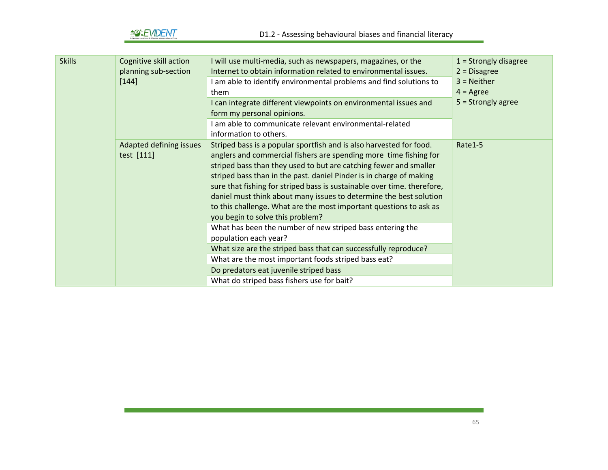*<u>AOHENT</u>* 

| <b>Skills</b> | Cognitive skill action<br>planning sub-section | I will use multi-media, such as newspapers, magazines, or the<br>Internet to obtain information related to environmental issues.                                                                                                                                                                                                                                                                                                                                                                                                                | $1 =$ Strongly disagree<br>$2 = Disagree$ |
|---------------|------------------------------------------------|-------------------------------------------------------------------------------------------------------------------------------------------------------------------------------------------------------------------------------------------------------------------------------------------------------------------------------------------------------------------------------------------------------------------------------------------------------------------------------------------------------------------------------------------------|-------------------------------------------|
|               | $[144]$                                        | I am able to identify environmental problems and find solutions to<br>them                                                                                                                                                                                                                                                                                                                                                                                                                                                                      | $3$ = Neither<br>$4 = \text{Agree}$       |
|               |                                                | I can integrate different viewpoints on environmental issues and<br>form my personal opinions.                                                                                                                                                                                                                                                                                                                                                                                                                                                  | $5 =$ Strongly agree                      |
|               |                                                | I am able to communicate relevant environmental-related<br>information to others.                                                                                                                                                                                                                                                                                                                                                                                                                                                               |                                           |
|               | Adapted defining issues<br>test [111]          | Striped bass is a popular sportfish and is also harvested for food.<br>anglers and commercial fishers are spending more time fishing for<br>striped bass than they used to but are catching fewer and smaller<br>striped bass than in the past. daniel Pinder is in charge of making<br>sure that fishing for striped bass is sustainable over time. therefore,<br>daniel must think about many issues to determine the best solution<br>to this challenge. What are the most important questions to ask as<br>you begin to solve this problem? | Rate1-5                                   |
|               |                                                | What has been the number of new striped bass entering the<br>population each year?                                                                                                                                                                                                                                                                                                                                                                                                                                                              |                                           |
|               |                                                | What size are the striped bass that can successfully reproduce?                                                                                                                                                                                                                                                                                                                                                                                                                                                                                 |                                           |
|               |                                                | What are the most important foods striped bass eat?                                                                                                                                                                                                                                                                                                                                                                                                                                                                                             |                                           |
|               |                                                | Do predators eat juvenile striped bass                                                                                                                                                                                                                                                                                                                                                                                                                                                                                                          |                                           |
|               |                                                | What do striped bass fishers use for bait?                                                                                                                                                                                                                                                                                                                                                                                                                                                                                                      |                                           |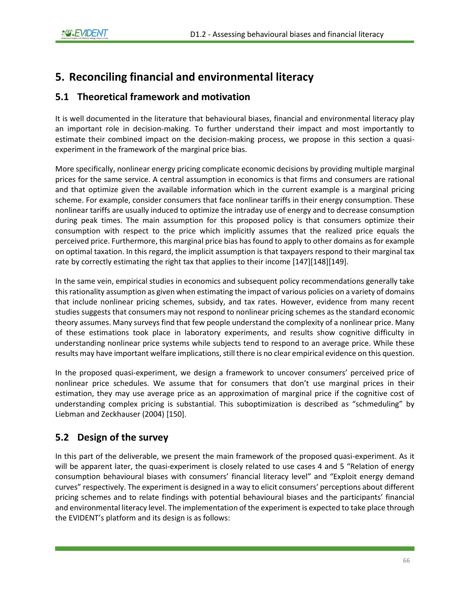# **5. Reconciling financial and environmental literacy**

# **5.1 Theoretical framework and motivation**

It is well documented in the literature that behavioural biases, financial and environmental literacy play an important role in decision-making. To further understand their impact and most importantly to estimate their combined impact on the decision-making process, we propose in this section a quasiexperiment in the framework of the marginal price bias.

More specifically, nonlinear energy pricing complicate economic decisions by providing multiple marginal prices for the same service. A central assumption in economics is that firms and consumers are rational and that optimize given the available information which in the current example is a marginal pricing scheme. For example, consider consumers that face nonlinear tariffs in their energy consumption. These nonlinear tariffs are usually induced to optimize the intraday use of energy and to decrease consumption during peak times. The main assumption for this proposed policy is that consumers optimize their consumption with respect to the price which implicitly assumes that the realized price equals the perceived price. Furthermore, this marginal price bias has found to apply to other domains as for example on optimal taxation. In this regard, the implicit assumption is that taxpayers respond to their marginal tax rate by correctly estimating the right tax that applies to their income [147][148][149].

In the same vein, empirical studies in economics and subsequent policy recommendations generally take this rationality assumption as given when estimating the impact of various policies on a variety of domains that include nonlinear pricing schemes, subsidy, and tax rates. However, evidence from many recent studies suggests that consumers may not respond to nonlinear pricing schemes as the standard economic theory assumes. Many surveys find that few people understand the complexity of a nonlinear price. Many of these estimations took place in laboratory experiments, and results show cognitive difficulty in understanding nonlinear price systems while subjects tend to respond to an average price. While these results may have important welfare implications, still there is no clear empirical evidence on this question.

In the proposed quasi-experiment, we design a framework to uncover consumers' perceived price of nonlinear price schedules. We assume that for consumers that don't use marginal prices in their estimation, they may use average price as an approximation of marginal price if the cognitive cost of understanding complex pricing is substantial. This suboptimization is described as "schmeduling" by Liebman and Zeckhauser (2004) [150].

# **5.2 Design of the survey**

In this part of the deliverable, we present the main framework of the proposed quasi-experiment. As it will be apparent later, the quasi-experiment is closely related to use cases 4 and 5 "Relation of energy consumption behavioural biases with consumers' financial literacy level" and "Exploit energy demand curves" respectively. The experiment is designed in a way to elicit consumers' perceptions about different pricing schemes and to relate findings with potential behavioural biases and the participants' financial and environmental literacy level. The implementation of the experiment is expected to take place through the EVIDENT's platform and its design is as follows: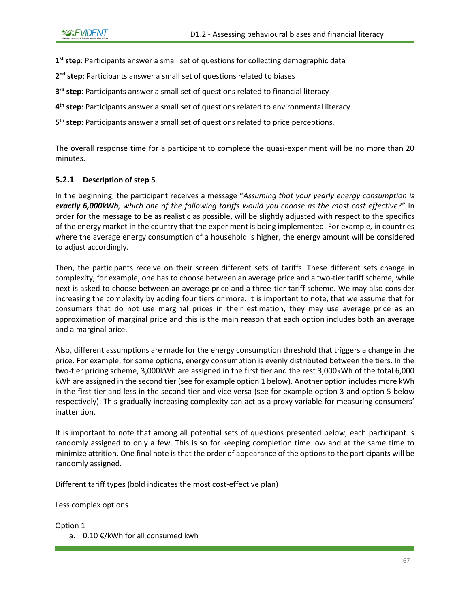**1 st step**: Participants answer a small set of questions for collecting demographic data

**2 nd step**: Participants answer a small set of questions related to biases

**3 rd step**: Participants answer a small set of questions related to financial literacy

**4 th step**: Participants answer a small set of questions related to environmental literacy

**5 th step**: Participants answer a small set of questions related to price perceptions.

The overall response time for a participant to complete the quasi-experiment will be no more than 20 minutes.

### **5.2.1 Description of step 5**

In the beginning, the participant receives a message "*Assuming that your yearly energy consumption is exactly 6,000kWh, which one of the following tariffs would you choose as the most cost effective?"* In order for the message to be as realistic as possible, will be slightly adjusted with respect to the specifics of the energy market in the country that the experiment is being implemented. For example, in countries where the average energy consumption of a household is higher, the energy amount will be considered to adjust accordingly.

Then, the participants receive on their screen different sets of tariffs. These different sets change in complexity, for example, one has to choose between an average price and a two-tier tariff scheme, while next is asked to choose between an average price and a three-tier tariff scheme. We may also consider increasing the complexity by adding four tiers or more. It is important to note, that we assume that for consumers that do not use marginal prices in their estimation, they may use average price as an approximation of marginal price and this is the main reason that each option includes both an average and a marginal price.

Also, different assumptions are made for the energy consumption threshold that triggers a change in the price. For example, for some options, energy consumption is evenly distributed between the tiers. In the two-tier pricing scheme, 3,000kWh are assigned in the first tier and the rest 3,000kWh of the total 6,000 kWh are assigned in the second tier (see for example option 1 below). Another option includes more kWh in the first tier and less in the second tier and vice versa (see for example option 3 and option 5 below respectively). This gradually increasing complexity can act as a proxy variable for measuring consumers' inattention.

It is important to note that among all potential sets of questions presented below, each participant is randomly assigned to only a few. This is so for keeping completion time low and at the same time to minimize attrition. One final note is that the order of appearance of the options to the participants will be randomly assigned.

Different tariff types (bold indicates the most cost-effective plan)

Less complex options

Option 1

a. 0.10 €/kWh for all consumed kwh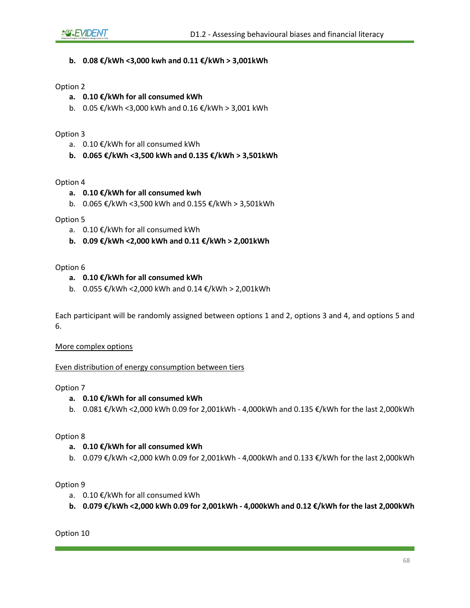#### **b. 0.08 €/kWh <3,000 kwh and 0.11 €/kWh > 3,001kWh**

#### Option 2

- **a. 0.10 €/kWh for all consumed kWh**
- b. 0.05 €/kWh <3,000 kWh and 0.16 €/kWh > 3,001 kWh

#### Option 3

- a. 0.10 €/kWh for all consumed kWh
- **b. 0.065 €/kWh <3,500 kWh and 0.135 €/kWh > 3,501kWh**

#### Option 4

- **a. 0.10 €/kWh for all consumed kwh**
- b. 0.065 €/kWh <3,500 kWh and 0.155 €/kWh > 3,501kWh

#### Option 5

- a. 0.10 €/kWh for all consumed kWh
- **b. 0.09 €/kWh <2,000 kWh and 0.11 €/kWh > 2,001kWh**

#### Option 6

#### **a. 0.10 €/kWh for all consumed kWh**

b. 0.055 €/kWh <2,000 kWh and 0.14 €/kWh > 2,001kWh

Each participant will be randomly assigned between options 1 and 2, options 3 and 4, and options 5 and 6.

#### More complex options

#### Even distribution of energy consumption between tiers

#### Option 7

#### **a. 0.10 €/kWh for all consumed kWh**

b. 0.081 €/kWh <2,000 kWh 0.09 for 2,001kWh - 4,000kWh and 0.135 €/kWh for the last 2,000kWh

#### Option 8

#### **a. 0.10 €/kWh for all consumed kWh**

b. 0.079 €/kWh <2,000 kWh 0.09 for 2,001kWh - 4,000kWh and 0.133 €/kWh for the last 2,000kWh

#### Option 9

- a. 0.10 €/kWh for all consumed kWh
- **b. 0.079 €/kWh <2,000 kWh 0.09 for 2,001kWh - 4,000kWh and 0.12 €/kWh for the last 2,000kWh**

Option 10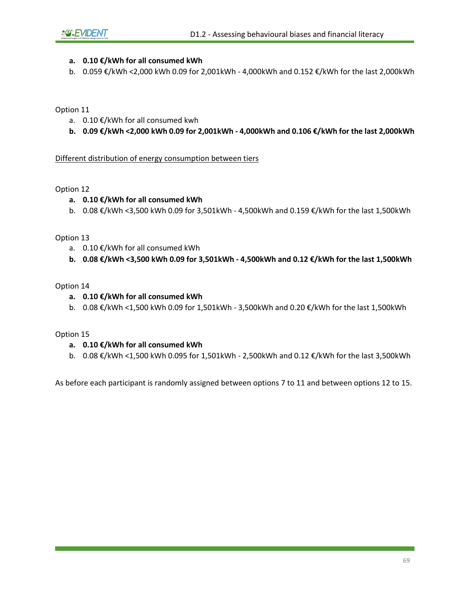#### **a. 0.10 €/kWh for all consumed kWh**

b. 0.059 €/kWh <2,000 kWh 0.09 for 2,001kWh - 4,000kWh and 0.152 €/kWh for the last 2,000kWh

Option 11

- a. 0.10 €/kWh for all consumed kwh
- **b. 0.09 €/kWh <2,000 kWh 0.09 for 2,001kWh - 4,000kWh and 0.106 €/kWh for the last 2,000kWh**

#### Different distribution of energy consumption between tiers

Option 12

#### **a. 0.10 €/kWh for all consumed kWh**

b. 0.08 €/kWh <3,500 kWh 0.09 for 3,501kWh - 4,500kWh and 0.159 €/kWh for the last 1,500kWh

Option 13

- a. 0.10 €/kWh for all consumed kWh
- **b. 0.08 €/kWh <3,500 kWh 0.09 for 3,501kWh - 4,500kWh and 0.12 €/kWh for the last 1,500kWh**

Option 14

- **a. 0.10 €/kWh for all consumed kWh**
- b. 0.08 €/kWh <1,500 kWh 0.09 for 1,501kWh 3,500kWh and 0.20 €/kWh for the last 1,500kWh

Option 15

#### **a. 0.10 €/kWh for all consumed kWh**

b. 0.08 €/kWh <1,500 kWh 0.095 for 1,501kWh - 2,500kWh and 0.12 €/kWh for the last 3,500kWh

As before each participant is randomly assigned between options 7 to 11 and between options 12 to 15.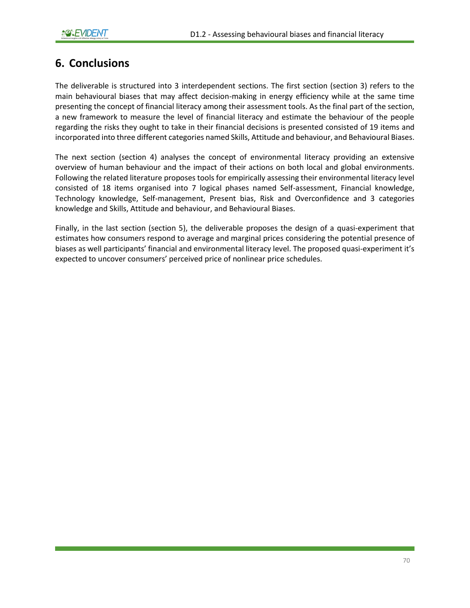# **6. Conclusions**

The deliverable is structured into 3 interdependent sections. The first section (section 3) refers to the main behavioural biases that may affect decision-making in energy efficiency while at the same time presenting the concept of financial literacy among their assessment tools. As the final part of the section, a new framework to measure the level of financial literacy and estimate the behaviour of the people regarding the risks they ought to take in their financial decisions is presented consisted of 19 items and incorporated into three different categories named Skills, Attitude and behaviour, and Behavioural Biases.

The next section (section 4) analyses the concept of environmental literacy providing an extensive overview of human behaviour and the impact of their actions on both local and global environments. Following the related literature proposes tools for empirically assessing their environmental literacy level consisted of 18 items organised into 7 logical phases named Self-assessment, Financial knowledge, Technology knowledge, Self-management, Present bias, Risk and Overconfidence and 3 categories knowledge and Skills, Attitude and behaviour, and Behavioural Biases.

Finally, in the last section (section 5), the deliverable proposes the design of a quasi-experiment that estimates how consumers respond to average and marginal prices considering the potential presence of biases as well participants' financial and environmental literacy level. The proposed quasi-experiment it's expected to uncover consumers' perceived price of nonlinear price schedules.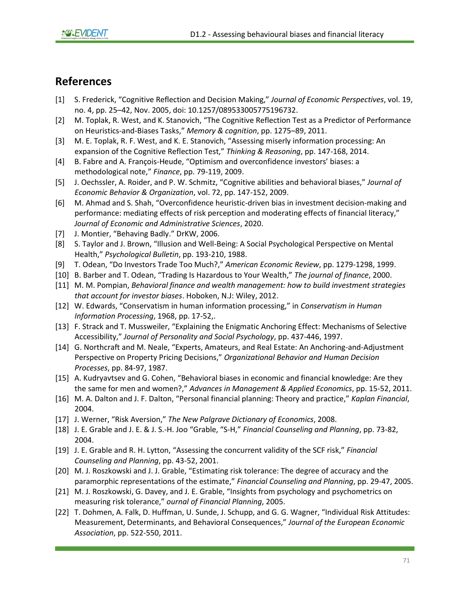# **References**

- [1] S. Frederick, "Cognitive Reflection and Decision Making," *Journal of Economic Perspectives*, vol. 19, no. 4, pp. 25–42, Nov. 2005, doi: 10.1257/089533005775196732.
- [2] M. Toplak, R. West, and K. Stanovich, "The Cognitive Reflection Test as a Predictor of Performance on Heuristics-and-Biases Tasks," *Memory & cognition*, pp. 1275–89, 2011.
- [3] M. E. Toplak, R. F. West, and K. E. Stanovich, "Assessing miserly information processing: An expansion of the Cognitive Reflection Test," *Thinking & Reasoning*, pp. 147-168, 2014.
- [4] B. Fabre and A. François-Heude, "Optimism and overconfidence investors' biases: a methodological note," *Finance*, pp. 79-119, 2009.
- [5] J. Oechssler, A. Roider, and P. W. Schmitz, "Cognitive abilities and behavioral biases," *Journal of Economic Behavior & Organization*, vol. 72, pp. 147-152, 2009.
- [6] M. Ahmad and S. Shah, "Overconfidence heuristic-driven bias in investment decision-making and performance: mediating effects of risk perception and moderating effects of financial literacy," *Journal of Economic and Administrative Sciences*, 2020.
- [7] J. Montier, "Behaving Badly." DrKW, 2006.
- [8] S. Taylor and J. Brown, "Illusion and Well-Being: A Social Psychological Perspective on Mental Health," *Psychological Bulletin*, pp. 193-210, 1988.
- [9] T. Odean, "Do Investors Trade Too Much?," *American Economic Review*, pp. 1279-1298, 1999.
- [10] B. Barber and T. Odean, "Trading Is Hazardous to Your Wealth," *The journal of finance*, 2000.
- [11] M. M. Pompian, *Behavioral finance and wealth management: how to build investment strategies that account for investor biases*. Hoboken, N.J: Wiley, 2012.
- [12] W. Edwards, "Conservatism in human information processing," in *Conservatism in Human Information Processing*, 1968, pp. 17-52,.
- [13] F. Strack and T. Mussweiler, "Explaining the Enigmatic Anchoring Effect: Mechanisms of Selective Accessibility," *Journal of Personality and Social Psychology*, pp. 437-446, 1997.
- [14] G. Northcraft and M. Neale, "Experts, Amateurs, and Real Estate: An Anchoring-and-Adjustment Perspective on Property Pricing Decisions," *Organizational Behavior and Human Decision Processes*, pp. 84-97, 1987.
- [15] A. Kudryavtsev and G. Cohen, "Behavioral biases in economic and financial knowledge: Are they the same for men and women?," *Advances in Management & Applied Economics*, pp. 15-52, 2011.
- [16] M. A. Dalton and J. F. Dalton, "Personal financial planning: Theory and practice," *Kaplan Financial*, 2004.
- [17] J. Werner, "Risk Aversion," *The New Palgrave Dictionary of Economics*, 2008.
- [18] J. E. Grable and J. E. & J. S.-H. Joo "Grable, "S-H," *Financial Counseling and Planning*, pp. 73-82, 2004.
- [19] J. E. Grable and R. H. Lytton, "Assessing the concurrent validity of the SCF risk," *Financial Counseling and Planning*, pp. 43-52, 2001.
- [20] M. J. Roszkowski and J. J. Grable, "Estimating risk tolerance: The degree of accuracy and the paramorphic representations of the estimate," *Financial Counseling and Planning*, pp. 29-47, 2005.
- [21] M. J. Roszkowski, G. Davey, and J. E. Grable, "Insights from psychology and psychometrics on measuring risk tolerance," *ournal of Financial Planning*, 2005.
- [22] T. Dohmen, A. Falk, D. Huffman, U. Sunde, J. Schupp, and G. G. Wagner, "Individual Risk Attitudes: Measurement, Determinants, and Behavioral Consequences," *Journal of the European Economic Association*, pp. 522-550, 2011.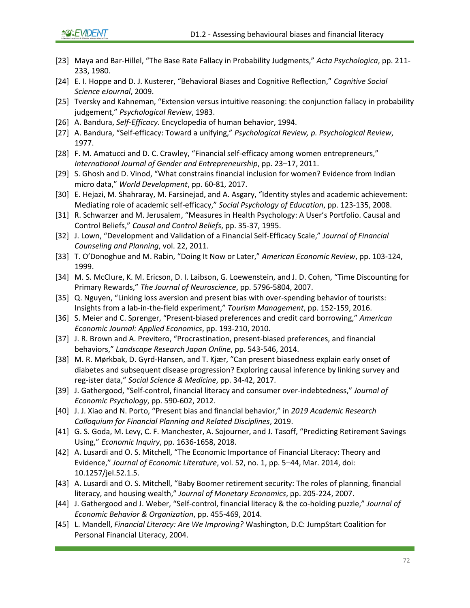- [23] Maya and Bar-Hillel, "The Base Rate Fallacy in Probability Judgments," *Acta Psychologica*, pp. 211- 233, 1980.
- [24] E. I. Hoppe and D. J. Kusterer, "Behavioral Biases and Cognitive Reflection," *Cognitive Social Science eJournal*, 2009.
- [25] Tversky and Kahneman, "Extension versus intuitive reasoning: the conjunction fallacy in probability judgement," *Psychological Review*, 1983.
- [26] A. Bandura, *Self-Efficacy*. Encyclopedia of human behavior, 1994.
- [27] A. Bandura, "Self-efficacy: Toward a unifying," *Psychological Review, p. Psychological Review*, 1977.
- [28] F. M. Amatucci and D. C. Crawley, "Financial self-efficacy among women entrepreneurs," *International Journal of Gender and Entrepreneurship*, pp. 23–17, 2011.
- [29] S. Ghosh and D. Vinod, "What constrains financial inclusion for women? Evidence from Indian micro data," *World Development*, pp. 60-81, 2017.
- [30] E. Hejazi, M. Shahraray, M. Farsinejad, and A. Asgary, "Identity styles and academic achievement: Mediating role of academic self-efficacy," *Social Psychology of Education*, pp. 123-135, 2008.
- [31] R. Schwarzer and M. Jerusalem, "Measures in Health Psychology: A User's Portfolio. Causal and Control Beliefs," *Causal and Control Beliefs*, pp. 35-37, 1995.
- [32] J. Lown, "Development and Validation of a Financial Self-Efficacy Scale," *Journal of Financial Counseling and Planning*, vol. 22, 2011.
- [33] T. O'Donoghue and M. Rabin, "Doing It Now or Later," *American Economic Review*, pp. 103-124, 1999.
- [34] M. S. McClure, K. M. Ericson, D. I. Laibson, G. Loewenstein, and J. D. Cohen, "Time Discounting for Primary Rewards," *The Journal of Neuroscience*, pp. 5796-5804, 2007.
- [35] Q. Nguyen, "Linking loss aversion and present bias with over-spending behavior of tourists: Insights from a lab-in-the-field experiment," *Tourism Management*, pp. 152-159, 2016.
- [36] S. Meier and C. Sprenger, "Present-biased preferences and credit card borrowing," *American Economic Journal: Applied Economics*, pp. 193-210, 2010.
- [37] J. R. Brown and A. Previtero, "Procrastination, present-biased preferences, and financial behaviors," *Landscape Research Japan Online*, pp. 543-546, 2014.
- [38] M. R. Mørkbak, D. Gyrd-Hansen, and T. Kjær, "Can present biasedness explain early onset of diabetes and subsequent disease progression? Exploring causal inference by linking survey and reg-ister data," *Social Science & Medicine*, pp. 34-42, 2017.
- [39] J. Gathergood, "Self-control, financial literacy and consumer over-indebtedness," *Journal of Economic Psychology*, pp. 590-602, 2012.
- [40] J. J. Xiao and N. Porto, "Present bias and financial behavior," in *2019 Academic Research Colloquium for Financial Planning and Related Disciplines*, 2019.
- [41] G. S. Goda, M. Levy, C. F. Manchester, A. Sojourner, and J. Tasoff, "Predicting Retirement Savings Using," *Economic Inquiry*, pp. 1636-1658, 2018.
- [42] A. Lusardi and O. S. Mitchell, "The Economic Importance of Financial Literacy: Theory and Evidence," *Journal of Economic Literature*, vol. 52, no. 1, pp. 5–44, Mar. 2014, doi: 10.1257/jel.52.1.5.
- [43] A. Lusardi and O. S. Mitchell, "Baby Boomer retirement security: The roles of planning, financial literacy, and housing wealth," *Journal of Monetary Economics*, pp. 205-224, 2007.
- [44] J. Gathergood and J. Weber, "Self-control, financial literacy & the co-holding puzzle," *Journal of Economic Behavior & Organization*, pp. 455-469, 2014.
- [45] L. Mandell, *Financial Literacy: Are We Improving?* Washington, D.C: JumpStart Coalition for Personal Financial Literacy, 2004.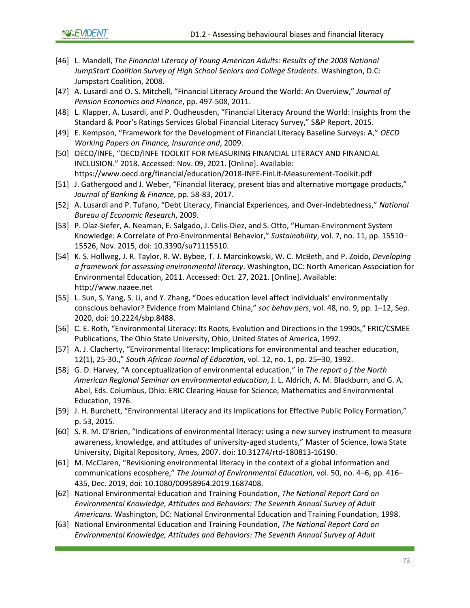- [46] L. Mandell, *The Financial Literacy of Young American Adults: Results of the 2008 National JumpStart Coalition Survey of High School Seniors and College Students*. Washington, D.C: Jumpstart Coalition, 2008.
- [47] A. Lusardi and O. S. Mitchell, "Financial Literacy Around the World: An Overview," *Journal of Pension Economics and Finance*, pp. 497-508, 2011.
- [48] L. Klapper, A. Lusardi, and P. Oudheusden, "Financial Literacy Around the World: Insights from the Standard & Poor's Ratings Services Global Financial Literacy Survey," S&P Report, 2015.
- [49] E. Kempson, "Framework for the Development of Financial Literacy Baseline Surveys: A," *OECD Working Papers on Finance, Insurance and*, 2009.
- [50] OECD/INFE, "OECD/INFE TOOLKIT FOR MEASURING FINANCIAL LITERACY AND FINANCIAL INCLUSION." 2018. Accessed: Nov. 09, 2021. [Online]. Available: https://www.oecd.org/financial/education/2018-INFE-FinLit-Measurement-Toolkit.pdf
- [51] J. Gathergood and J. Weber, "Financial literacy, present bias and alternative mortgage products," *Journal of Banking & Finance*, pp. 58-83, 2017.
- [52] A. Lusardi and P. Tufano, "Debt Literacy, Financial Experiences, and Over-indebtedness," *National Bureau of Economic Research*, 2009.
- [53] P. Díaz-Siefer, A. Neaman, E. Salgado, J. Celis-Diez, and S. Otto, "Human-Environment System Knowledge: A Correlate of Pro-Environmental Behavior," *Sustainability*, vol. 7, no. 11, pp. 15510– 15526, Nov. 2015, doi: 10.3390/su71115510.
- [54] K. S. Hollweg, J. R. Taylor, R. W. Bybee, T. J. Marcinkowski, W. C. McBeth, and P. Zoido, *Developing a framework for assessing environmental literacy*. Washington, DC: North American Association for Environmental Education, 2011. Accessed: Oct. 27, 2021. [Online]. Available: http://www.naaee.net
- [55] L. Sun, S. Yang, S. Li, and Y. Zhang, "Does education level affect individuals' environmentally conscious behavior? Evidence from Mainland China," *soc behav pers*, vol. 48, no. 9, pp. 1–12, Sep. 2020, doi: 10.2224/sbp.8488.
- [56] C. E. Roth, "Environmental Literacy: Its Roots, Evolution and Directions in the 1990s," ERIC/CSMEE Publications, The Ohio State University, Ohio, United States of America, 1992.
- [57] A. J. Clacherty, "Environmental literacy: Implications for environmental and teacher education, 12(1), 25-30.," *South African Journal of Education*, vol. 12, no. 1, pp. 25–30, 1992.
- [58] G. D. Harvey, "A conceptualization of environmental education," in *The report o f the North American Regional Seminar on environmental education*, J. L. Aldrich, A. M. Blackburn, and G. A. Abel, Eds. Columbus, Ohio: ERIC Clearing House for Science, Mathematics and Environmental Education, 1976.
- [59] J. H. Burchett, "Environmental Literacy and its Implications for Effective Public Policy Formation," p. 53, 2015.
- [60] S. R. M. O'Brien, "Indications of environmental literacy: using a new survey instrument to measure awareness, knowledge, and attitudes of university-aged students," Master of Science, Iowa State University, Digital Repository, Ames, 2007. doi: 10.31274/rtd-180813-16190.
- [61] M. McClaren, "Revisioning environmental literacy in the context of a global information and communications ecosphere," *The Journal of Environmental Education*, vol. 50, no. 4–6, pp. 416– 435, Dec. 2019, doi: 10.1080/00958964.2019.1687408.
- [62] National Environmental Education and Training Foundation, *The National Report Card on Environmental Knowledge, Attitudes and Behaviors: The Seventh Annual Survey of Adult Americans.* Washington, DC: National Environmental Education and Training Foundation, 1998.
- [63] National Environmental Education and Training Foundation, *The National Report Card on Environmental Knowledge, Attitudes and Behaviors: The Seventh Annual Survey of Adult*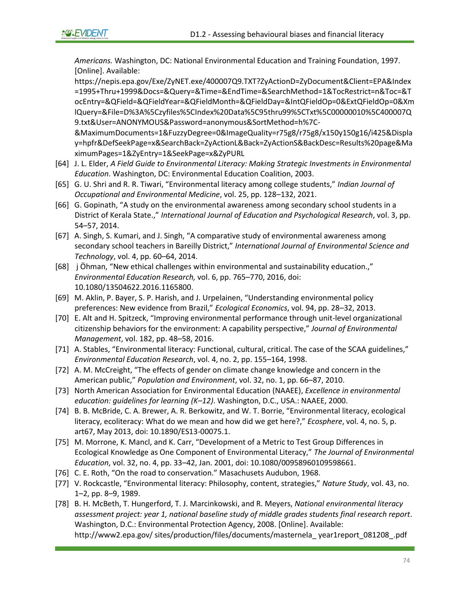*Americans.* Washington, DC: National Environmental Education and Training Foundation, 1997. [Online]. Available:

https://nepis.epa.gov/Exe/ZyNET.exe/400007Q9.TXT?ZyActionD=ZyDocument&Client=EPA&Index =1995+Thru+1999&Docs=&Query=&Time=&EndTime=&SearchMethod=1&TocRestrict=n&Toc=&T ocEntry=&QField=&QFieldYear=&QFieldMonth=&QFieldDay=&IntQFieldOp=0&ExtQFieldOp=0&Xm lQuery=&File=D%3A%5Czyfiles%5CIndex%20Data%5C95thru99%5CTxt%5C00000010%5C400007Q 9.txt&User=ANONYMOUS&Password=anonymous&SortMethod=h%7C-

&MaximumDocuments=1&FuzzyDegree=0&ImageQuality=r75g8/r75g8/x150y150g16/i425&Displa y=hpfr&DefSeekPage=x&SearchBack=ZyActionL&Back=ZyActionS&BackDesc=Results%20page&Ma ximumPages=1&ZyEntry=1&SeekPage=x&ZyPURL

- [64] J. L. Elder, *A Field Guide to Environmental Literacy: Making Strategic Investments in Environmental Education*. Washington, DC: Environmental Education Coalition, 2003.
- [65] G. U. Shri and R. R. Tiwari, "Environmental literacy among college students," *Indian Journal of Occupational and Environmental Medicine*, vol. 25, pp. 128–132, 2021.
- [66] G. Gopinath, "A study on the environmental awareness among secondary school students in a District of Kerala State.," *International Journal of Education and Psychological Research*, vol. 3, pp. 54–57, 2014.
- [67] A. Singh, S. Kumari, and J. Singh, "A comparative study of environmental awareness among secondary school teachers in Bareilly District," *International Journal of Environmental Science and Technology*, vol. 4, pp. 60–64, 2014.
- [68] j Öhman, "New ethical challenges within environmental and sustainability education.," *Environmental Education Research,* vol. 6, pp. 765–770, 2016, doi: 10.1080/13504622.2016.1165800.
- [69] M. Aklin, P. Bayer, S. P. Harish, and J. Urpelainen, "Understanding environmental policy preferences: New evidence from Brazil," *Ecological Economics*, vol. 94, pp. 28–32, 2013.
- [70] E. Alt and H. Spitzeck, "Improving environmental performance through unit-level organizational citizenship behaviors for the environment: A capability perspective," *Journal of Environmental Management*, vol. 182, pp. 48–58, 2016.
- [71] A. Stables, "Environmental literacy: Functional, cultural, critical. The case of the SCAA guidelines," *Environmental Education Research*, vol. 4, no. 2, pp. 155–164, 1998.
- [72] A. M. McCreight, "The effects of gender on climate change knowledge and concern in the American public," *Population and Environment*, vol. 32, no. 1, pp. 66–87, 2010.
- [73] North American Association for Environmental Education (NAAEE), *Excellence in environmental education: guidelines for learning (K–12)*. Washington, D.C., USA.: NAAEE, 2000.
- [74] B. B. McBride, C. A. Brewer, A. R. Berkowitz, and W. T. Borrie, "Environmental literacy, ecological literacy, ecoliteracy: What do we mean and how did we get here?," *Ecosphere*, vol. 4, no. 5, p. art67, May 2013, doi: 10.1890/ES13-00075.1.
- [75] M. Morrone, K. Mancl, and K. Carr, "Development of a Metric to Test Group Differences in Ecological Knowledge as One Component of Environmental Literacy," *The Journal of Environmental Education*, vol. 32, no. 4, pp. 33–42, Jan. 2001, doi: 10.1080/00958960109598661.
- [76] C. E. Roth, "On the road to conservation." Masachusets Audubon, 1968.
- [77] V. Rockcastle, "Environmental literacy: Philosophy, content, strategies," *Nature Study*, vol. 43, no. 1–2, pp. 8–9, 1989.
- [78] B. H. McBeth, T. Hungerford, T. J. Marcinkowski, and R. Meyers, *National environmental literacy assessment project: year 1, national baseline study of middle grades students final research report*. Washington, D.C.: Environmental Protection Agency, 2008. [Online]. Available: http://www2.epa.gov/ sites/production/files/documents/masternela\_ year1report\_081208\_.pdf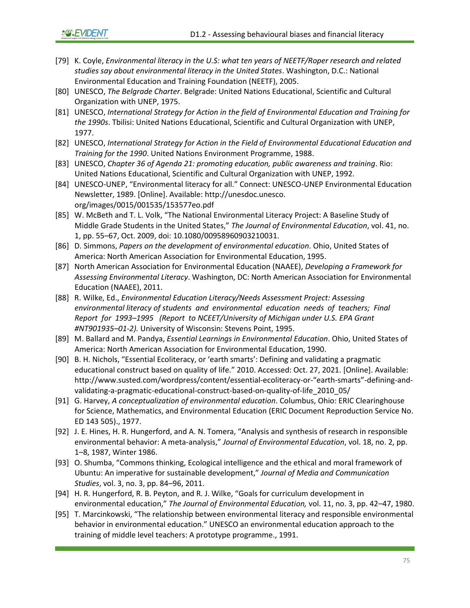**©&EVIDENT** 

- [79] K. Coyle, *Environmental literacy in the U.S: what ten years of NEETF/Roper research and related studies say about environmental literacy in the United States*. Washington, D.C.: National Environmental Education and Training Foundation (NEETF), 2005.
- [80] UNESCO, *The Belgrade Charter*. Belgrade: United Nations Educational, Scientific and Cultural Organization with UNEP, 1975.
- [81] UNESCO, *International Strategy for Action in the field of Environmental Education and Training for the 1990s*. Tbilisi: United Nations Educational, Scientific and Cultural Organization with UNEP, 1977.
- [82] UNESCO, *International Strategy for Action in the Field of Environmental Educational Education and Training for the 1990*. United Nations Environment Programme, 1988.
- [83] UNESCO, *Chapter 36 of Agenda 21: promoting education, public awareness and training*. Rio: United Nations Educational, Scientific and Cultural Organization with UNEP, 1992.
- [84] UNESCO-UNEP, "Environmental literacy for all." Connect: UNESCO-UNEP Environmental Education Newsletter, 1989. [Online]. Available: http://unesdoc.unesco. org/images/0015/001535/153577eo.pdf
- [85] W. McBeth and T. L. Volk, "The National Environmental Literacy Project: A Baseline Study of Middle Grade Students in the United States," *The Journal of Environmental Education*, vol. 41, no. 1, pp. 55–67, Oct. 2009, doi: 10.1080/00958960903210031.
- [86] D. Simmons, *Papers on the development of environmental education*. Ohio, United States of America: North American Association for Environmental Education, 1995.
- [87] North American Association for Environmental Education (NAAEE), *Developing a Framework for Assessing Environmental Literacy*. Washington, DC: North American Association for Environmental Education (NAAEE), 2011.
- [88] R. Wilke, Ed., *Environmental Education Literacy/Needs Assessment Project: Assessing environmental literacy of students and environmental education needs of teachers; Final Report for 1993–1995 (Report to NCEET/University of Michigan under U.S. EPA Grant #NT901935–01-2).* University of Wisconsin: Stevens Point, 1995.
- [89] M. Ballard and M. Pandya, *Essential Learnings in Environmental Education*. Ohio, United States of America: North American Association for Environmental Education, 1990.
- [90] B. H. Nichols, "Essential Ecoliteracy, or 'earth smarts': Defining and validating a pragmatic educational construct based on quality of life." 2010. Accessed: Oct. 27, 2021. [Online]. Available: http://www.susted.com/wordpress/content/essential-ecoliteracy-or-"earth-smarts"-defining-andvalidating-a-pragmatic-educational-construct-based-on-quality-of-life\_2010\_05/
- [91] G. Harvey, *A conceptualization of environmental education*. Columbus, Ohio: ERIC Clearinghouse for Science, Mathematics, and Environmental Education (ERIC Document Reproduction Service No. ED 143 505)., 1977.
- [92] J. E. Hines, H. R. Hungerford, and A. N. Tomera, "Analysis and synthesis of research in responsible environmental behavior: A meta-analysis," *Journal of Environmental Education*, vol. 18, no. 2, pp. 1–8, 1987, Winter 1986.
- [93] O. Shumba, "Commons thinking, Ecological intelligence and the ethical and moral framework of Ubuntu: An imperative for sustainable development," *Journal of Media and Communication Studies*, vol. 3, no. 3, pp. 84–96, 2011.
- [94] H. R. Hungerford, R. B. Peyton, and R. J. Wilke, "Goals for curriculum development in environmental education," *The Journal of Environmental Education,* vol. 11, no. 3, pp. 42–47, 1980.
- [95] T. Marcinkowski, "The relationship between environmental literacy and responsible environmental behavior in environmental education." UNESCO an environmental education approach to the training of middle level teachers: A prototype programme., 1991.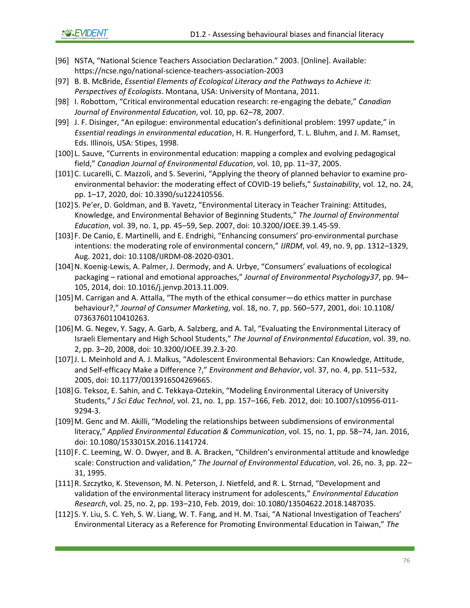- [96] NSTA, "National Science Teachers Association Declaration." 2003. [Online]. Available: https://ncse.ngo/national-science-teachers-association-2003
- [97] B. B. McBride, *Essential Elements of Ecological Literacy and the Pathways to Achieve it: Perspectives of Ecologists*. Montana, USA: University of Montana, 2011.
- [98] I. Robottom, "Critical environmental education research: re-engaging the debate," *Canadian Journal of Environmental Education*, vol. 10, pp. 62–78, 2007.
- [99] J. F. Disinger, "An epilogue: environmental education's definitional problem: 1997 update," in *Essential readings in environmental education*, H. R. Hungerford, T. L. Bluhm, and J. M. Ramset, Eds. Illinois, USA: Stipes, 1998.
- [100] L. Sauve, "Currents in environmental education: mapping a complex and evolving pedagogical field," *Canadian Journal of Environmental Education*, vol. 10, pp. 11–37, 2005.
- [101]C. Lucarelli, C. Mazzoli, and S. Severini, "Applying the theory of planned behavior to examine proenvironmental behavior: the moderating effect of COVID-19 beliefs," *Sustainability*, vol. 12, no. 24, pp. 1–17, 2020, doi: 10.3390/su122410556.
- [102] S. Pe'er, D. Goldman, and B. Yavetz, "Environmental Literacy in Teacher Training: Attitudes, Knowledge, and Environmental Behavior of Beginning Students," *The Journal of Environmental Education*, vol. 39, no. 1, pp. 45–59, Sep. 2007, doi: 10.3200/JOEE.39.1.45-59.
- [103] F. De Canio, E. Martinelli, and E. Endrighi, "Enhancing consumers' pro-environmental purchase intentions: the moderating role of environmental concern," *IJRDM*, vol. 49, no. 9, pp. 1312–1329, Aug. 2021, doi: 10.1108/IJRDM-08-2020-0301.
- [104]N. Koenig-Lewis, A. Palmer, J. Dermody, and A. Urbye, "Consumers' evaluations of ecological packaging – rational and emotional approaches," *Journal of Environmental Psychology37*, pp. 94– 105, 2014, doi: 10.1016/j.jenvp.2013.11.009.
- [105]M. Carrigan and A. Attalla, "The myth of the ethical consumer—do ethics matter in purchase behaviour?," *Journal of Consumer Marketing*, vol. 18, no. 7, pp. 560–577, 2001, doi: 10.1108/ 07363760110410263.
- [106]M. G. Negev, Y. Sagy, A. Garb, A. Salzberg, and A. Tal, "Evaluating the Environmental Literacy of Israeli Elementary and High School Students," *The Journal of Environmental Education*, vol. 39, no. 2, pp. 3–20, 2008, doi: 10.3200/JOEE.39.2.3-20.
- [107]J. L. Meinhold and A. J. Malkus, "Adolescent Environmental Behaviors: Can Knowledge, Attitude, and Self-efficacy Make a Difference ?," *Environment and Behavior*, vol. 37, no. 4, pp. 511–532, 2005, doi: 10.1177/0013916504269665.
- [108]G. Teksoz, E. Sahin, and C. Tekkaya-Oztekin, "Modeling Environmental Literacy of University Students," *J Sci Educ Technol*, vol. 21, no. 1, pp. 157–166, Feb. 2012, doi: 10.1007/s10956-011- 9294-3.
- [109]M. Genc and M. Akilli, "Modeling the relationships between subdimensions of environmental literacy," *Applied Environmental Education & Communication*, vol. 15, no. 1, pp. 58–74, Jan. 2016, doi: 10.1080/1533015X.2016.1141724.
- [110] F. C. Leeming, W. O. Dwyer, and B. A. Bracken, "Children's environmental attitude and knowledge scale: Construction and validation," *The Journal of Environmental Education*, vol. 26, no. 3, pp. 22– 31, 1995.
- [111]R. Szczytko, K. Stevenson, M. N. Peterson, J. Nietfeld, and R. L. Strnad, "Development and validation of the environmental literacy instrument for adolescents," *Environmental Education Research*, vol. 25, no. 2, pp. 193–210, Feb. 2019, doi: 10.1080/13504622.2018.1487035.
- [112] S. Y. Liu, S. C. Yeh, S. W. Liang, W. T. Fang, and H. M. Tsai, "A National Investigation of Teachers' Environmental Literacy as a Reference for Promoting Environmental Education in Taiwan," *The*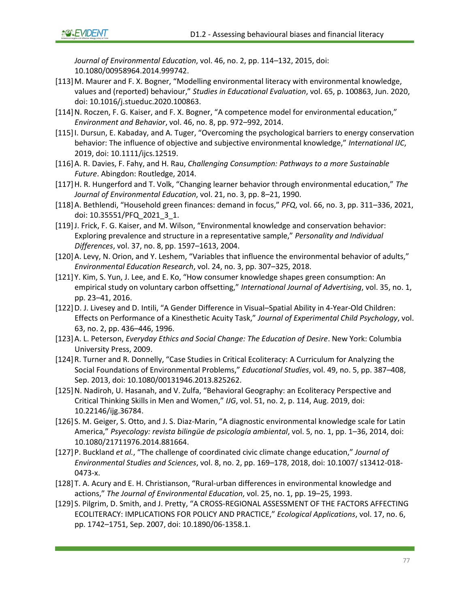*Journal of Environmental Education*, vol. 46, no. 2, pp. 114–132, 2015, doi: 10.1080/00958964.2014.999742.

- [113]M. Maurer and F. X. Bogner, "Modelling environmental literacy with environmental knowledge, values and (reported) behaviour," *Studies in Educational Evaluation*, vol. 65, p. 100863, Jun. 2020, doi: 10.1016/j.stueduc.2020.100863.
- [114]N. Roczen, F. G. Kaiser, and F. X. Bogner, "A competence model for environmental education," *Environment and Behavior*, vol. 46, no. 8, pp. 972–992, 2014.
- [115]I. Dursun, E. Kabaday, and A. Tuger, "Overcoming the psychological barriers to energy conservation behavior: The influence of objective and subjective environmental knowledge," *International IJC*, 2019, doi: 10.1111/ijcs.12519.
- [116]A. R. Davies, F. Fahy, and H. Rau, *Challenging Consumption: Pathways to a more Sustainable Future*. Abingdon: Routledge, 2014.
- [117]H. R. Hungerford and T. Volk, "Changing learner behavior through environmental education," *The Journal of Environmental Education*, vol. 21, no. 3, pp. 8–21, 1990.
- [118]A. Bethlendi, "Household green finances: demand in focus," *PFQ*, vol. 66, no. 3, pp. 311–336, 2021, doi: 10.35551/PFQ\_2021\_3\_1.
- [119]J. Frick, F. G. Kaiser, and M. Wilson, "Environmental knowledge and conservation behavior: Exploring prevalence and structure in a representative sample," *Personality and Individual Differences*, vol. 37, no. 8, pp. 1597–1613, 2004.
- [120]A. Levy, N. Orion, and Y. Leshem, "Variables that influence the environmental behavior of adults," *Environmental Education Research*, vol. 24, no. 3, pp. 307–325, 2018.
- [121]Y. Kim, S. Yun, J. Lee, and E. Ko, "How consumer knowledge shapes green consumption: An empirical study on voluntary carbon offsetting," *International Journal of Advertising*, vol. 35, no. 1, pp. 23–41, 2016.
- [122]D. J. Livesey and D. Intili, "A Gender Difference in Visual–Spatial Ability in 4-Year-Old Children: Effects on Performance of a Kinesthetic Acuity Task," *Journal of Experimental Child Psychology*, vol. 63, no. 2, pp. 436–446, 1996.
- [123]A. L. Peterson, *Everyday Ethics and Social Change: The Education of Desire*. New York: Columbia University Press, 2009.
- [124]R. Turner and R. Donnelly, "Case Studies in Critical Ecoliteracy: A Curriculum for Analyzing the Social Foundations of Environmental Problems," *Educational Studies*, vol. 49, no. 5, pp. 387–408, Sep. 2013, doi: 10.1080/00131946.2013.825262.
- [125]N. Nadiroh, U. Hasanah, and V. Zulfa, "Behavioral Geography: an Ecoliteracy Perspective and Critical Thinking Skills in Men and Women," *IJG*, vol. 51, no. 2, p. 114, Aug. 2019, doi: 10.22146/ijg.36784.
- [126] S. M. Geiger, S. Otto, and J. S. Diaz-Marin, "A diagnostic environmental knowledge scale for Latin America," *Psyecology: revista bilingüe de psicología ambiental*, vol. 5, no. 1, pp. 1–36, 2014, doi: 10.1080/21711976.2014.881664.
- [127]P. Buckland *et al.*, "The challenge of coordinated civic climate change education," *Journal of Environmental Studies and Sciences*, vol. 8, no. 2, pp. 169–178, 2018, doi: 10.1007/ s13412-018- 0473-x.
- [128]T. A. Acury and E. H. Christianson, "Rural-urban differences in environmental knowledge and actions," *The Journal of Environmental Education*, vol. 25, no. 1, pp. 19–25, 1993.
- [129] S. Pilgrim, D. Smith, and J. Pretty, "A CROSS-REGIONAL ASSESSMENT OF THE FACTORS AFFECTING ECOLITERACY: IMPLICATIONS FOR POLICY AND PRACTICE," *Ecological Applications*, vol. 17, no. 6, pp. 1742–1751, Sep. 2007, doi: 10.1890/06-1358.1.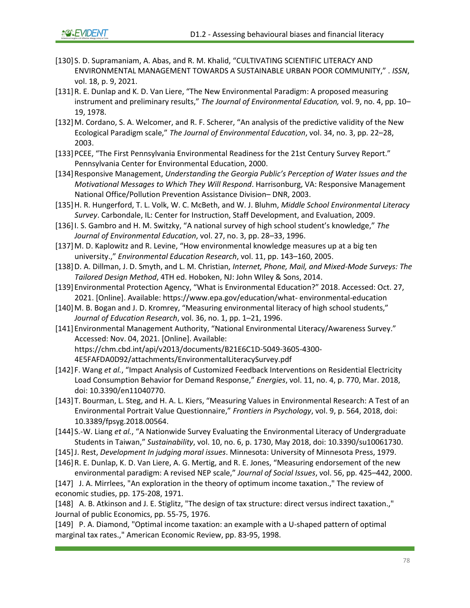- [130] S. D. Supramaniam, A. Abas, and R. M. Khalid, "CULTIVATING SCIENTIFIC LITERACY AND ENVIRONMENTAL MANAGEMENT TOWARDS A SUSTAINABLE URBAN POOR COMMUNITY," . *ISSN*, vol. 18, p. 9, 2021.
- [131]R. E. Dunlap and K. D. Van Liere, "The New Environmental Paradigm: A proposed measuring instrument and preliminary results," *The Journal of Environmental Education,* vol. 9, no. 4, pp. 10– 19, 1978.
- [132]M. Cordano, S. A. Welcomer, and R. F. Scherer, "An analysis of the predictive validity of the New Ecological Paradigm scale," *The Journal of Environmental Education*, vol. 34, no. 3, pp. 22–28, 2003.
- [133]PCEE, "The First Pennsylvania Environmental Readiness for the 21st Century Survey Report." Pennsylvania Center for Environmental Education, 2000.
- [134]Responsive Management, *Understanding the Georgia Public's Perception of Water Issues and the Motivational Messages to Which They Will Respond*. Harrisonburg, VA: Responsive Management National Office/Pollution Prevention Assistance Division– DNR, 2003.
- [135]H. R. Hungerford, T. L. Volk, W. C. McBeth, and W. J. Bluhm, *Middle School Environmental Literacy Survey*. Carbondale, IL: Center for Instruction, Staff Development, and Evaluation, 2009.
- [136]I. S. Gambro and H. M. Switzky, "A national survey of high school student's knowledge," *The Journal of Environmental Education*, vol. 27, no. 3, pp. 28–33, 1996.
- [137]M. D. Kaplowitz and R. Levine, "How environmental knowledge measures up at a big ten university.," *Environmental Education Research*, vol. 11, pp. 143–160, 2005.
- [138]D. A. Dillman, J. D. Smyth, and L. M. Christian, *Internet, Phone, Mail, and Mixed-Mode Surveys: The Tailored Design Method*, 4TH ed. Hoboken, NJ: John WIley & Sons, 2014.
- [139]Environmental Protection Agency, "What is Environmental Education?" 2018. Accessed: Oct. 27, 2021. [Online]. Available: https://www.epa.gov/education/what- environmental-education
- [140]M. B. Bogan and J. D. Kromrey, "Measuring environmental literacy of high school students," *Journal of Education Research*, vol. 36, no. 1, pp. 1–21, 1996.
- [141] Environmental Management Authority, "National Environmental Literacy/Awareness Survey." Accessed: Nov. 04, 2021. [Online]. Available: https://chm.cbd.int/api/v2013/documents/B21E6C1D-5049-3605-4300- 4E5FAFDA0D92/attachments/EnvironmentalLiteracySurvey.pdf
- [142] F. Wang *et al.*, "Impact Analysis of Customized Feedback Interventions on Residential Electricity Load Consumption Behavior for Demand Response," *Energies*, vol. 11, no. 4, p. 770, Mar. 2018, doi: 10.3390/en11040770.
- [143]T. Bourman, L. Steg, and H. A. L. Kiers, "Measuring Values in Environmental Research: A Test of an Environmental Portrait Value Questionnaire," *Frontiers in Psychology*, vol. 9, p. 564, 2018, doi: 10.3389/fpsyg.2018.00564.
- [144] S.-W. Liang *et al.*, "A Nationwide Survey Evaluating the Environmental Literacy of Undergraduate Students in Taiwan," *Sustainability*, vol. 10, no. 6, p. 1730, May 2018, doi: 10.3390/su10061730.
- [145]J. Rest, *Development In judging moral issues*. Minnesota: University of Minnesota Press, 1979.
- [146]R. E. Dunlap, K. D. Van Liere, A. G. Mertig, and R. E. Jones, "Measuring endorsement of the new environmental paradigm: A revised NEP scale," *Journal of Social Issues*, vol. 56, pp. 425–442, 2000.
- [147] J. A. Mirrlees, "An exploration in the theory of optimum income taxation.," The review of economic studies, pp. 175-208, 1971.

[148] A. B. Atkinson and J. E. Stiglitz, "The design of tax structure: direct versus indirect taxation.," Journal of public Economics, pp. 55-75, 1976.

[149] P. A. Diamond, "Optimal income taxation: an example with a U-shaped pattern of optimal marginal tax rates.," American Economic Review, pp. 83-95, 1998.